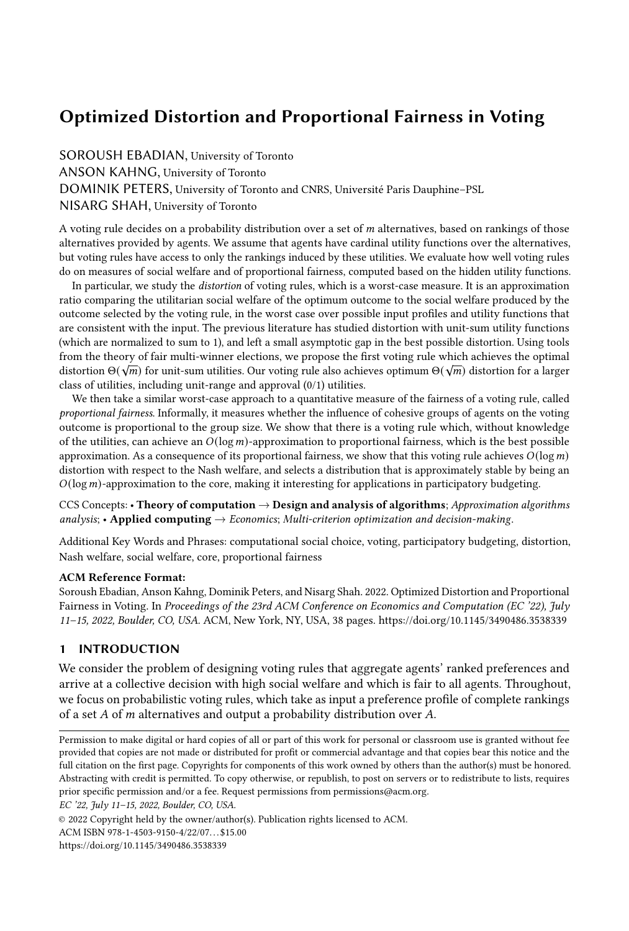# Optimized Distortion and Proportional Fairness in Voting

SOROUSH EBADIAN, University of Toronto ANSON KAHNG, University of Toronto DOMINIK PETERS, University of Toronto and CNRS, Université Paris Dauphine–PSL NISARG SHAH, University of Toronto

A voting rule decides on a probability distribution over a set of  *alternatives, based on rankings of those* alternatives provided by agents. We assume that agents have cardinal utility functions over the alternatives, but voting rules have access to only the rankings induced by these utilities. We evaluate how well voting rules do on measures of social welfare and of proportional fairness, computed based on the hidden utility functions.

In particular, we study the distortion of voting rules, which is a worst-case measure. It is an approximation ratio comparing the utilitarian social welfare of the optimum outcome to the social welfare produced by the outcome selected by the voting rule, in the worst case over possible input profiles and utility functions that are consistent with the input. The previous literature has studied distortion with unit-sum utility functions (which are normalized to sum to 1), and left a small asymptotic gap in the best possible distortion. Using tools from the theory of fair multi-winner elections, we propose the first voting rule which achieves the optimal  $d$  distortion Θ( $\sqrt{m}$ ) for unit-sum utilities. Our voting rule also achieves optimum Θ( $\sqrt{m}$ ) distortion for a larger class of utilities, including unit-range and approval (0/1) utilities.

We then take a similar worst-case approach to a quantitative measure of the fairness of a voting rule, called proportional fairness. Informally, it measures whether the influence of cohesive groups of agents on the voting outcome is proportional to the group size. We show that there is a voting rule which, without knowledge of the utilities, can achieve an  $O(\log m)$ -approximation to proportional fairness, which is the best possible approximation. As a consequence of its proportional fairness, we show that this voting rule achieves  $O(\log m)$ distortion with respect to the Nash welfare, and selects a distribution that is approximately stable by being an  $O(log\,m)$ -approximation to the core, making it interesting for applications in participatory budgeting.

CCS Concepts: • Theory of computation  $\rightarrow$  Design and analysis of algorithms; Approximation algorithms analysis; • Applied computing  $\rightarrow$  Economics; Multi-criterion optimization and decision-making.

Additional Key Words and Phrases: computational social choice, voting, participatory budgeting, distortion, Nash welfare, social welfare, core, proportional fairness

#### ACM Reference Format:

Soroush Ebadian, Anson Kahng, Dominik Peters, and Nisarg Shah. 2022. Optimized Distortion and Proportional Fairness in Voting. In Proceedings of the 23rd ACM Conference on Economics and Computation (EC '22), July 11–15, 2022, Boulder, CO, USA. ACM, New York, NY, USA, [38](#page-37-0) pages.<https://doi.org/10.1145/3490486.3538339>

# 1 INTRODUCTION

We consider the problem of designing voting rules that aggregate agents' ranked preferences and arrive at a collective decision with high social welfare and which is fair to all agents. Throughout, we focus on probabilistic voting rules, which take as input a preference profile of complete rankings of a set  $A$  of  $m$  alternatives and output a probability distribution over  $A$ .

Permission to make digital or hard copies of all or part of this work for personal or classroom use is granted without fee provided that copies are not made or distributed for profit or commercial advantage and that copies bear this notice and the full citation on the first page. Copyrights for components of this work owned by others than the author(s) must be honored. Abstracting with credit is permitted. To copy otherwise, or republish, to post on servers or to redistribute to lists, requires prior specific permission and/or a fee. Request permissions from permissions@acm.org.

EC '22, July 11–15, 2022, Boulder, CO, USA.

© 2022 Copyright held by the owner/author(s). Publication rights licensed to ACM.

<https://doi.org/10.1145/3490486.3538339>

ACM ISBN 978-1-4503-9150-4/22/07...\$15.00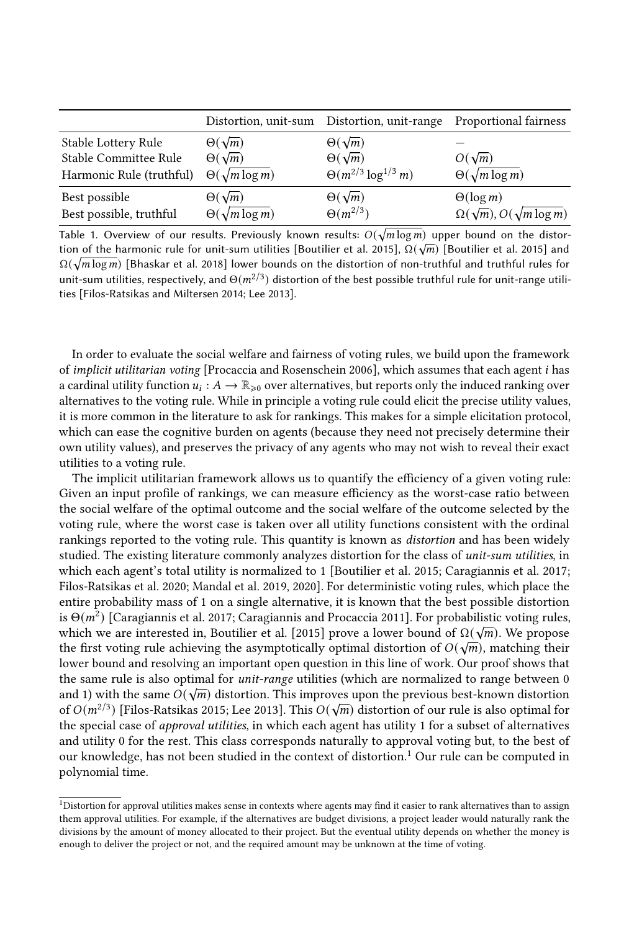<span id="page-1-1"></span>

|                          |                           | Distortion, unit-sum Distortion, unit-range | Proportional fairness                     |
|--------------------------|---------------------------|---------------------------------------------|-------------------------------------------|
| Stable Lottery Rule      | $\Theta(\sqrt{m})$        | $\Theta(\sqrt{m})$                          |                                           |
| Stable Committee Rule    | $\Theta(\sqrt{m})$        | $\Theta(\sqrt{m})$                          | $O(\sqrt{m})$                             |
| Harmonic Rule (truthful) | $\Theta(\sqrt{m \log m})$ | $\Theta(m^{2/3} \log^{1/3} m)$              | $\Theta(\sqrt{m \log m})$                 |
| Best possible            | $\Theta(\sqrt{m})$        | $\Theta(\sqrt{m})$                          | $\Theta(\log m)$                          |
| Best possible, truthful  | $\Theta(\sqrt{m \log m})$ | $\Theta(m^{2/3})$                           | $\Omega(\sqrt{m})$ , $O(\sqrt{m \log m})$ |

Table 1. Overview of our results. Previously known results:  $O(\sqrt{m \log m})$  upper bound on the distor-tion of the harmonic rule for unit-sum utilities [\[Boutilier et al.](#page-19-0) [2015\]](#page-19-0),  $\Omega(\sqrt{m})$  [Boutilier et al. 2015] and  $\Omega(\sqrt{m\log m})$  [\[Bhaskar et al.](#page-19-1) [2018\]](#page-19-1) lower bounds on the distortion of non-truthful and truthful rules for unit-sum utilities, respectively, and  $\Theta(m^{2/3})$  distortion of the best possible truthful rule for unit-range utilities [\[Filos-Ratsikas and Miltersen 2014;](#page-20-0) [Lee 2013\]](#page-20-1).

In order to evaluate the social welfare and fairness of voting rules, we build upon the framework of implicit utilitarian voting [\[Procaccia and Rosenschein 2006\]](#page-20-2), which assumes that each agent i has a cardinal utility function  $u_i: A \to \mathbb{R}_{\geq 0}$  over alternatives, but reports only the induced ranking over alternatives to the voting rule. While in principle a voting rule could elicit the precise utility values, it is more common in the literature to ask for rankings. This makes for a simple elicitation protocol, which can ease the cognitive burden on agents (because they need not precisely determine their own utility values), and preserves the privacy of any agents who may not wish to reveal their exact utilities to a voting rule.

The implicit utilitarian framework allows us to quantify the efficiency of a given voting rule: Given an input profile of rankings, we can measure efficiency as the worst-case ratio between the social welfare of the optimal outcome and the social welfare of the outcome selected by the voting rule, where the worst case is taken over all utility functions consistent with the ordinal rankings reported to the voting rule. This quantity is known as distortion and has been widely studied. The existing literature commonly analyzes distortion for the class of unit-sum utilities, in which each agent's total utility is normalized to 1 [\[Boutilier et al.](#page-19-0) [2015;](#page-19-0) [Caragiannis et al.](#page-19-2) [2017;](#page-19-2) [Filos-Ratsikas et al.](#page-20-3) [2020;](#page-20-3) [Mandal et al.](#page-20-4) [2019,](#page-20-4) [2020\]](#page-20-5). For deterministic voting rules, which place the entire probability mass of 1 on a single alternative, it is known that the best possible distortion is  $\Theta(m^2)$  [\[Caragiannis et al.](#page-19-2) [2017;](#page-19-2) [Caragiannis and Procaccia 2011\]](#page-19-3). For probabilistic voting rules, which we are interested in, [Boutilier et al.](#page-19-0) [\[2015\]](#page-19-0) prove a lower bound of  $\Omega(\sqrt{m})$ . We propose the first voting rule achieving the asymptotically optimal distortion of  $O(\sqrt{m})$ , matching their lower bound and resolving an important open question in this line of work. Our proof shows that the same rule is also optimal for *unit-range* utilities (which are normalized to range between 0 and 1) with the same  $O(\sqrt{m})$  distortion. This improves upon the previous best-known distortion of  $O(m^{2/3})$  [\[Filos-Ratsikas 2015;](#page-20-6) [Lee 2013\]](#page-20-1). This  $O(\sqrt{m})$  distortion of our rule is also optimal for the special case of approval utilities, in which each agent has utility 1 for a subset of alternatives and utility 0 for the rest. This class corresponds naturally to approval voting but, to the best of our knowledge, has not been studied in the context of distortion.<sup>[1](#page-1-0)</sup> Our rule can be computed in polynomial time.

<span id="page-1-0"></span><sup>&</sup>lt;sup>1</sup>Distortion for approval utilities makes sense in contexts where agents may find it easier to rank alternatives than to assign them approval utilities. For example, if the alternatives are budget divisions, a project leader would naturally rank the divisions by the amount of money allocated to their project. But the eventual utility depends on whether the money is enough to deliver the project or not, and the required amount may be unknown at the time of voting.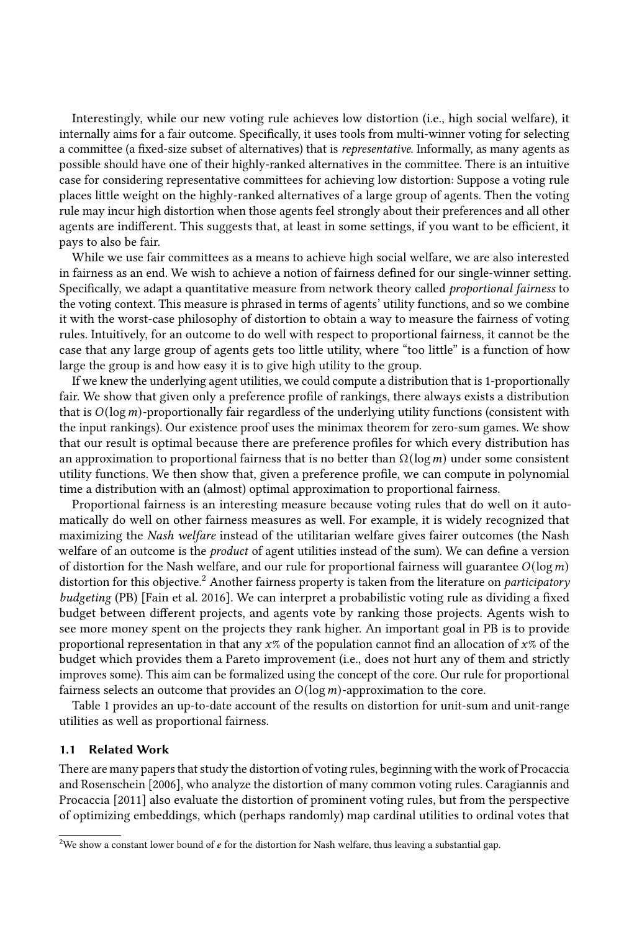Interestingly, while our new voting rule achieves low distortion (i.e., high social welfare), it internally aims for a fair outcome. Specifically, it uses tools from multi-winner voting for selecting a committee (a fixed-size subset of alternatives) that is representative. Informally, as many agents as possible should have one of their highly-ranked alternatives in the committee. There is an intuitive case for considering representative committees for achieving low distortion: Suppose a voting rule places little weight on the highly-ranked alternatives of a large group of agents. Then the voting rule may incur high distortion when those agents feel strongly about their preferences and all other agents are indifferent. This suggests that, at least in some settings, if you want to be efficient, it pays to also be fair.

While we use fair committees as a means to achieve high social welfare, we are also interested in fairness as an end. We wish to achieve a notion of fairness defined for our single-winner setting. Specifically, we adapt a quantitative measure from network theory called proportional fairness to the voting context. This measure is phrased in terms of agents' utility functions, and so we combine it with the worst-case philosophy of distortion to obtain a way to measure the fairness of voting rules. Intuitively, for an outcome to do well with respect to proportional fairness, it cannot be the case that any large group of agents gets too little utility, where "too little" is a function of how large the group is and how easy it is to give high utility to the group.

If we knew the underlying agent utilities, we could compute a distribution that is 1-proportionally fair. We show that given only a preference profile of rankings, there always exists a distribution that is  $O(\log m)$ -proportionally fair regardless of the underlying utility functions (consistent with the input rankings). Our existence proof uses the minimax theorem for zero-sum games. We show that our result is optimal because there are preference profiles for which every distribution has an approximation to proportional fairness that is no better than  $\Omega(\log m)$  under some consistent utility functions. We then show that, given a preference profile, we can compute in polynomial time a distribution with an (almost) optimal approximation to proportional fairness.

Proportional fairness is an interesting measure because voting rules that do well on it automatically do well on other fairness measures as well. For example, it is widely recognized that maximizing the Nash welfare instead of the utilitarian welfare gives fairer outcomes (the Nash welfare of an outcome is the product of agent utilities instead of the sum). We can define a version of distortion for the Nash welfare, and our rule for proportional fairness will guarantee  $O(\log m)$ distortion for this objective.<sup>[2](#page-2-0)</sup> Another fairness property is taken from the literature on *participatory* budgeting (PB) [\[Fain et al.](#page-20-7) [2016\]](#page-20-7). We can interpret a probabilistic voting rule as dividing a fixed budget between different projects, and agents vote by ranking those projects. Agents wish to see more money spent on the projects they rank higher. An important goal in PB is to provide proportional representation in that any  $x\%$  of the population cannot find an allocation of  $x\%$  of the budget which provides them a Pareto improvement (i.e., does not hurt any of them and strictly improves some). This aim can be formalized using the concept of the core. Our rule for proportional fairness selects an outcome that provides an  $O(\log m)$ -approximation to the core.

[Table 1](#page-1-1) provides an up-to-date account of the results on distortion for unit-sum and unit-range utilities as well as proportional fairness.

# 1.1 Related Work

There are many papers that study the distortion of voting rules, beginning with the work of [Procaccia](#page-20-2) [and Rosenschein](#page-20-2) [\[2006\]](#page-20-2), who analyze the distortion of many common voting rules. [Caragiannis and](#page-19-3) [Procaccia](#page-19-3) [\[2011\]](#page-19-3) also evaluate the distortion of prominent voting rules, but from the perspective of optimizing embeddings, which (perhaps randomly) map cardinal utilities to ordinal votes that

<span id="page-2-0"></span><sup>&</sup>lt;sup>2</sup>We show a constant lower bound of  $e$  for the distortion for Nash welfare, thus leaving a substantial gap.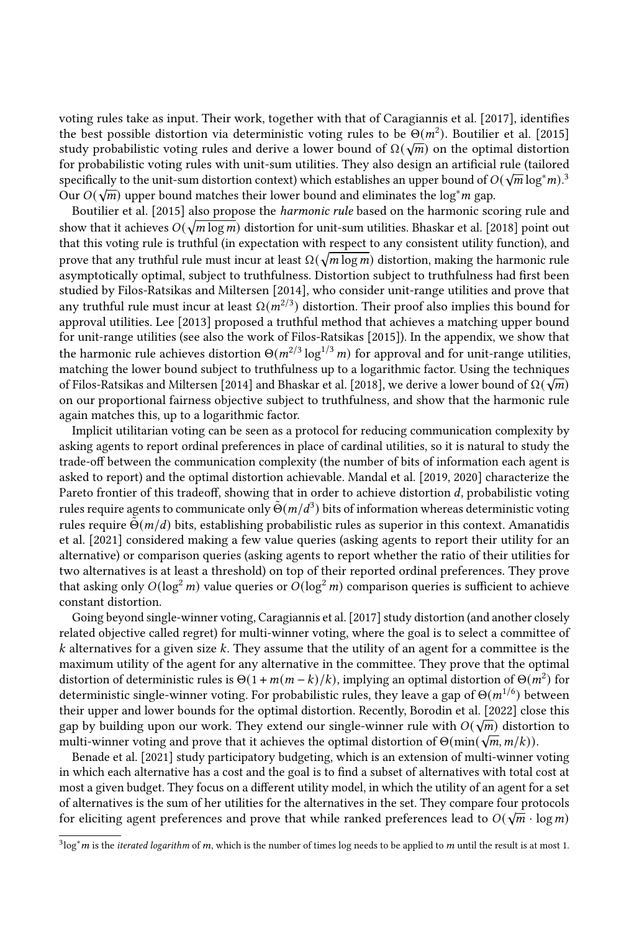voting rules take as input. Their work, together with that of [Caragiannis et al.](#page-19-2) [\[2017\]](#page-19-2), identifies the best possible distortion via deterministic voting rules to be  $\Theta(m^2)$ . [Boutilier et al.](#page-19-0) [\[2015\]](#page-19-0) study probabilistic voting rules and derive a lower bound of  $\Omega(\sqrt{m})$  on the optimal distortion for probabilistic voting rules with unit-sum utilities. They also design an artificial rule (tailored specifically to the unit-sum distortion context) which establishes an upper bound of  $O(\sqrt{m} \log^* m)^3$  $O(\sqrt{m} \log^* m)^3$ . Our  $O(\sqrt{m})$  upper bound matches their lower bound and eliminates the log<sup>∗</sup>m gap.

[Boutilier et al.](#page-19-0) [\[2015\]](#page-19-0) also propose the harmonic rule based on the harmonic scoring rule and show that it achieves  $O(\sqrt{m\log m})$  distortion for unit-sum utilities. [Bhaskar et al.](#page-19-1) [\[2018\]](#page-19-1) point out that this voting rule is truthful (in expectation with respect to any consistent utility function), and prove that any truthful rule must incur at least  $\Omega(\sqrt{m\log m})$  distortion, making the harmonic rule asymptotically optimal, subject to truthfulness. Distortion subject to truthfulness had first been studied by [Filos-Ratsikas and Miltersen](#page-20-0) [\[2014\]](#page-20-0), who consider unit-range utilities and prove that any truthful rule must incur at least  $\Omega(m^{2/3})$  distortion. Their proof also implies this bound for approval utilities. [Lee](#page-20-1) [\[2013\]](#page-20-1) proposed a truthful method that achieves a matching upper bound for unit-range utilities (see also the work of [Filos-Ratsikas](#page-20-6) [\[2015\]](#page-20-6)). In the appendix, we show that the harmonic rule achieves distortion  $\Theta(m^{2/3} \log^{1/3} m)$  for approval and for unit-range utilities, matching the lower bound subject to truthfulness up to a logarithmic factor. Using the techniques √ of [Filos-Ratsikas and Miltersen](#page-20-0) [\[2014\]](#page-20-0) and [Bhaskar et al.](#page-19-1) [\[2018\]](#page-19-1), we derive a lower bound of  $\Omega(\sqrt{m})$ on our proportional fairness objective subject to truthfulness, and show that the harmonic rule again matches this, up to a logarithmic factor.

Implicit utilitarian voting can be seen as a protocol for reducing communication complexity by asking agents to report ordinal preferences in place of cardinal utilities, so it is natural to study the trade-off between the communication complexity (the number of bits of information each agent is asked to report) and the optimal distortion achievable. [Mandal et al.](#page-20-4) [\[2019,](#page-20-4) [2020\]](#page-20-5) characterize the Pareto frontier of this tradeoff, showing that in order to achieve distortion d, probabilistic voting rules require agents to communicate only  $\tilde{\Theta}(m/d^3)$  bits of information whereas deterministic voting rules require  $\tilde{\Theta}(m/d)$  bits, establishing probabilistic rules as superior in this context. [Amanatidis](#page-19-4) [et al.](#page-19-4) [\[2021\]](#page-19-4) considered making a few value queries (asking agents to report their utility for an alternative) or comparison queries (asking agents to report whether the ratio of their utilities for two alternatives is at least a threshold) on top of their reported ordinal preferences. They prove that asking only  $O(\log^2 m)$  value queries or  $O(\log^2 m)$  comparison queries is sufficient to achieve constant distortion.

Going beyond single-winner voting, [Caragiannis et al.](#page-19-2) [\[2017\]](#page-19-2) study distortion (and another closely related objective called regret) for multi-winner voting, where the goal is to select a committee of  $k$  alternatives for a given size  $k$ . They assume that the utility of an agent for a committee is the maximum utility of the agent for any alternative in the committee. They prove that the optimal distortion of deterministic rules is  $\Theta(1 + m(m-k)/k)$ , implying an optimal distortion of  $\Theta(m^2)$  for deterministic single-winner voting. For probabilistic rules, they leave a gap of  $\Theta(m^{1/6})$  between their upper and lower bounds for the optimal distortion. Recently, [Borodin et al.](#page-19-5) [\[2022\]](#page-19-5) close this gap by building upon our work. They extend our single-winner rule with  $O(\sqrt{m})$  distortion to multi-winner voting and prove that it achieves the optimal distortion of  $\Theta(\min(\sqrt{m}, m/k))$ .

[Benade et al.](#page-19-6) [\[2021\]](#page-19-6) study participatory budgeting, which is an extension of multi-winner voting in which each alternative has a cost and the goal is to find a subset of alternatives with total cost at most a given budget. They focus on a different utility model, in which the utility of an agent for a set of alternatives is the sum of her utilities for the alternatives in the set. They compare four protocols for eliciting agent preferences and prove that while ranked preferences lead to  $O(\sqrt{m} \cdot \log m)$ 

<span id="page-3-0"></span> $^3$ log $^*$ *m* is the *iterated logarithm* of *m*, which is the number of times log needs to be applied to *m* until the result is at most 1.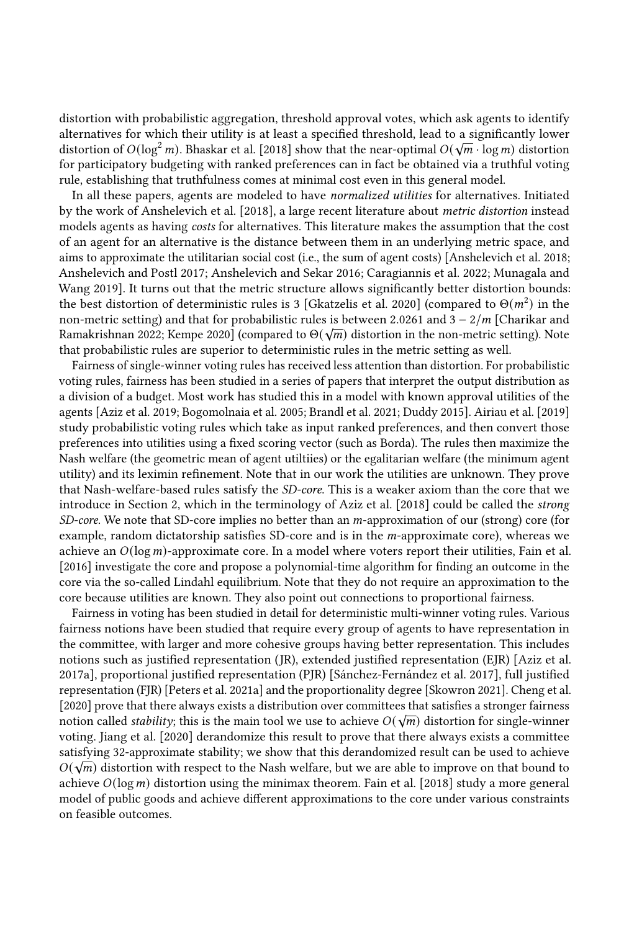distortion with probabilistic aggregation, threshold approval votes, which ask agents to identify alternatives for which their utility is at least a specified threshold, lead to a significantly lower distortion of  $O(\log^2 m)$ . [Bhaskar et al.](#page-19-1) [\[2018\]](#page-19-1) show that the near-optimal  $O(\sqrt{m} \cdot \log m)$  distortion for participatory budgeting with ranked preferences can in fact be obtained via a truthful voting rule, establishing that truthfulness comes at minimal cost even in this general model.

In all these papers, agents are modeled to have normalized utilities for alternatives. Initiated by the work of [Anshelevich et al.](#page-19-7) [\[2018\]](#page-19-7), a large recent literature about metric distortion instead models agents as having costs for alternatives. This literature makes the assumption that the cost of an agent for an alternative is the distance between them in an underlying metric space, and aims to approximate the utilitarian social cost (i.e., the sum of agent costs) [\[Anshelevich et al.](#page-19-7) [2018;](#page-19-7) [Anshelevich and Postl 2017;](#page-19-8) [Anshelevich and Sekar 2016;](#page-19-9) [Caragiannis et al.](#page-19-10) [2022;](#page-19-10) [Munagala and](#page-20-8) [Wang 2019\]](#page-20-8). It turns out that the metric structure allows significantly better distortion bounds: the best distortion of deterministic rules is 3 [\[Gkatzelis et al.](#page-20-9) [2020\]](#page-20-9) (compared to  $\Theta(m^2)$  in the non-metric setting) and that for probabilistic rules is between 2.0261 and  $3 - \frac{2}{m}$  [\[Charikar and](#page-19-11) [Ramakrishnan 2022;](#page-19-11) [Kempe 2020\]](#page-20-10) (compared to  $\Theta(\sqrt{m})$  distortion in the non-metric setting). Note that probabilistic rules are superior to deterministic rules in the metric setting as well.

Fairness of single-winner voting rules has received less attention than distortion. For probabilistic voting rules, fairness has been studied in a series of papers that interpret the output distribution as a division of a budget. Most work has studied this in a model with known approval utilities of the agents [\[Aziz et al.](#page-19-12) [2019;](#page-19-12) [Bogomolnaia et al.](#page-19-13) [2005;](#page-19-13) [Brandl et al.](#page-19-14) [2021;](#page-19-14) [Duddy 2015\]](#page-19-15). [Airiau et al.](#page-19-16) [\[2019\]](#page-19-16) study probabilistic voting rules which take as input ranked preferences, and then convert those preferences into utilities using a fixed scoring vector (such as Borda). The rules then maximize the Nash welfare (the geometric mean of agent utiltiies) or the egalitarian welfare (the minimum agent utility) and its leximin refinement. Note that in our work the utilities are unknown. They prove that Nash-welfare-based rules satisfy the SD-core. This is a weaker axiom than the core that we introduce in [Section 2,](#page-5-0) which in the terminology of [Aziz et al.](#page-19-17) [\[2018\]](#page-19-17) could be called the strong  $SD-core$ . We note that SD-core implies no better than an  $m$ -approximation of our (strong) core (for example, random dictatorship satisfies SD-core and is in the  $m$ -approximate core), whereas we achieve an  $O(\log m)$ -approximate core. In a model where voters report their utilities, [Fain et al.](#page-20-7) [\[2016\]](#page-20-7) investigate the core and propose a polynomial-time algorithm for finding an outcome in the core via the so-called Lindahl equilibrium. Note that they do not require an approximation to the core because utilities are known. They also point out connections to proportional fairness.

Fairness in voting has been studied in detail for deterministic multi-winner voting rules. Various fairness notions have been studied that require every group of agents to have representation in the committee, with larger and more cohesive groups having better representation. This includes notions such as justified representation (JR), extended justified representation (EJR) [\[Aziz et al.](#page-19-18) [2017a\]](#page-19-18), proportional justified representation (PJR) [\[Sánchez-Fernández et al.](#page-20-11) [2017\]](#page-20-11), full justified representation (FJR) [\[Peters et al.](#page-20-12) [2021a\]](#page-20-12) and the proportionality degree [\[Skowron 2021\]](#page-20-13). [Cheng et al.](#page-19-19) [\[2020\]](#page-19-19) prove that there always exists a distribution over committees that satisfies a stronger fairness √ notion called *stability*; this is the main tool we use to achieve  $O(\sqrt{m})$  distortion for single-winner voting. [Jiang et al.](#page-20-14) [\[2020\]](#page-20-14) derandomize this result to prove that there always exists a committee satisfying 32-approximate stability; we show that this derandomized result can be used to achieve  $O(\sqrt{m})$  distortion with respect to the Nash welfare, but we are able to improve on that bound to achieve  $O(\log m)$  distortion using the minimax theorem. [Fain et al.](#page-20-15) [\[2018\]](#page-20-15) study a more general model of public goods and achieve different approximations to the core under various constraints on feasible outcomes.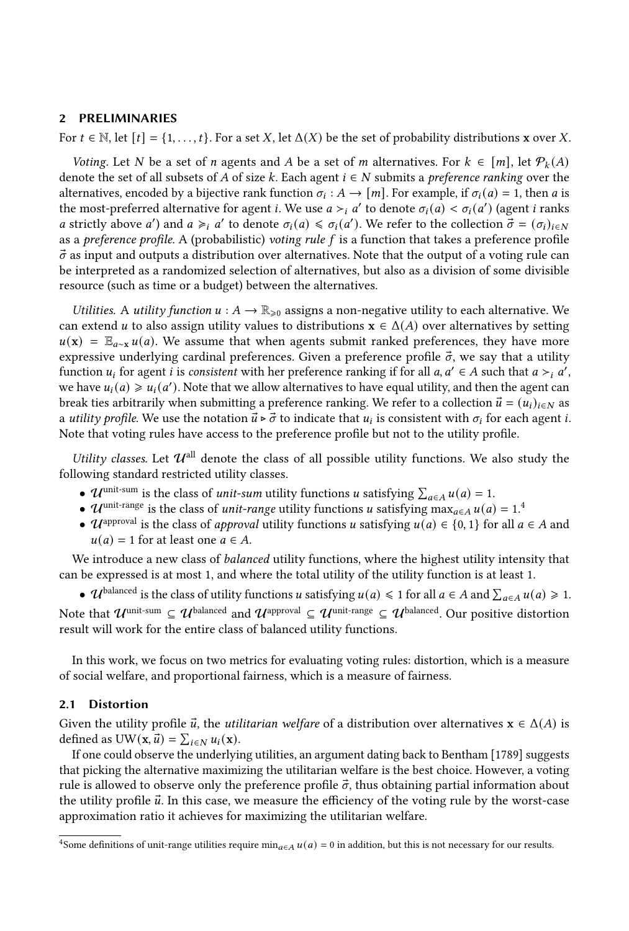# <span id="page-5-0"></span>2 PRELIMINARIES

For  $t \in \mathbb{N}$ , let  $[t] = \{1, \ldots, t\}$ . For a set X, let  $\Delta(X)$  be the set of probability distributions x over X.

Voting. Let N be a set of n agents and A be a set of m alternatives. For  $k \in [m]$ , let  $\mathcal{P}_k(A)$ denote the set of all subsets of A of size k. Each agent  $i \in N$  submits a *preference ranking* over the alternatives, encoded by a bijective rank function  $\sigma_i : A \to [m]$ . For example, if  $\sigma_i(a) = 1$ , then a is the most-preferred alternative for agent *i*. We use  $a >_i a'$  to denote  $\sigma_i(a) < \sigma_i(a')$  (agent *i* ranks a strictly above a') and  $a \geq i$  a' to denote  $\sigma_i(a) \leq \sigma_i(a')$ . We refer to the collection  $\vec{\sigma} = (\sigma_i)_{i \in \mathbb{N}}$ as a preference profile. A (probabilistic) voting rule  $f$  is a function that takes a preference profile  $\vec{\sigma}$  as input and outputs a distribution over alternatives. Note that the output of a voting rule can be interpreted as a randomized selection of alternatives, but also as a division of some divisible resource (such as time or a budget) between the alternatives.

Utilities. A utility function  $u : A \to \mathbb{R}_{\geqslant 0}$  assigns a non-negative utility to each alternative. We can extend *u* to also assign utility values to distributions  $\mathbf{x} \in \Delta(A)$  over alternatives by setting  $u(\mathbf{x}) = \mathbb{E}_{a \sim \mathbf{x}} u(a)$ . We assume that when agents submit ranked preferences, they have more expressive underlying cardinal preferences. Given a preference profile  $\vec{\sigma}$ , we say that a utility function  $u_i$  for agent *i* is consistent with her preference ranking if for all  $a, a' \in A$  such that  $a >_i a'$ , we have  $u_i(a) \geq u_i(a')$ . Note that we allow alternatives to have equal utility, and then the agent can break ties arbitrarily when submitting a preference ranking. We refer to a collection  $\vec{u} = (u_i)_{i \in \mathbb{N}}$  as a utility profile. We use the notation  $\vec{u} \triangleright \vec{\sigma}$  to indicate that  $u_i$  is consistent with  $\sigma_i$  for each agent i. Note that voting rules have access to the preference profile but not to the utility profile.

*Utility classes.* Let  $\mathcal{U}^{\text{all}}$  denote the class of all possible utility functions. We also study the following standard restricted utility classes.

- $\mathcal{U}^{\text{unit-sum}}$  is the class of *unit-sum* utility functions *u* satisfying  $\sum_{a \in A} u(a) = 1$ .
- $\mathcal{U}^{\text{unit-range}}$  is the class of *unit-range* utility functions *u* satisfying max<sub>*a*∈A</sub>  $u(a) = 1.4$  $u(a) = 1.4$
- $\mathcal{U}^{\text{approxal}}$  is the class of *approval* utility functions u satisfying  $u(a) \in \{0, 1\}$  for all  $a \in A$  and  $u(a) = 1$  for at least one  $a \in A$ .

We introduce a new class of *balanced* utility functions, where the highest utility intensity that can be expressed is at most 1, and where the total utility of the utility function is at least 1.

• U<sup>balanced</sup> is the class of utility functions u satisfying  $u(a) \leq 1$  for all  $a \in A$  and  $\sum_{a \in A} u(a) \geq 1$ . Note that  $\mathcal{U}^{\text{unit-sum}} \subset \mathcal{U}^{\text{balanced}}$  and  $\mathcal{U}^{\text{approxul}} \subseteq \mathcal{U}^{\text{unit-range}} \subset \mathcal{U}^{\text{balanced}}$ . Our positive distortion result will work for the entire class of balanced utility functions.

In this work, we focus on two metrics for evaluating voting rules: distortion, which is a measure of social welfare, and proportional fairness, which is a measure of fairness.

# 2.1 Distortion

Given the utility profile  $\vec{u}$ , the *utilitarian welfare* of a distribution over alternatives  $\mathbf{x} \in \Delta(A)$  is defined as  $U W(\mathbf{x}, \vec{u}) = \sum_{i \in N} u_i(\mathbf{x}).$ 

If one could observe the underlying utilities, an argument dating back to [Bentham](#page-19-20) [\[1789\]](#page-19-20) suggests that picking the alternative maximizing the utilitarian welfare is the best choice. However, a voting rule is allowed to observe only the preference profile  $\vec{\sigma}$ , thus obtaining partial information about the utility profile  $\vec{u}$ . In this case, we measure the efficiency of the voting rule by the worst-case approximation ratio it achieves for maximizing the utilitarian welfare.

<span id="page-5-2"></span><span id="page-5-1"></span><sup>&</sup>lt;sup>4</sup>Some definitions of unit-range utilities require min<sub>a∈A</sub>  $u(a) = 0$  in addition, but this is not necessary for our results.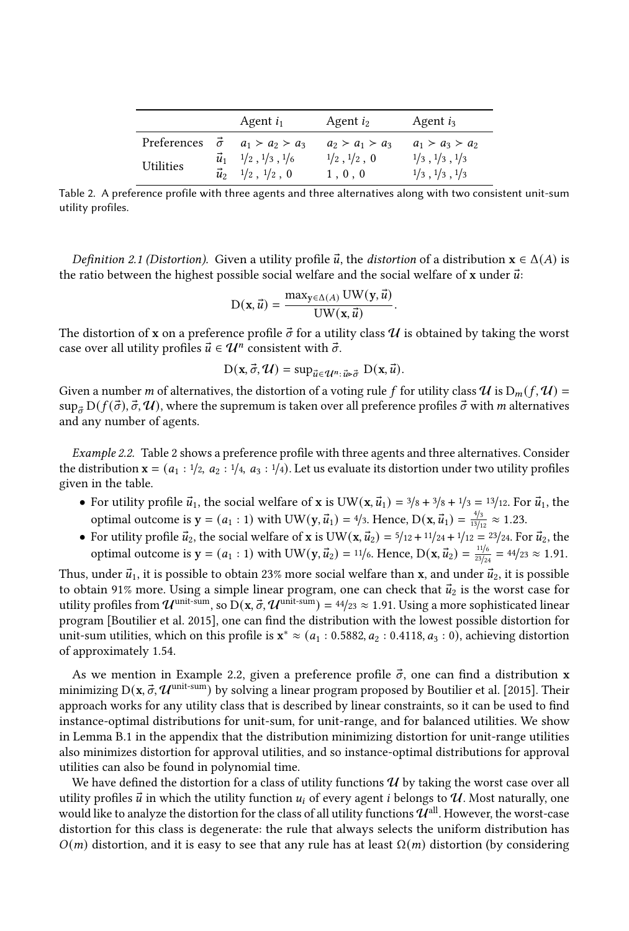<span id="page-6-0"></span>

|                  |             | Agent $i_1$                                                            | Agent $i_2$                  | Agent $i_3$                                    |
|------------------|-------------|------------------------------------------------------------------------|------------------------------|------------------------------------------------|
| Preferences      |             | $\vec{\sigma}$ $a_1 > a_2 > a_3$                                       | $a_2 > a_1 > a_3$            | $a_1 > a_3 > a_2$                              |
| <b>Utilities</b> | $\vec{u}_2$ | $\vec{u}_1$ $1/2$ , $1/3$ , $1/6$<br>$\frac{1}{2}$ , $\frac{1}{2}$ , 0 | $1/2$ , $1/2$ , 0<br>1, 0, 0 | $1/3$ , $1/3$ , $1/3$<br>$1/3$ , $1/3$ , $1/3$ |

Table 2. A preference profile with three agents and three alternatives along with two consistent unit-sum utility profiles.

*Definition 2.1 (Distortion).* Given a utility profile  $\vec{u}$ , the *distortion* of a distribution  $\mathbf{x} \in \Delta(A)$  is the ratio between the highest possible social welfare and the social welfare of x under  $\vec{u}$ :

$$
D(\mathbf{x}, \vec{u}) = \frac{\max_{\mathbf{y} \in \Delta(A)} UW(\mathbf{y}, \vec{u})}{UW(\mathbf{x}, \vec{u})}
$$

.

The distortion of x on a preference profile  $\vec{\sigma}$  for a utility class  $\mathcal U$  is obtained by taking the worst case over all utility profiles  $\vec{u} \in \mathcal{U}^n$  consistent with  $\vec{\sigma}$ .

$$
D(\mathbf{x}, \vec{\sigma}, \mathcal{U}) = \sup_{\vec{u} \in \mathcal{U}^n : \vec{u} \mapsto \vec{\sigma}} D(\mathbf{x}, \vec{u}).
$$

Given a number *m* of alternatives, the distortion of a voting rule f for utility class  $\mathcal{U}$  is  $D_m(f, \mathcal{U}) =$  $\sup_{\vec{\sigma}} D(f(\vec{\sigma}), \vec{\sigma}, \mathcal{U})$ , where the supremum is taken over all preference profiles  $\vec{\sigma}$  with m alternatives and any number of agents.

<span id="page-6-1"></span>Example 2.2. [Table 2](#page-6-0) shows a preference profile with three agents and three alternatives. Consider the distribution  $\mathbf{x} = (a_1 : 1/2, a_2 : 1/4, a_3 : 1/4)$ . Let us evaluate its distortion under two utility profiles given in the table.

- For utility profile  $\vec{u}_1$ , the social welfare of x is UW(x,  $\vec{u}_1$ ) = 3/8 + 3/8 + 1/3 = 13/12. For  $\vec{u}_1$ , the optimal outcome is  $y = (a_1 : 1)$  with UW $(y, \vec{u}_1) = 4/3$ . Hence,  $D(x, \vec{u}_1) = \frac{4/3}{13/13}$  $\frac{4/3}{13/12} \approx 1.23.$
- For utility profile  $\vec{u}_2$ , the social welfare of x is UW(x,  $\vec{u}_2$ ) = 5/12 + 11/24 + 1/12 = 23/24. For  $\vec{u}_2$ , the optimal outcome is  $y = (a_1 : 1)$  with UW $(y, \vec{u}_2) = 11/6$ . Hence,  $D(x, \vec{u}_2) = \frac{11/6}{23/6}$ .  $rac{11/6}{23/24} = 44/23 \approx 1.91.$

Thus, under  $\vec{u}_1$ , it is possible to obtain 23% more social welfare than x, and under  $\vec{u}_2$ , it is possible to obtain 91% more. Using a simple linear program, one can check that  $\vec{u}_2$  is the worst case for utility profiles from  $\mathcal{U}^{\text{unit-sum}}$ , so  $D(x, \vec{\sigma}, \mathcal{U}^{\text{unit-sum}}) = 44/23 \approx 1.91$ . Using a more sophisticated linear program [\[Boutilier et al.](#page-19-0) [2015\]](#page-19-0), one can find the distribution with the lowest possible distortion for unit-sum utilities, which on this profile is  $\mathbf{x}^* \approx (a_1 : 0.5882, a_2 : 0.4118, a_3 : 0)$ , achieving distortion of approximately 1.54.

As we mention in [Example 2.2,](#page-6-1) given a preference profile  $\vec{\sigma}$ , one can find a distribution **x** minimizing D(x,  $\vec{\sigma}$ ,  $\mathcal{U}^{\text{unit-sum}}$ ) by solving a linear program proposed by [Boutilier et al.](#page-19-0) [\[2015\]](#page-19-0). Their approach works for any utility class that is described by linear constraints, so it can be used to find instance-optimal distributions for unit-sum, for unit-range, and for balanced utilities. We show in [Lemma B.1](#page-22-0) in the appendix that the distribution minimizing distortion for unit-range utilities also minimizes distortion for approval utilities, and so instance-optimal distributions for approval utilities can also be found in polynomial time.

We have defined the distortion for a class of utility functions  $U$  by taking the worst case over all utility profiles  $\vec{u}$  in which the utility function  $u_i$  of every agent *i* belongs to  $\mathcal{U}$ . Most naturally, one would like to analyze the distortion for the class of all utility functions  $\mathcal{U}^{\text{all}}$ . However, the worst-case distortion for this class is degenerate: the rule that always selects the uniform distribution has  $O(m)$  distortion, and it is easy to see that any rule has at least  $\Omega(m)$  distortion (by considering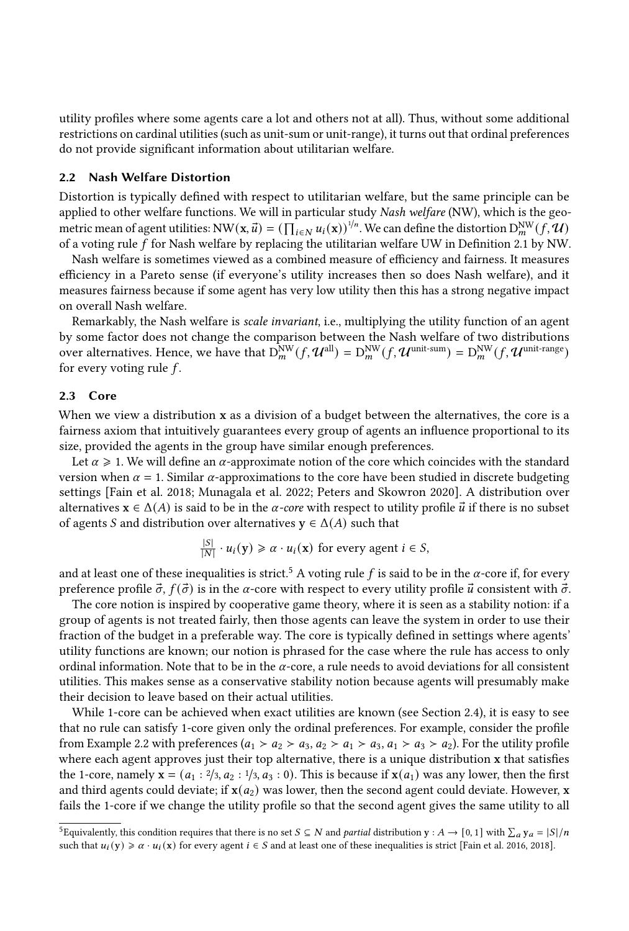utility profiles where some agents care a lot and others not at all). Thus, without some additional restrictions on cardinal utilities (such as unit-sum or unit-range), it turns out that ordinal preferences do not provide significant information about utilitarian welfare.

# 2.2 Nash Welfare Distortion

Distortion is typically defined with respect to utilitarian welfare, but the same principle can be applied to other welfare functions. We will in particular study Nash welfare (NW), which is the geometric mean of agent utilities: NW(x,  $\vec{u}$ ) =  $(\prod_{i \in N} u_i(\mathbf{x}))^{1/n}$ . We can define the distortion  $D_m^{\text{NW}}(f, \mathcal{U})$ of a voting rule  $f$  for Nash welfare by replacing the utilitarian welfare UW in [Definition 2.1](#page-5-2) by NW.

Nash welfare is sometimes viewed as a combined measure of efficiency and fairness. It measures efficiency in a Pareto sense (if everyone's utility increases then so does Nash welfare), and it measures fairness because if some agent has very low utility then this has a strong negative impact on overall Nash welfare.

Remarkably, the Nash welfare is scale invariant, i.e., multiplying the utility function of an agent by some factor does not change the comparison between the Nash welfare of two distributions over alternatives. Hence, we have that  $D_m^{\text{NW}}(f, \mathcal{U}^{\text{all}}) = D_m^{\text{NW}}(f, \mathcal{U}^{\text{unit-sum}}) = D_m^{\text{NW}}(f, \mathcal{U}^{\text{unit-range}})$ for every voting rule  $f$ .

# 2.3 Core

When we view a distribution x as a division of a budget between the alternatives, the core is a fairness axiom that intuitively guarantees every group of agents an influence proportional to its size, provided the agents in the group have similar enough preferences.

Let  $\alpha \geq 1$ . We will define an  $\alpha$ -approximate notion of the core which coincides with the standard version when  $\alpha = 1$ . Similar  $\alpha$ -approximations to the core have been studied in discrete budgeting settings [\[Fain et al.](#page-20-15) [2018;](#page-20-15) [Munagala et al.](#page-20-16) [2022;](#page-20-16) [Peters and Skowron 2020\]](#page-20-17). A distribution over alternatives  $\mathbf{x} \in \Delta(A)$  is said to be in the  $\alpha$ -core with respect to utility profile  $\vec{u}$  if there is no subset of agents *S* and distribution over alternatives  $y \in \Delta(A)$  such that

$$
\frac{|S|}{|N|} \cdot u_i(y) \ge \alpha \cdot u_i(x)
$$
 for every agent  $i \in S$ ,

and at least one of these inequalities is strict.<sup>[5](#page-7-0)</sup> A voting rule f is said to be in the  $\alpha$ -core if, for every preference profile  $\vec{\sigma}$ ,  $f(\vec{\sigma})$  is in the  $\alpha$ -core with respect to every utility profile  $\vec{u}$  consistent with  $\vec{\sigma}$ .

The core notion is inspired by cooperative game theory, where it is seen as a stability notion: if a group of agents is not treated fairly, then those agents can leave the system in order to use their fraction of the budget in a preferable way. The core is typically defined in settings where agents' utility functions are known; our notion is phrased for the case where the rule has access to only ordinal information. Note that to be in the  $\alpha$ -core, a rule needs to avoid deviations for all consistent utilities. This makes sense as a conservative stability notion because agents will presumably make their decision to leave based on their actual utilities.

While 1-core can be achieved when exact utilities are known (see [Section 2.4\)](#page-8-0), it is easy to see that no rule can satisfy 1-core given only the ordinal preferences. For example, consider the profile from [Example 2.2](#page-6-1) with preferences  $(a_1 > a_2 > a_3, a_2 > a_1 > a_3, a_1 > a_3 > a_2$ ). For the utility profile where each agent approves just their top alternative, there is a unique distribution x that satisfies the 1-core, namely  $\mathbf{x} = (a_1 : 2/3, a_2 : 1/3, a_3 : 0)$ . This is because if  $\mathbf{x}(a_1)$  was any lower, then the first and third agents could deviate; if  $\mathbf{x}(a_2)$  was lower, then the second agent could deviate. However, x fails the 1-core if we change the utility profile so that the second agent gives the same utility to all

<span id="page-7-0"></span><sup>&</sup>lt;sup>5</sup>Equivalently, this condition requires that there is no set  $S \subseteq N$  and *partial* distribution  $y : A \to [0, 1]$  with  $\sum_a y_a = |S|/n$ such that  $u_i(y) \ge \alpha \cdot u_i(x)$  for every agent  $i \in S$  and at least one of these inequalities is strict [\[Fain et al. 2016,](#page-20-7) [2018\]](#page-20-15).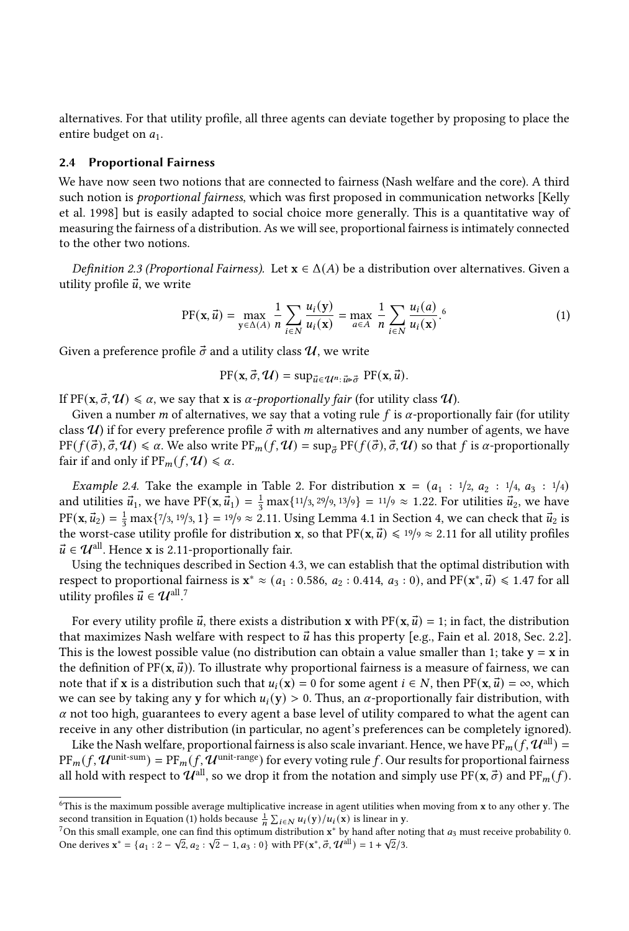alternatives. For that utility profile, all three agents can deviate together by proposing to place the entire budget on  $a_1$ .

# <span id="page-8-0"></span>2.4 Proportional Fairness

We have now seen two notions that are connected to fairness (Nash welfare and the core). A third such notion is *proportional fairness*, which was first proposed in communication networks [\[Kelly](#page-20-18) [et al.](#page-20-18) [1998\]](#page-20-18) but is easily adapted to social choice more generally. This is a quantitative way of measuring the fairness of a distribution. As we will see, proportional fairness is intimately connected to the other two notions.

<span id="page-8-4"></span>Definition 2.3 (Proportional Fairness). Let  $\mathbf{x} \in \Delta(A)$  be a distribution over alternatives. Given a utility profile  $\vec{u}$ , we write

<span id="page-8-3"></span>
$$
PF(\mathbf{x}, \vec{u}) = \max_{\mathbf{y} \in \Delta(A)} \frac{1}{n} \sum_{i \in N} \frac{u_i(\mathbf{y})}{u_i(\mathbf{x})} = \max_{a \in A} \frac{1}{n} \sum_{i \in N} \frac{u_i(a)}{u_i(\mathbf{x})}.
$$
 (1)

Given a preference profile  $\vec{\sigma}$  and a utility class  $\mathcal{U}$ , we write

 $PF(\mathbf{x}, \vec{\sigma}, \mathcal{U}) = \sup_{\vec{u} \in \mathcal{U}^{n} : \vec{u} \in \vec{\sigma}} PF(\mathbf{x}, \vec{u}).$ 

If PF( $\mathbf{x}, \vec{\sigma}, \mathcal{U}$ )  $\le \alpha$ , we say that **x** is  $\alpha$ -proportionally fair (for utility class  $\mathcal{U}$ ).

Given a number  $m$  of alternatives, we say that a voting rule  $f$  is  $\alpha$ -proportionally fair (for utility class  $\mathcal{U}$ ) if for every preference profile  $\vec{\sigma}$  with *m* alternatives and any number of agents, we have  $PF(f(\vec{\sigma}), \vec{\sigma}, \mathcal{U}) \leq \alpha$ . We also write  $PF_m(f, \mathcal{U}) = \sup_{\vec{\sigma}} PF(f(\vec{\sigma}), \vec{\sigma}, \mathcal{U})$  so that f is  $\alpha$ -proportionally fair if and only if  $PF_m(f, U) \leq \alpha$ .

*Example 2.4.* Take the example in [Table 2.](#page-6-0) For distribution  $x = (a_1 : 1/2, a_2 : 1/4, a_3 : 1/4)$ and utilities  $\vec{u}_1$ , we have PF( $\mathbf{x}, \dot{\vec{u}}_1$ ) =  $\frac{1}{3}$  max{11/3, 29/9, 13/9} = 11/9  $\approx$  1.22. For utilities  $\vec{u}_2$ , we have  $PF(x, \vec{u}_2) = \frac{1}{3} \max\{7/3, 19/3, 1\} = 19/9 \approx 2.11$ . Using [Lemma 4.1](#page-14-0) in [Section 4,](#page-14-1) we can check that  $\vec{u}_2$  is the worst-case utility profile for distribution x, so that  $PF(x, \vec{u}) \le 19/9 \approx 2.11$  for all utility profiles  $\vec{u} \in \mathcal{U}^{\text{all}}$ . Hence **x** is 2.11-proportionally fair.

Using the techniques described in [Section 4.3,](#page-17-0) we can establish that the optimal distribution with respect to proportional fairness is  $\mathbf{x}^* \approx (a_1 : 0.586, a_2 : 0.414, a_3 : 0)$ , and  $\overline{PF}(\mathbf{x}^*, \vec{u}) \leq 1.47$  for all utility profiles  $\vec{u} \in \mathcal{U}^{\text{all}$ .<sup>[7](#page-8-2)</sup>

For every utility profile  $\vec{u}$ , there exists a distribution x with PF(x, $\vec{u}$ ) = 1; in fact, the distribution that maximizes Nash welfare with respect to  $\vec{u}$  has this property [e.g., [Fain et al.](#page-20-15) [2018,](#page-20-15) Sec. 2.2]. This is the lowest possible value (no distribution can obtain a value smaller than 1; take  $y = x$  in the definition of  $PF(x, \vec{u})$ . To illustrate why proportional fairness is a measure of fairness, we can note that if x is a distribution such that  $u_i(\mathbf{x}) = 0$  for some agent  $i \in N$ , then PF( $\mathbf{x}, \mathbf{u}^i = \infty$ , which we can see by taking any y for which  $u_i(y) > 0$ . Thus, an  $\alpha$ -proportionally fair distribution, with  $\alpha$  not too high, guarantees to every agent a base level of utility compared to what the agent can receive in any other distribution (in particular, no agent's preferences can be completely ignored).

Like the Nash welfare, proportional fairness is also scale invariant. Hence, we have  $PF_m(f, \mathcal{U}^{\text{all}}) =$  $PF_m(f, \mathcal{U}^{\text{unit-sum}}) = PF_m(f, \mathcal{U}^{\text{unit-range}})$  for every voting rule f. Our results for proportional fairness all hold with respect to  $\mathcal{U}^{\text{all}}$ , so we drop it from the notation and simply use  $PF(\mathbf{x}, \vec{\sigma})$  and  $PF_m(f)$ .

<span id="page-8-1"></span> $^6$ This is the maximum possible average multiplicative increase in agent utilities when moving from  ${\bf x}$  to any other  ${\bf y}$ . The second transition in [Equation \(1\)](#page-8-3) holds because  $\frac{1}{n} \sum_{i \in \mathbb{N}} u_i(y)/u_i(x)$  is linear in y.

<span id="page-8-2"></span><sup>&</sup>lt;sup>7</sup>On this small example, one can find this optimum distribution  $x^*$  by hand after noting that  $a_3$  must receive probability 0. One derives  $\mathbf{x}^* = \{a_1 : 2 - \sqrt{2}, a_2 : \sqrt{2} - 1, a_3 : 0\}$  with PF( $\mathbf{x}^*, \vec{\sigma}, \mathcal{U}^{\text{all}}$ ) = 1 +  $\sqrt{2}/3$ .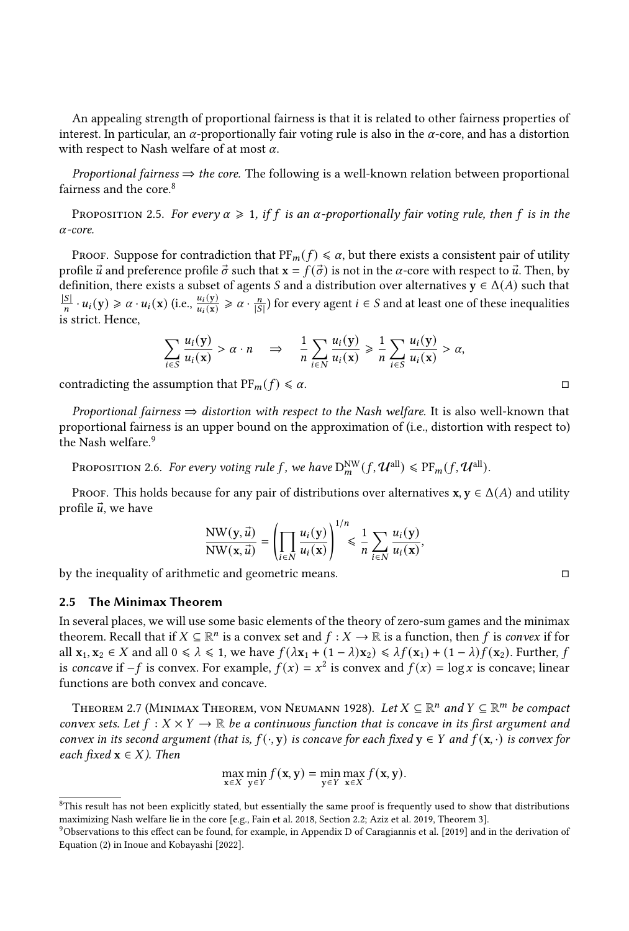An appealing strength of proportional fairness is that it is related to other fairness properties of interest. In particular, an  $\alpha$ -proportionally fair voting rule is also in the  $\alpha$ -core, and has a distortion with respect to Nash welfare of at most  $\alpha$ .

*Proportional fairness*  $\Rightarrow$  *the core.* The following is a well-known relation between proportional fairness and the core.<sup>[8](#page-9-0)</sup>

<span id="page-9-3"></span>PROPOSITION 2.5. For every  $\alpha \geq 1$ , if f is an  $\alpha$ -proportionally fair voting rule, then f is in the  $\alpha$ -core.

Proof. Suppose for contradiction that  $PF_m(f) \leq \alpha$ , but there exists a consistent pair of utility profile  $\vec{u}$  and preference profile  $\vec{\sigma}$  such that  $\mathbf{x} = f(\vec{\sigma})$  is not in the  $\alpha$ -core with respect to  $\vec{u}$ . Then, by definition, there exists a subset of agents *S* and a distribution over alternatives  $y \in \Delta(A)$  such that  $\frac{|S|}{n} \cdot u_i(y) \ge \alpha \cdot u_i(x)$  (i.e.,  $\frac{u_i(y)}{u_i(x)} \ge \alpha \cdot \frac{n}{|S|}$ ) for every agent  $i \in S$  and at least one of these inequalities is strict. Hence,

$$
\sum_{i\in S}\frac{u_i(y)}{u_i(x)} > \alpha \cdot n \quad \Rightarrow \quad \frac{1}{n}\sum_{i\in N}\frac{u_i(y)}{u_i(x)} \geq \frac{1}{n}\sum_{i\in S}\frac{u_i(y)}{u_i(x)} > \alpha,
$$

contradicting the assumption that  $PF_m(f) \leq \alpha$ .

*Proportional fairness*  $\Rightarrow$  *distortion with respect to the Nash welfare.* It is also well-known that proportional fairness is an upper bound on the approximation of (i.e., distortion with respect to) the Nash welfare.<sup>[9](#page-9-1)</sup>

<span id="page-9-4"></span>PROPOSITION 2.6. For every voting rule f , we have  $\mathcal{D}_m^{\text{NW}}(f, \mathcal{U}^{\text{all}}) \leqslant \text{PF}_m(f, \mathcal{U}^{\text{all}})$ .

Proof. This holds because for any pair of distributions over alternatives  $x, y \in \Delta(A)$  and utility profile  $\vec{u}$ , we have

$$
\frac{\text{NW}(\mathbf{y},\vec{u})}{\text{NW}(\mathbf{x},\vec{u})} = \left(\prod_{i\in\mathbb{N}}\frac{u_i(\mathbf{y})}{u_i(\mathbf{x})}\right)^{1/n} \leq \frac{1}{n}\sum_{i\in\mathbb{N}}\frac{u_i(\mathbf{y})}{u_i(\mathbf{x})},
$$

by the inequality of arithmetic and geometric means.  $\Box$ 

#### 2.5 The Minimax Theorem

In several places, we will use some basic elements of the theory of zero-sum games and the minimax theorem. Recall that if  $X \subseteq \mathbb{R}^n$  is a convex set and  $f: X \to \mathbb{R}$  is a function, then f is convex if for all  $x_1, x_2 \in X$  and all  $0 \le \lambda \le 1$ , we have  $f(\lambda x_1 + (1 - \lambda)x_2) \le \lambda f(x_1) + (1 - \lambda)f(x_2)$ . Further, f is concave if  $-f$  is convex. For example,  $f(x) = x^2$  is convex and  $f(x) = \log x$  is concave; linear functions are both convex and concave.

<span id="page-9-2"></span>THEOREM 2.7 (MINIMAX THEOREM, VON NEUMANN 1928). Let  $X \subseteq \mathbb{R}^n$  and  $Y \subseteq \mathbb{R}^m$  be compact convex sets. Let  $f: X \times Y \to \mathbb{R}$  be a continuous function that is concave in its first argument and convex in its second argument (that is,  $f(\cdot, y)$  is concave for each fixed  $y \in Y$  and  $f(x, \cdot)$  is convex for each fixed  $x \in X$ ). Then

$$
\max_{\mathbf{x}\in X}\min_{\mathbf{y}\in Y}f(\mathbf{x},\mathbf{y})=\min_{\mathbf{y}\in Y}\max_{\mathbf{x}\in X}f(\mathbf{x},\mathbf{y}).
$$

<span id="page-9-0"></span> $8$ This result has not been explicitly stated, but essentially the same proof is frequently used to show that distributions maximizing Nash welfare lie in the core [e.g., [Fain et al. 2018,](#page-20-15) Section 2.2; [Aziz et al. 2019,](#page-19-12) Theorem 3].

<span id="page-9-1"></span><sup>9</sup>Observations to this effect can be found, for example, in Appendix D of [Caragiannis et al.](#page-19-21) [\[2019\]](#page-19-21) and in the derivation of Equation (2) in [Inoue and Kobayashi](#page-20-20) [\[2022\]](#page-20-20).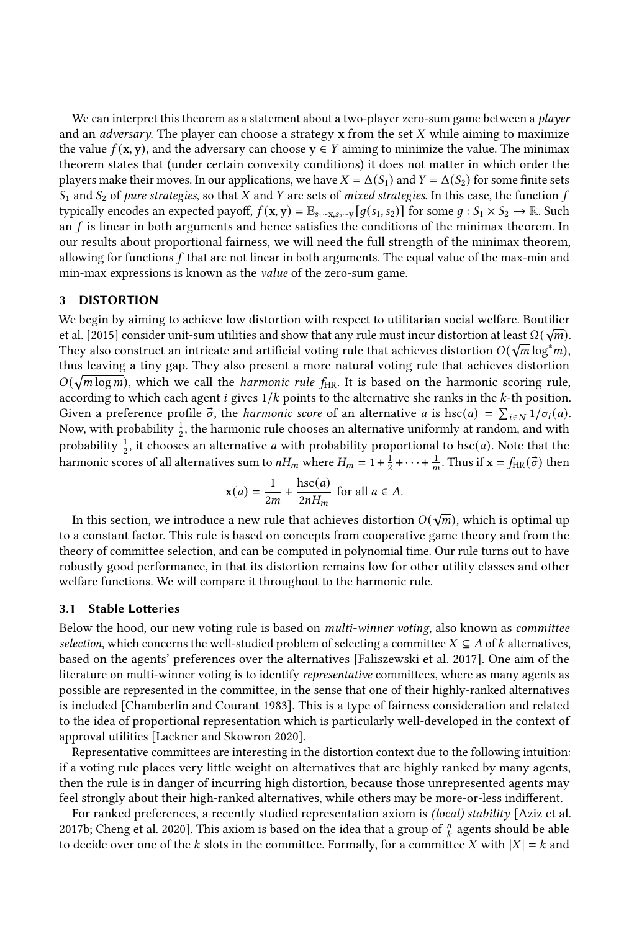We can interpret this theorem as a statement about a two-player zero-sum game between a player and an *adversary*. The player can choose a strategy  $x$  from the set  $X$  while aiming to maximize the value  $f(x, y)$ , and the adversary can choose  $y \in Y$  aiming to minimize the value. The minimax theorem states that (under certain convexity conditions) it does not matter in which order the players make their moves. In our applications, we have  $X = \Delta(S_1)$  and  $Y = \Delta(S_2)$  for some finite sets  $S_1$  and  $S_2$  of pure strategies, so that X and Y are sets of mixed strategies. In this case, the function f typically encodes an expected payoff,  $f(x, y) = \mathbb{E}_{s_1 \sim x, s_2 \sim y}[g(s_1, s_2)]$  for some  $g : S_1 \times S_2 \to \mathbb{R}$ . Such an  $f$  is linear in both arguments and hence satisfies the conditions of the minimax theorem. In our results about proportional fairness, we will need the full strength of the minimax theorem, allowing for functions  $f$  that are not linear in both arguments. The equal value of the max-min and min-max expressions is known as the value of the zero-sum game.

# <span id="page-10-1"></span>3 DISTORTION

We begin by aiming to achieve low distortion with respect to utilitarian social welfare. [Boutilier](#page-19-0) [et al.](#page-19-0) [\[2015\]](#page-19-0) consider unit-sum utilities and show that any rule must incur distortion at least  $\Omega(\sqrt{m})$ . They also construct an intricate and artificial voting rule that achieves distortion  $O(\sqrt{m} \log^* m)$ , thus leaving a tiny gap. They also present a more natural voting rule that achieves distortion  $O(\sqrt{m \log m})$ , which we call the *harmonic rule*  $f_{HR}$ . It is based on the harmonic scoring rule, according to which each agent *i* gives  $1/k$  points to the alternative she ranks in the  $k$ -th position. Given a preference profile  $\vec{\sigma}$ , the *harmonic score* of an alternative *a* is hsc(*a*) =  $\sum_{i \in N} 1/\sigma_i(a)$ . Now, with probability  $\frac{1}{2}$ , the harmonic rule chooses an alternative uniformly at random, and with probability  $\frac{1}{2}$ , it chooses an alternative *a* with probability proportional to hsc(*a*). Note that the harmonic scores of all alternatives sum to  $nH_m$  where  $H_m = 1 + \frac{1}{2} + \cdots + \frac{1}{m}$ . Thus if  $\mathbf{x} = f_{HR}(\vec{\sigma})$  then

$$
\mathbf{x}(a) = \frac{1}{2m} + \frac{\text{hsc}(a)}{2nH_m} \text{ for all } a \in A.
$$

In this section, we introduce a new rule that achieves distortion  $O(\sqrt{m})$ , which is optimal up to a constant factor. This rule is based on concepts from cooperative game theory and from the theory of committee selection, and can be computed in polynomial time. Our rule turns out to have robustly good performance, in that its distortion remains low for other utility classes and other welfare functions. We will compare it throughout to the harmonic rule.

## <span id="page-10-0"></span>3.1 Stable Lotteries

Below the hood, our new voting rule is based on multi-winner voting, also known as committee selection, which concerns the well-studied problem of selecting a committee  $X \subseteq A$  of  $k$  alternatives, based on the agents' preferences over the alternatives [\[Faliszewski et al.](#page-20-21) [2017\]](#page-20-21). One aim of the literature on multi-winner voting is to identify representative committees, where as many agents as possible are represented in the committee, in the sense that one of their highly-ranked alternatives is included [\[Chamberlin and Courant 1983\]](#page-19-22). This is a type of fairness consideration and related to the idea of proportional representation which is particularly well-developed in the context of approval utilities [\[Lackner and Skowron 2020\]](#page-20-22).

Representative committees are interesting in the distortion context due to the following intuition: if a voting rule places very little weight on alternatives that are highly ranked by many agents, then the rule is in danger of incurring high distortion, because those unrepresented agents may feel strongly about their high-ranked alternatives, while others may be more-or-less indifferent.

For ranked preferences, a recently studied representation axiom is *(local)* stability [\[Aziz et al.](#page-19-23) [2017b;](#page-19-23) [Cheng et al.](#page-19-19) [2020\]](#page-19-19). This axiom is based on the idea that a group of  $\frac{n}{k}$  agents should be able to decide over one of the k slots in the committee. Formally, for a committee X with  $|X| = k$  and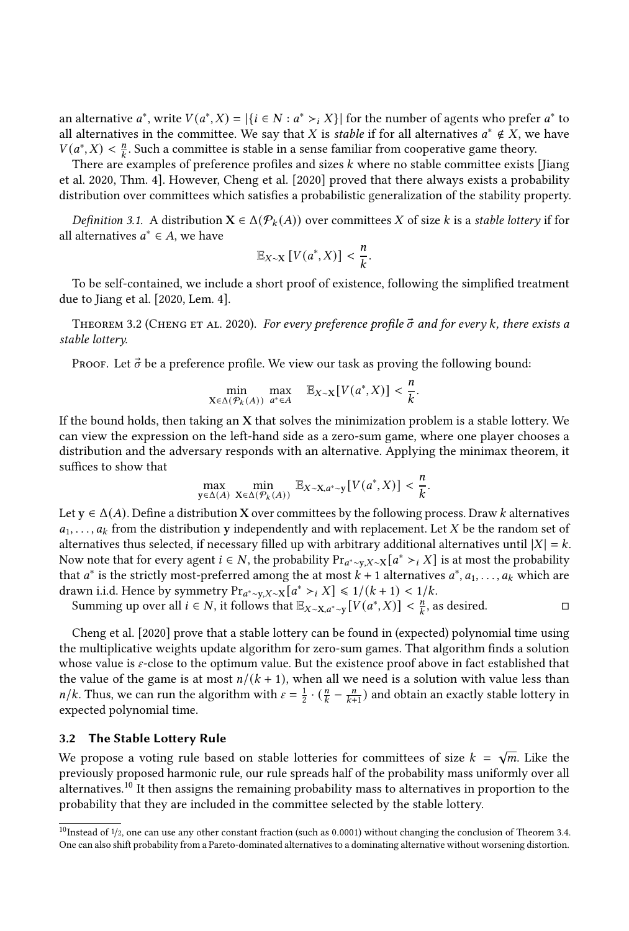an alternative  $a^*$ , write  $V(a^*, X) = |\{i \in N : a^* > i X\}|$  for the number of agents who prefer  $a^*$  to all alternatives in the committee. We say that X is *stable* if for all alternatives  $a^* \notin X$ , we have  $V(a^*, X) < \frac{n}{k}$ . Such a committee is stable in a sense familiar from cooperative game theory.

There are examples of preference profiles and sizes  $k$  where no stable committee exists [\[Jiang](#page-20-14) [et al.](#page-20-14) [2020,](#page-20-14) Thm. 4]. However, [Cheng et al.](#page-19-19) [\[2020\]](#page-19-19) proved that there always exists a probability distribution over committees which satisfies a probabilistic generalization of the stability property.

Definition 3.1. A distribution  $X \in \Delta(\mathcal{P}_k(A))$  over committees X of size k is a stable lottery if for all alternatives  $a^* \in A$ , we have

$$
\mathbb{E}_{X\sim X}\left[V(a^*,X)\right] < \frac{n}{k}.
$$

To be self-contained, we include a short proof of existence, following the simplified treatment due to [Jiang et al.](#page-20-14) [\[2020,](#page-20-14) Lem. 4].

THEOREM 3.2 (CHENG ET AL. [2020\)](#page-19-19). For every preference profile  $\vec{\sigma}$  and for every k, there exists a stable lottery.

Proof. Let  $\vec{\sigma}$  be a preference profile. We view our task as proving the following bound:

$$
\min_{\mathbf{X}\in\Delta(\mathcal{P}_k(A))}\max_{a^*\in A}\mathbb{E}_{X\sim\mathbf{X}}[V(a^*,X)] < \frac{n}{k}.
$$

If the bound holds, then taking an  $X$  that solves the minimization problem is a stable lottery. We can view the expression on the left-hand side as a zero-sum game, where one player chooses a distribution and the adversary responds with an alternative. Applying the minimax theorem, it suffices to show that  $\overline{n}$ 

$$
\max_{\mathbf{y}\in\Delta(A)}\min_{\mathbf{X}\in\Delta(\mathcal{P}_k(A))}\mathbb{E}_{X\sim\mathbf{X},a^*\sim\mathbf{y}}[V(a^*,X)]<\frac{n}{k}.
$$

Let  $y \in \Delta(A)$ . Define a distribution X over committees by the following process. Draw k alternatives  $a_1, \ldots, a_k$  from the distribution y independently and with replacement. Let X be the random set of alternatives thus selected, if necessary filled up with arbitrary additional alternatives until  $|X| = k$ . Now note that for every agent  $i \in N$ , the probability  $Pr_{a^* \sim y, X \sim X}[a^* \succ_i X]$  is at most the probability that  $a^*$  is the strictly most-preferred among the at most  $k + 1$  alternatives  $a^*, a_1, \ldots, a_k$  which are drawn i.i.d. Hence by symmetry  $Pr_{a^* \sim y, X \sim X}[a^* \succ_i X] \leq 1/(k+1) < 1/k$ .

Summing up over all  $i \in N$ , it follows that  $\mathbb{E}_{X \sim X, a^* \sim y}[V(a^*, X)] < \frac{n}{k}$ , as desired. □

[Cheng et al.](#page-19-19) [\[2020\]](#page-19-19) prove that a stable lottery can be found in (expected) polynomial time using the multiplicative weights update algorithm for zero-sum games. That algorithm finds a solution whose value is  $\varepsilon$ -close to the optimum value. But the existence proof above in fact established that the value of the game is at most  $n/(k + 1)$ , when all we need is a solution with value less than *n/k*. Thus, we can run the algorithm with  $\varepsilon = \frac{1}{2} \cdot (\frac{n}{k} - \frac{n}{k+1})$  and obtain an exactly stable lottery in expected polynomial time.

# 3.2 The Stable Lottery Rule

We propose a voting rule based on stable lotteries for committees of size  $k = \sqrt{m}$ . Like the previously proposed harmonic rule, our rule spreads half of the probability mass uniformly over all alternatives.<sup>[10](#page-11-0)</sup> It then assigns the remaining probability mass to alternatives in proportion to the probability that they are included in the committee selected by the stable lottery.

<span id="page-11-0"></span> $10$ Instead of 1/2, one can use any other constant fraction (such as 0.0001) without changing the conclusion of [Theorem 3.4.](#page-12-0) One can also shift probability from a Pareto-dominated alternatives to a dominating alternative without worsening distortion.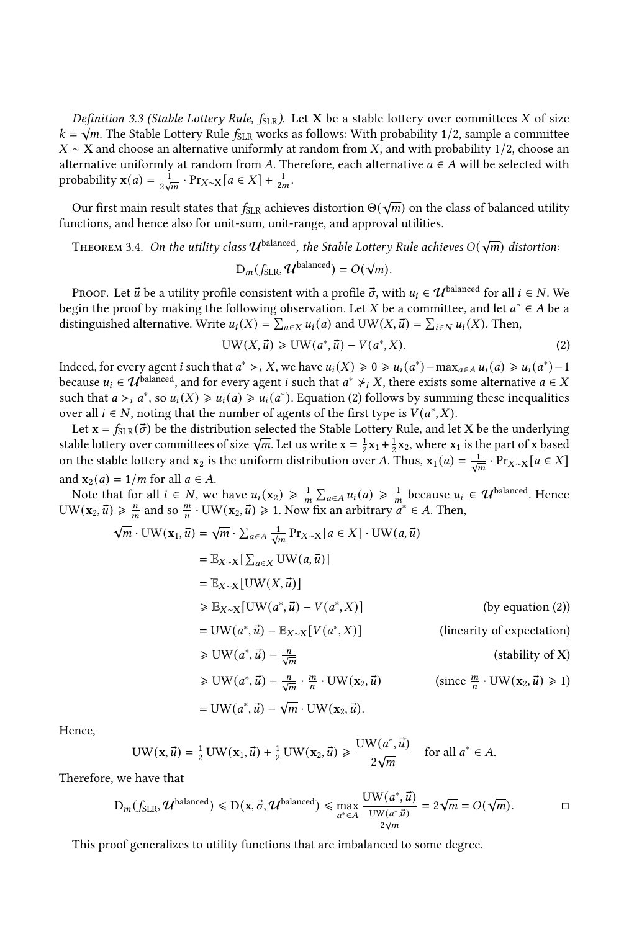Definition 3.3 (Stable Lottery Rule,  $f_{SLR}$ ). Let X be a stable lottery over committees X of size  $k = \sqrt{m}$ . The Stable Lottery Rule  $f_{SLR}$  works as follows: With probability 1/2, sample a committee  $X \sim X$  and choose an alternative uniformly at random from X, and with probability 1/2, choose an alternative uniformly at random from A. Therefore, each alternative  $a \in A$  will be selected with probability  $\mathbf{x}(a) = \frac{1}{2\sqrt{a}}$  $\frac{1}{2\sqrt{m}} \cdot \Pr_{X \sim X}[a \in X] + \frac{1}{2m}.$ 

Our first main result states that  $f_{\rm SLR}$  achieves distortion  $\Theta(\sqrt{m})$  on the class of balanced utility functions, and hence also for unit-sum, unit-range, and approval utilities.

<span id="page-12-0"></span>THEOREM 3.4. On the utility class  $\mathcal U^{\rm balanced}$ , the Stable Lottery Rule achieves  $O(\sqrt{m})$  distortion:

<span id="page-12-1"></span>
$$
D_m(f_{SLR}, \mathcal{U}^{\text{balanced}}) = O(\sqrt{m}).
$$

PROOF. Let  $\vec{u}$  be a utility profile consistent with a profile  $\vec{\sigma}$ , with  $u_i \in \mathcal{U}$ <sup>balanced</sup> for all  $i \in N$ . We begin the proof by making the following observation. Let X be a committee, and let  $a^* \in A$  be a distinguished alternative. Write  $u_i(X) = \sum_{a \in X} u_i(a)$  and  $UW(X, \vec{u}) = \sum_{i \in N} u_i(X)$ . Then,

$$
UW(X, \vec{u}) \geqslant UW(a^*, \vec{u}) - V(a^*, X). \tag{2}
$$

Indeed, for every agent *i* such that  $a^* >_i X$ , we have  $u_i(X) \ge 0 \ge u_i(a^*) - \max_{a \in A} u_i(a) \ge u_i(a^*) - 1$ because  $u_i \in \mathcal{U}$  balanced, and for every agent *i* such that  $a^* \neq i$ , *X*, there exists some alternative  $a \in X$ such that  $a >_i a^*$ , so  $u_i(X) \geq u_i(a) \geq u_i(a^*)$ . [Equation \(2\)](#page-12-1) follows by summing these inequalities over all  $i \in N$ , noting that the number of agents of the first type is  $V(a^*, X)$ .

Let  $\mathbf{x} = f_{\text{SLR}}(\vec{\sigma})$  be the distribution selected the Stable Lottery Rule, and let X be the underlying Let  $\mathbf{x} = f_{SLR}(\sigma)$  be the distribution selected the stable Lottery Kule, and let  $\mathbf{x}$  be the underlying stable lottery over committees of size  $\sqrt{m}$ . Let us write  $\mathbf{x} = \frac{1}{2}\mathbf{x}_1 + \frac{1}{2}\mathbf{x}_2$ , where  $\mathbf{x}_1$  i on the stable lottery and  $\mathbf{x}_2$  is the uniform distribution over A. Thus,  $\mathbf{x}_1(a) = \frac{1}{\sqrt{m}} \cdot \Pr_{X \sim X}[a \in X]$ and  $\mathbf{x}_2(a) = 1/m$  for all  $a \in A$ .

Note that for all  $i \in N$ , we have  $u_i(\mathbf{x}_2) \geq \frac{1}{m} \sum_{a \in A} u_i(a) \geq \frac{1}{m}$  because  $u_i \in \mathcal{U}$  balanced. Hence  $UW(\mathbf{x}_2, \vec{u}) \geq \frac{n}{m}$  and so  $\frac{m}{n} \cdot UW(\mathbf{x}_2, \vec{u}) \geq 1$ . Now fix an arbitrary  $a^* \in A$ . Then,

$$
\sqrt{m} \cdot \text{UW}(\mathbf{x}_1, \vec{u}) = \sqrt{m} \cdot \sum_{a \in A} \frac{1}{\sqrt{m}} \text{Pr}_{X \sim X} [a \in X] \cdot \text{UW}(a, \vec{u})
$$
  
\n
$$
= \mathbb{E}_{X \sim X} [\sum_{a \in X} \text{UW}(a, \vec{u})]
$$
  
\n
$$
\geq \mathbb{E}_{X \sim X} [\text{UW}(X, \vec{u})]
$$
  
\n
$$
\geq \mathbb{E}_{X \sim X} [\text{UW}(a^*, \vec{u}) - V(a^*, X)]
$$
 (by equation (2))  
\n
$$
= \text{UW}(a^*, \vec{u}) - \mathbb{E}_{X \sim X} [V(a^*, X)]
$$
 (linearity of expectation)  
\n
$$
\geq \text{UW}(a^*, \vec{u}) - \frac{n}{\sqrt{m}}
$$
 (stability of X)  
\n
$$
\geq \text{UW}(a^*, \vec{u}) - \frac{n}{\sqrt{m}} \cdot \frac{m}{n} \cdot \text{UW}(\mathbf{x}_2, \vec{u})
$$
 (since  $\frac{m}{n} \cdot \text{UW}(\mathbf{x}_2, \vec{u}) \geq 1$ )  
\n
$$
= \text{UW}(a^*, \vec{u}) - \sqrt{m} \cdot \text{UW}(\mathbf{x}_2, \vec{u}).
$$

Hence,

$$
UW(\mathbf{x}, \vec{u}) = \frac{1}{2} UW(\mathbf{x}_1, \vec{u}) + \frac{1}{2} UW(\mathbf{x}_2, \vec{u}) \geq \frac{UW(a^*, \vec{u})}{2\sqrt{m}} \quad \text{for all } a^* \in A.
$$

Therefore, we have that

$$
D_m(f_{SLR}, \mathcal{U}^{\text{balanced}}) \le D(x, \vec{\sigma}, \mathcal{U}^{\text{balanced}}) \le \max_{a^* \in A} \frac{UW(a^*, \vec{u})}{\frac{UW(a^*, \vec{u})}{2\sqrt{m}}} = 2\sqrt{m} = O(\sqrt{m}).
$$

<span id="page-12-2"></span>This proof generalizes to utility functions that are imbalanced to some degree.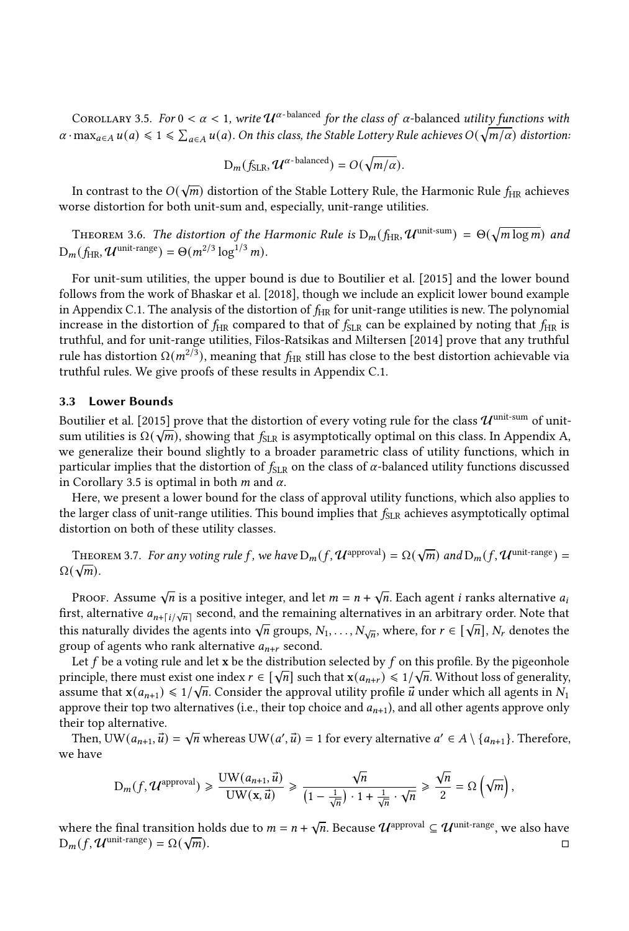COROLLARY 3.5. For  $0 < \alpha < 1$ , write  $\mathcal{U}^{\alpha$ -balanced for the class of  $\alpha$ -balanced utility functions with  $\alpha$  · max $_{a\in A}$   $u(a)\leqslant 1\leqslant \sum_{a\in A}u(a).$  On this class, the Stable Lottery Rule achieves  $O(\sqrt{m/\alpha})$  distortion:

$$
D_m(f_{SLR}, \mathcal{U}^{\alpha\text{-balanced}}) = O(\sqrt{m/\alpha}).
$$

In contrast to the  $O(\sqrt{m})$  distortion of the Stable Lottery Rule, the Harmonic Rule  $f_{\rm HR}$  achieves worse distortion for both unit-sum and, especially, unit-range utilities.

THEOREM 3.6. The distortion of the Harmonic Rule is  $D_m(f_{HR}, \mathcal{U}^{\text{unit-sum}}) = \Theta(\sqrt{m \log m})$  and  $D_m(f_{HR}, \mathcal{U}^{\text{unit-range}}) = \Theta(m^{2/3} \log^{1/3} m).$ 

For unit-sum utilities, the upper bound is due to [Boutilier et al.](#page-19-0) [\[2015\]](#page-19-0) and the lower bound follows from the work of [Bhaskar et al.](#page-19-1) [\[2018\]](#page-19-1), though we include an explicit lower bound example in [Appendix C.1.](#page-23-0) The analysis of the distortion of  $f_{HR}$  for unit-range utilities is new. The polynomial increase in the distortion of  $f_{HR}$  compared to that of  $f_{SLR}$  can be explained by noting that  $f_{HR}$  is truthful, and for unit-range utilities, [Filos-Ratsikas and Miltersen](#page-20-0) [\[2014\]](#page-20-0) prove that any truthful rule has distortion  $\Omega(m^{2/3})$ , meaning that  $f_{HR}$  still has close to the best distortion achievable via truthful rules. We give proofs of these results in [Appendix C.1.](#page-23-0)

# 3.3 Lower Bounds

[Boutilier et al.](#page-19-0) [\[2015\]](#page-19-0) prove that the distortion of every voting rule for the class  $\mathcal{U}^{\text{unit-sum}}$  of unitsum utilities is  $\Omega(\sqrt{m})$ , showing that  $f_{SLR}$  is asymptotically optimal on this class. In [Appendix A,](#page-21-0) we generalize their bound slightly to a broader parametric class of utility functions, which in particular implies that the distortion of  $f_{SLR}$  on the class of  $\alpha$ -balanced utility functions discussed in [Corollary 3.5](#page-12-2) is optimal in both  $m$  and  $\alpha$ .

Here, we present a lower bound for the class of approval utility functions, which also applies to the larger class of unit-range utilities. This bound implies that  $f_{SLR}$  achieves asymptotically optimal distortion on both of these utility classes.

<span id="page-13-0"></span>THEOREM 3.7. For any voting rule f, we have  $D_m(f, \mathcal{U}^{\text{approxd}}) = \Omega(\sqrt{m})$  and  $D_m(f, \mathcal{U}^{\text{unit-range}}) =$  $\Omega(\sqrt{m}).$ 

Proof. Assume  $\sqrt{n}$  is a positive integer, and let  $m = n + \sqrt{n}$ . Each agent  $i$  ranks alternative  $a_i$ first, alternative  $a_{n+\lceil i/\sqrt{n} \rceil}$  second, and the remaining alternatives in an arbitrary order. Note that this naturally divides the agents into  $\sqrt{n}$  groups,  $N_1, \ldots, N_{\sqrt{n}}$ , where, for  $r \in [\sqrt{n}]$ ,  $N_r$  denotes the group of agents who rank alternative  $a_{n+r}$  second.

Let f be a voting rule and let x be the distribution selected by f on this profile. By the pigeonhole Let *f* be a voting rule and let **x** be the distribution selected by *f* on this profile. By the pigeomole principle, there must exist one index  $r \in [\sqrt{n}]$  such that  $\mathbf{x}(a_{n+r}) \le 1/\sqrt{n}$ . Without loss of generality, assume that  $\mathbf{x}(a_{n+1}) \leq 1/\sqrt{n}$ . Consider the approval utility profile  $\vec{u}$  under which all agents in  $N_1$ approve their top two alternatives (i.e., their top choice and  $a_{n+1}$ ), and all other agents approve only their top alternative.

 $\text{Im}\left(\text{Im}\left(\text{Im}\left(\text{Im}\left(\text{Im}\left(\text{Im}\left(\text{Im}\left(\text{Im}\left(\text{Im}\left(\text{Im}\left(\text{Im}\left(\text{Im}\left(\text{Im}\left(\text{Im}\left(\text{Im}\left(\text{Im}\left(\text{Im}\left(\text{Im}\left(\text{Im}\left(\text{Im}\left(\text{Im}\left(\text{Im}\left(\text{Im}\left(\text{Im}\left(\text{Im}\left(\text{Im}\left(\text{Im}\left(\text{Im}\left(\text{Im}\left(\text{Im}\left(\text{Im}\left(\text{Im}\left(\text{Im}\left(\text{Im}\left(\text{Im}\left(\text{Im}\left(\text{Im$ we have

$$
D_m(f, \mathcal{U}^{\text{approval}}) \geq \frac{\text{UW}(a_{n+1}, \vec{u})}{\text{UW}(\mathbf{x}, \vec{u})} \geq \frac{\sqrt{n}}{\left(1 - \frac{1}{\sqrt{n}}\right) \cdot 1 + \frac{1}{\sqrt{n}} \cdot \sqrt{n}} \geq \frac{\sqrt{n}}{2} = \Omega\left(\sqrt{m}\right),
$$

where the final transition holds due to  $m = n + \sqrt{n}$ . Because  $\mathcal{U}^{\text{approd}} \subseteq \mathcal{U}^{\text{unit-range}},$  we also have where the final transition<br> $D_m(f, \mathcal{U}^{\text{unit-range}}) = \Omega(\sqrt{2})$  $\overline{m}$ ).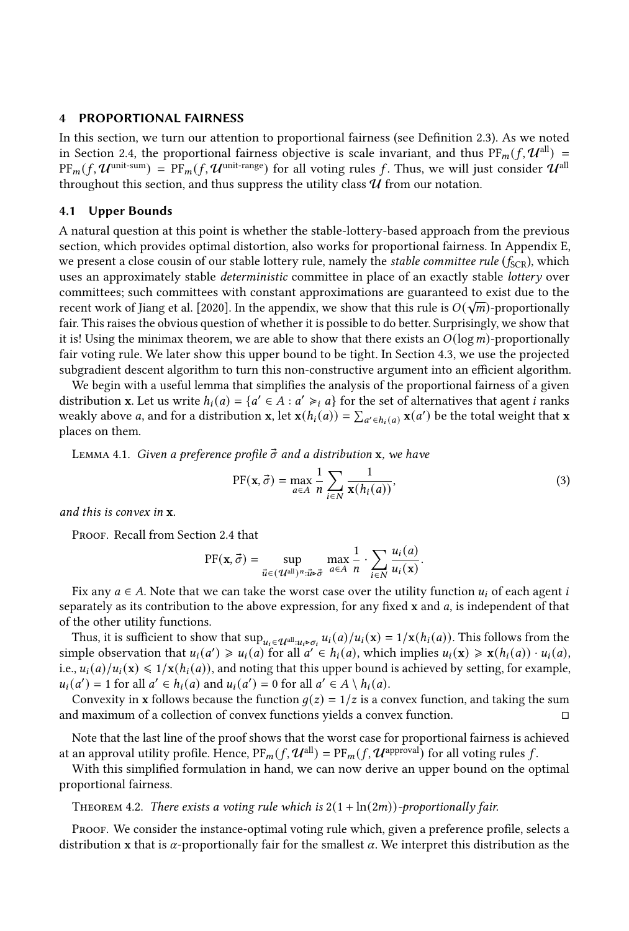## <span id="page-14-1"></span>4 PROPORTIONAL FAIRNESS

In this section, we turn our attention to proportional fairness (see [Definition 2.3\)](#page-8-4). As we noted in [Section 2.4,](#page-8-0) the proportional fairness objective is scale invariant, and thus  $PF_m(f, \mathcal{U}^{\text{all}})$  =  $PF_m(f, \mathcal{U}^{\text{unit-sum}}) = PF_m(f, \mathcal{U}^{\text{unit-range}})$  for all voting rules f. Thus, we will just consider  $\mathcal{U}^{\text{all}}$ throughout this section, and thus suppress the utility class  $U$  from our notation.

# 4.1 Upper Bounds

A natural question at this point is whether the stable-lottery-based approach from the previous section, which provides optimal distortion, also works for proportional fairness. In [Appendix E,](#page-31-0) we present a close cousin of our stable lottery rule, namely the *stable committee rule* ( $f_{\text{SCR}}$ ), which uses an approximately stable deterministic committee in place of an exactly stable lottery over committees; such committees with constant approximations are guaranteed to exist due to the √ recent work of [Jiang et al.](#page-20-14) [\[2020\]](#page-20-14). In the appendix, we show that this rule is  $O(\sqrt{m})$ -proportionally fair. This raises the obvious question of whether it is possible to do better. Surprisingly, we show that it is! Using the minimax theorem, we are able to show that there exists an  $O(log m)$ -proportionally fair voting rule. We later show this upper bound to be tight. In [Section 4.3,](#page-17-0) we use the projected subgradient descent algorithm to turn this non-constructive argument into an efficient algorithm.

We begin with a useful lemma that simplifies the analysis of the proportional fairness of a given distribution x. Let us write  $h_i(a) = \{a' \in A : a' \geq_i a\}$  for the set of alternatives that agent *i* ranks weakly above a, and for a distribution x, let  $\mathbf{x}(h_i(a)) = \sum_{a' \in h_i(a)} \mathbf{x}(a')$  be the total weight that x places on them.

<span id="page-14-0"></span>LEMMA 4.1. Given a preference profile  $\vec{\sigma}$  and a distribution x, we have

$$
PF(\mathbf{x}, \vec{\sigma}) = \max_{a \in A} \frac{1}{n} \sum_{i \in N} \frac{1}{\mathbf{x}(h_i(a))},
$$
\n(3)

and this is convex in x.

PROOF. Recall from [Section 2.4](#page-8-0) that

$$
PF(\mathbf{x}, \vec{\sigma}) = \sup_{\vec{u} \in (T^{all})^n : \vec{u} \sim \vec{\sigma}} \max_{a \in A} \frac{1}{n} \cdot \sum_{i \in N} \frac{u_i(a)}{u_i(\mathbf{x})}.
$$

Fix any  $a \in A$ . Note that we can take the worst case over the utility function  $u_i$  of each agent i separately as its contribution to the above expression, for any fixed  $x$  and  $a$ , is independent of that of the other utility functions.

Thus, it is sufficient to show that  $\sup_{u_i \in \mathcal{U}^{all}: u_i \triangleright \sigma_i} u_i(a)/u_i(\mathbf{x}) = 1/\mathbf{x}(h_i(a))$ . This follows from the simple observation that  $u_i(a') \geq u_i(a)$  for all  $a' \in h_i(a)$ , which implies  $u_i(\mathbf{x}) \geq \mathbf{x}(h_i(a)) \cdot u_i(a)$ , i.e.,  $u_i(a)/u_i(\mathbf{x}) \leq 1/\mathbf{x}(h_i(a))$ , and noting that this upper bound is achieved by setting, for example,  $u_i(a') = 1$  for all  $a' \in h_i(a)$  and  $u_i(a') = 0$  for all  $a' \in A \setminus h_i(a)$ .

Convexity in x follows because the function  $q(z) = 1/z$  is a convex function, and taking the sum and maximum of a collection of convex functions yields a convex function. □

Note that the last line of the proof shows that the worst case for proportional fairness is achieved at an approval utility profile. Hence,  $PF_m(f, \mathcal{U}^{\text{all}}) = PF_m(f, \mathcal{U}^{\text{approxal}})$  for all voting rules f.

With this simplified formulation in hand, we can now derive an upper bound on the optimal proportional fairness.

#### <span id="page-14-2"></span>THEOREM 4.2. There exists a voting rule which is  $2(1 + \ln(2m))$ -proportionally fair.

PROOF. We consider the instance-optimal voting rule which, given a preference profile, selects a distribution x that is  $\alpha$ -proportionally fair for the smallest  $\alpha$ . We interpret this distribution as the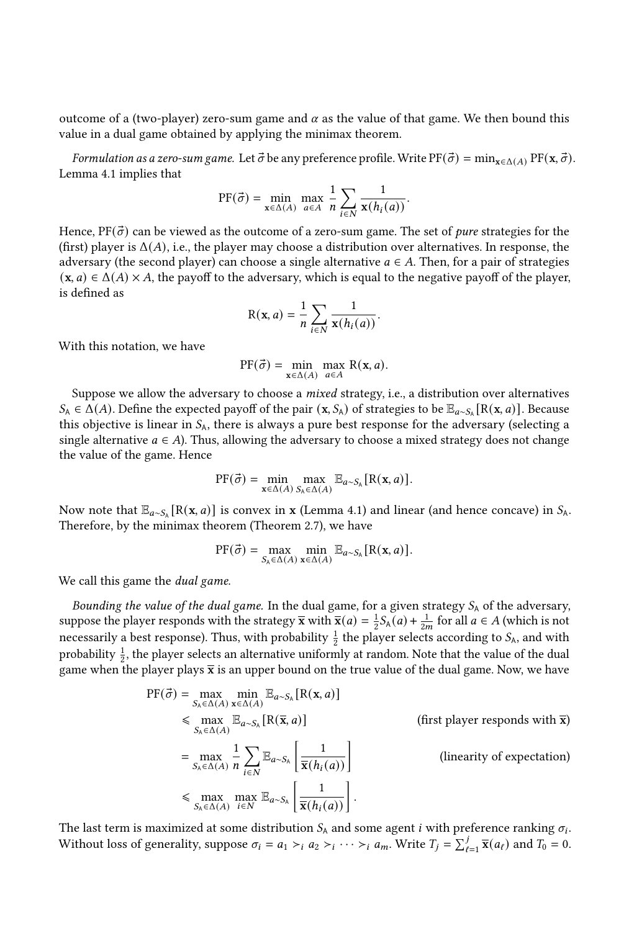outcome of a (two-player) zero-sum game and  $\alpha$  as the value of that game. We then bound this value in a dual game obtained by applying the minimax theorem.

*Formulation as a zero-sum game.* Let  $\vec{\sigma}$  be any preference profile. Write PF( $\vec{\sigma}$ ) = min<sub>x∈Δ(A)</sub> PF(**x**,  $\vec{\sigma}$ ). [Lemma 4.1](#page-14-0) implies that

$$
PF(\vec{\sigma}) = \min_{\mathbf{x} \in \Delta(A)} \max_{a \in A} \frac{1}{n} \sum_{i \in N} \frac{1}{\mathbf{x}(h_i(a))}.
$$

Hence,  $PF(\vec{\sigma})$  can be viewed as the outcome of a zero-sum game. The set of *pure* strategies for the (first) player is  $\Delta(A)$ , i.e., the player may choose a distribution over alternatives. In response, the adversary (the second player) can choose a single alternative  $a \in A$ . Then, for a pair of strategies  $(x, a) \in \Delta(A) \times A$ , the payoff to the adversary, which is equal to the negative payoff of the player, is defined as

$$
R(\mathbf{x},a) = \frac{1}{n} \sum_{i \in N} \frac{1}{\mathbf{x}(h_i(a))}.
$$

With this notation, we have

$$
PF(\vec{\sigma}) = \min_{\mathbf{x} \in \Delta(A)} \max_{a \in A} R(\mathbf{x}, a).
$$

Suppose we allow the adversary to choose a mixed strategy, i.e., a distribution over alternatives  $S_A \in \widehat{\Delta}(A)$ . Define the expected payoff of the pair  $(x, S_A)$  of strategies to be  $\mathbb{E}_{a \sim S_A}[\mathbb{R}(x, a)]$ . Because this objective is linear in  $S_A$ , there is always a pure best response for the adversary (selecting a single alternative  $a \in A$ ). Thus, allowing the adversary to choose a mixed strategy does not change the value of the game. Hence

$$
PF(\vec{\sigma}) = \min_{\mathbf{x} \in \Delta(A)} \max_{S_A \in \Delta(A)} \mathbb{E}_{a \sim S_A} [R(\mathbf{x}, a)].
$$

Now note that  $\mathbb{E}_{a \sim S_A} [\mathbb{R}(\mathbf{x}, a)]$  is convex in **x** [\(Lemma 4.1\)](#page-14-0) and linear (and hence concave) in  $S_A$ . Therefore, by the minimax theorem [\(Theorem 2.7\)](#page-9-2), we have

$$
PF(\vec{\sigma}) = \max_{S_A \in \Delta(A)} \min_{\mathbf{x} \in \Delta(A)} \mathbb{E}_{a \sim S_A} [R(\mathbf{x}, a)].
$$

We call this game the *dual game*.

Bounding the value of the dual game. In the dual game, for a given strategy  $S_A$  of the adversary, suppose the player responds with the strategy  $\bar{x}$  with  $\bar{x}(a) = \frac{1}{2}S_A(a) + \frac{1}{2m}$  for all  $a \in A$  (which is not necessarily a best response). Thus, with probability  $\frac{1}{2}$  the player selects according to  $S_A$ , and with probability  $\frac{1}{2}$ , the player selects an alternative uniformly at random. Note that the value of the dual game when the player plays  $\bar{x}$  is an upper bound on the true value of the dual game. Now, we have

$$
PF(\vec{\sigma}) = \max_{S_A \in \Delta(A)} \min_{\mathbf{x} \in \Delta(A)} \mathbb{E}_{a \sim S_A} [R(\mathbf{x}, a)]
$$
  
\n
$$
\leq \max_{S_A \in \Delta(A)} \mathbb{E}_{a \sim S_A} [R(\overline{\mathbf{x}}, a)] \qquad \text{(first player responds with } \overline{\mathbf{x}}\text{)}
$$
\n
$$
= \max_{S_A \in \Delta(A)} \frac{1}{n} \sum_{i \in N} \mathbb{E}_{a \sim S_A} \left[ \frac{1}{\overline{\mathbf{x}(h_i(a))}} \right] \qquad \text{(linearity of expectation)}
$$
\n
$$
\leq \max_{S_A \in \Delta(A)} \max_{i \in N} \mathbb{E}_{a \sim S_A} \left[ \frac{1}{\overline{\mathbf{x}(h_i(a))}} \right].
$$

The last term is maximized at some distribution  $S_A$  and some agent  $i$  with preference ranking  $\sigma_i$ . Without loss of generality, suppose  $\sigma_i = a_1 >_i a_2 >_i \cdots >_i a_m$ . Write  $T_j = \sum_{\ell=1}^j \overline{\mathbf{x}}(a_\ell)$  and  $T_0 = 0$ .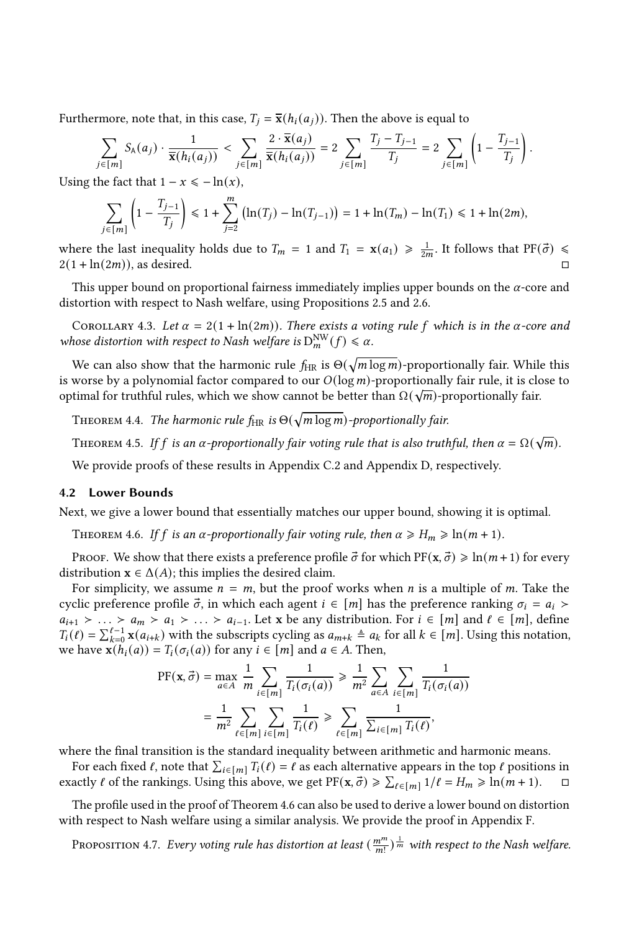Furthermore, note that, in this case,  $T_i = \bar{\mathbf{x}}(h_i(a_i))$ . Then the above is equal to

$$
\sum_{j\in[m]}S_{\mathsf{A}}(a_j)\cdot\frac{1}{\overline{\mathbf{x}}(h_i(a_j))}<\sum_{j\in[m]}\frac{2\cdot\overline{\mathbf{x}}(a_j)}{\overline{\mathbf{x}}(h_i(a_j))}=2\sum_{j\in[m]}\frac{T_j-T_{j-1}}{T_j}=2\sum_{j\in[m]}\left(1-\frac{T_{j-1}}{T_j}\right)
$$

.

Using the fact that  $1 - x \le -\ln(x)$ ,

$$
\sum_{j \in [m]} \left( 1 - \frac{T_{j-1}}{T_j} \right) \leq 1 + \sum_{j=2}^{m} \left( \ln(T_j) - \ln(T_{j-1}) \right) = 1 + \ln(T_m) - \ln(T_1) \leq 1 + \ln(2m),
$$

where the last inequality holds due to  $T_m = 1$  and  $T_1 = \mathbf{x}(a_1) \geq \frac{1}{2m}$ . It follows that  $PF(\vec{\sigma}) \leq$  $2(1 + \ln(2m))$ , as desired. □

This upper bound on proportional fairness immediately implies upper bounds on the  $\alpha$ -core and distortion with respect to Nash welfare, using [Propositions 2.5](#page-9-3) and [2.6.](#page-9-4)

COROLLARY 4.3. Let  $\alpha = 2(1 + \ln(2m))$ . There exists a voting rule f which is in the  $\alpha$ -core and whose distortion with respect to Nash welfare is  $D_m^{\text{NW}}(f) \leq \alpha$ .

We can also show that the harmonic rule  $f_{\rm HR}$  is  $\Theta(\sqrt{m\log m})$ -proportionally fair. While this is worse by a polynomial factor compared to our  $O(\log m)$ -proportionally fair rule, it is close to optimal for truthful rules, which we show cannot be better than  $\Omega(\sqrt{m})$ -proportionally fair.

THEOREM 4.4. *The harmonic rule f*<sub>HR</sub> is  $\Theta(\sqrt{m \log m})$ -proportionally fair.

THEOREM 4.5. If  $f$  is an  $\alpha$ -proportionally fair voting rule that is also truthful, then  $\alpha = \Omega(\sqrt{m})$ .

We provide proofs of these results in [Appendix C.2](#page-26-0) and [Appendix D,](#page-27-0) respectively.

#### 4.2 Lower Bounds

<span id="page-16-0"></span>Next, we give a lower bound that essentially matches our upper bound, showing it is optimal.

THEOREM 4.6. If f is an  $\alpha$ -proportionally fair voting rule, then  $\alpha \ge H_m \ge \ln(m+1)$ .

Proof. We show that there exists a preference profile  $\vec{\sigma}$  for which PF( $\mathbf{x}, \vec{\sigma}$ )  $\geqslant \ln(m+1)$  for every distribution  $\mathbf{x} \in \Delta(A)$ ; this implies the desired claim.

For simplicity, we assume  $n = m$ , but the proof works when n is a multiple of m. Take the cyclic preference profile  $\vec{\sigma}$ , in which each agent  $i \in [m]$  has the preference ranking  $\sigma_i = a_i >$  $a_{i+1} > \ldots > a_m > a_1 > \ldots > a_{i-1}$ . Let x be any distribution. For  $i \in [m]$  and  $\ell \in [m]$ , define  $T_i(\ell) = \sum_{k=0}^{\ell-1} \mathbf{x}(a_{i+k})$  with the subscripts cycling as  $a_{m+k} \triangleq a_k$  for all  $k \in [m]$ . Using this notation, we have  $\mathbf{x}(h_i(a)) = T_i(\sigma_i(a))$  for any  $i \in [m]$  and  $a \in A$ . Then,

$$
\begin{split} \text{PF}(\mathbf{x},\vec{\sigma}) &= \max_{a \in A} \frac{1}{m} \sum_{i \in [m]} \frac{1}{T_i(\sigma_i(a))} \ge \frac{1}{m^2} \sum_{a \in A} \sum_{i \in [m]} \frac{1}{T_i(\sigma_i(a))} \\ &= \frac{1}{m^2} \sum_{\ell \in [m]} \sum_{i \in [m]} \frac{1}{T_i(\ell)} \ge \sum_{\ell \in [m]} \frac{1}{\sum_{i \in [m]} T_i(\ell)}, \end{split}
$$

where the final transition is the standard inequality between arithmetic and harmonic means.

For each fixed  $\ell$ , note that  $\sum_{i \in [m]} T_i(\ell) = \ell$  as each alternative appears in the top  $\ell$  positions in exactly *ℓ* of the rankings. Using this above, we get PF( $\mathbf{x}, \vec{\sigma}$ )  $\geq \sum_{\ell \in [m]} 1/\ell = H_m \geq \ln(m+1)$ . □

The profile used in the proof of [Theorem 4.6](#page-16-0) can also be used to derive a lower bound on distortion with respect to Nash welfare using a similar analysis. We provide the proof in [Appendix F.](#page-32-0)

<span id="page-16-1"></span>Proposition 4.7. Every voting rule has distortion at least  $(\frac{m^m}{m!})^{\frac{1}{m}}$  with respect to the Nash welfare.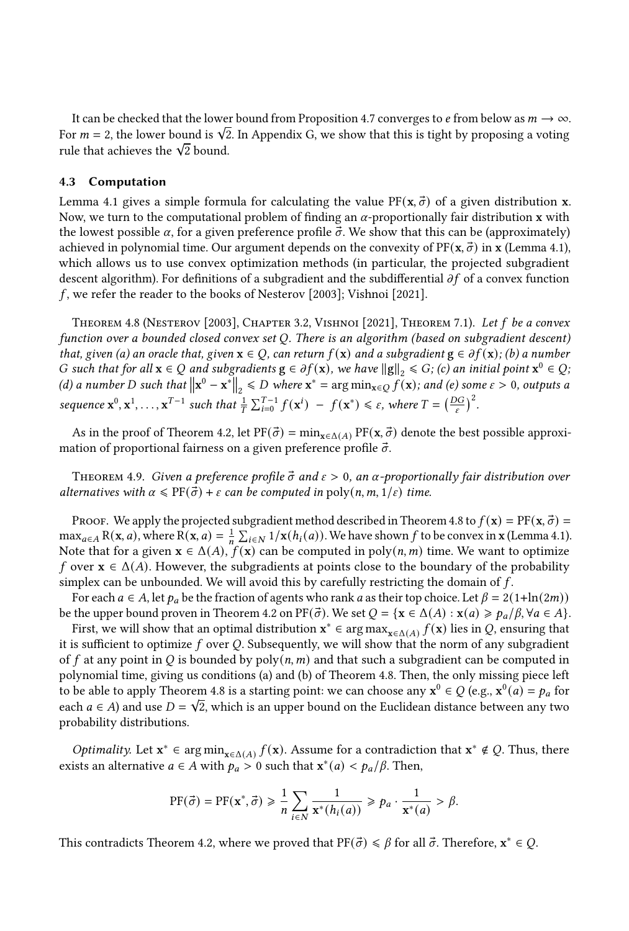It can be checked that the lower bound from [Proposition 4.7](#page-16-1) converges to  $e$  from below as  $m \to \infty$ . It can be checked that the lower bound from Proposition 4.7 converges to *e* from below as  $m \to \infty$ <br>For  $m = 2$ , the lower bound is  $\sqrt{2}$ . In [Appendix G,](#page-33-0) we show that this is tight by proposing a voting ror *m* = 2, tne lower bound is ∨2<br>rule that achieves the √2 bound.

## <span id="page-17-0"></span>4.3 Computation

[Lemma 4.1](#page-14-0) gives a simple formula for calculating the value  $PF(x, \vec{\sigma})$  of a given distribution x. Now, we turn to the computational problem of finding an  $\alpha$ -proportionally fair distribution x with the lowest possible  $\alpha$ , for a given preference profile  $\vec{\sigma}$ . We show that this can be (approximately) achieved in polynomial time. Our argument depends on the convexity of  $PF(x, \vec{\sigma})$  in x [\(Lemma 4.1\)](#page-14-0), which allows us to use convex optimization methods (in particular, the projected subgradient descent algorithm). For definitions of a subgradient and the subdifferential  $\partial f$  of a convex function  $f$ , we refer the reader to the books of [Nesterov](#page-20-23) [\[2003\]](#page-20-23); [Vishnoi](#page-20-24) [\[2021\]](#page-20-24).

<span id="page-17-1"></span>THEOREM 4.8 (NESTEROV [\[2003\]](#page-20-23), CHAPTER 3.2, VISHNOI [\[2021\]](#page-20-24), THEOREM 7.1). Let f be a convex function over a bounded closed convex set Q. There is an algorithm (based on subgradient descent) that, given (a) an oracle that, given  $\mathbf{x} \in Q$ , can return  $f(\mathbf{x})$  and a subgradient  $g \in \partial f(\mathbf{x})$ ; (b) a number G such that for all  $x \in Q$  and subgradients  $g \in \partial f(x)$ , we have  $||g||_2 \le G$ ; (c) an initial point  $x^0 \in Q$ ; (d) a number D such that  $||\mathbf{x}^0 - \mathbf{x}^*||_2 \le D$  where  $\mathbf{x}^* = \arg \min_{\mathbf{x} \in Q} f(\mathbf{x})$ ; and (e) some  $\varepsilon > 0$ , outputs a sequence  $\mathbf{x}^0, \mathbf{x}^1, \ldots, \mathbf{x}^{T-1}$  such that  $\frac{1}{T} \sum_{i=0}^{T-1} f(\mathbf{x}^i) - f(\mathbf{x}^*) \leq \varepsilon$ , where  $T = \left(\frac{D G}{\varepsilon}\right)^2$ .

As in the proof of [Theorem 4.2,](#page-14-2) let  $PF(\vec{\sigma}) = \min_{\mathbf{x} \in \Delta(A)} PF(\mathbf{x}, \vec{\sigma})$  denote the best possible approximation of proportional fairness on a given preference profile  $\vec{\sigma}$ .

THEOREM 4.9. Given a preference profile  $\vec{\sigma}$  and  $\varepsilon > 0$ , an  $\alpha$ -proportionally fair distribution over alternatives with  $\alpha \leqslant \text{PF}(\vec{\sigma}) + \varepsilon$  can be computed in poly $(n, m, 1/\varepsilon)$  time.

Proof. We apply the projected subgradient method described in [Theorem 4.8](#page-17-1) to  $f(\mathbf{x}) = \text{PF}(\mathbf{x}, \vec{\sigma}) =$  $\max_{a \in A} R(\mathbf{x}, a)$ , where  $R(\mathbf{x}, a) = \frac{1}{n} \sum_{i \in N} 1/\mathbf{x}(h_i(a))$ . We have shown f to be convex in **x** [\(Lemma 4.1\)](#page-14-0). Note that for a given  $\mathbf{x} \in \Delta(A)$ ,  $f(\mathbf{x})$  can be computed in poly $(n,m)$  time. We want to optimize f over  $\mathbf{x} \in \Delta(A)$ . However, the subgradients at points close to the boundary of the probability simplex can be unbounded. We will avoid this by carefully restricting the domain of  $f$ .

For each  $a \in A$ , let  $p_a$  be the fraction of agents who rank a as their top choice. Let  $\beta = 2(1 + \ln(2m))$ be the upper bound proven in [Theorem 4.2](#page-14-2) on PF( $\vec{\sigma}$ ). We set  $Q = {\bf x} \in \Delta(A) : {\bf x}(a) \geq p_a/\beta, \forall a \in A$ .

First, we will show that an optimal distribution  $x^* \in \argmax_{x \in \Delta(A)} f(x)$  lies in Q, ensuring that it is sufficient to optimize  $f$  over  $Q$ . Subsequently, we will show that the norm of any subgradient of f at any point in Q is bounded by  $poly(n, m)$  and that such a subgradient can be computed in polynomial time, giving us conditions (a) and (b) of [Theorem 4.8.](#page-17-1) Then, the only missing piece left to be able to apply [Theorem 4.8](#page-17-1) is a starting point: we can choose any  $x^0 \in Q$  (e.g.,  $x^0(a) = p_a$  for each  $a \in A$ ) and use  $D = \sqrt{2}$ , which is an upper bound on the Euclidean distance between any two probability distributions.

*Optimality*. Let  $\mathbf{x}^* \in \arg \min_{\mathbf{x} \in \Delta(A)} f(\mathbf{x})$ . Assume for a contradiction that  $\mathbf{x}^* \notin Q$ . Thus, there exists an alternative  $a \in A$  with  $p_a > 0$  such that  $\mathbf{x}^*(a) < p_a/\beta$ . Then,

$$
\mathrm{PF}(\vec{\sigma}) = \mathrm{PF}(\mathbf{x}^*, \vec{\sigma}) \ge \frac{1}{n} \sum_{i \in \mathbb{N}} \frac{1}{\mathbf{x}^*(h_i(a))} \ge p_a \cdot \frac{1}{\mathbf{x}^*(a)} > \beta.
$$

This contradicts [Theorem 4.2,](#page-14-2) where we proved that  $PF(\vec{\sigma}) \leq \beta$  for all  $\vec{\sigma}$ . Therefore,  $\mathbf{x}^* \in Q$ .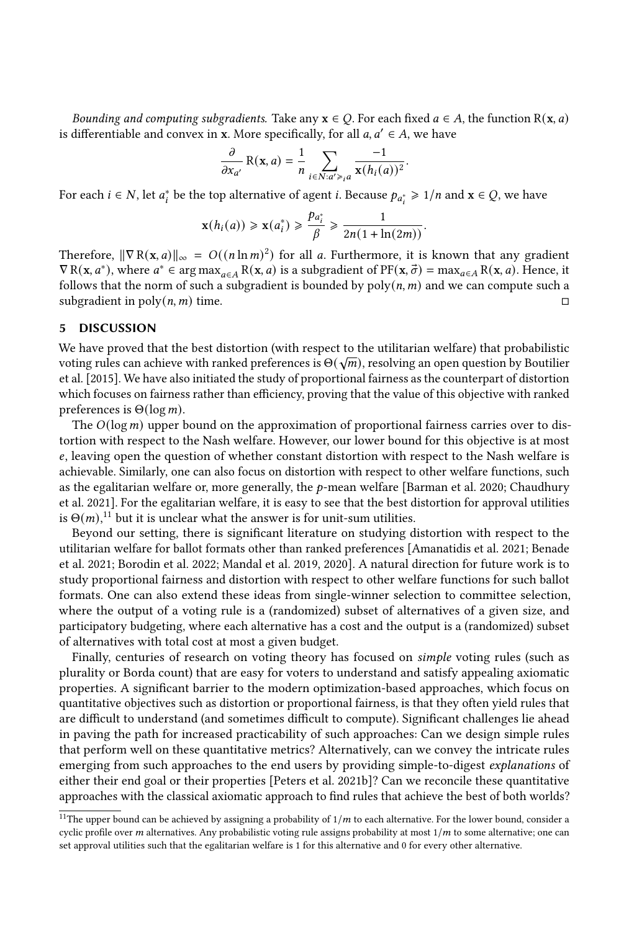Bounding and computing subgradients. Take any  $\mathbf{x} \in Q$ . For each fixed  $a \in A$ , the function  $R(\mathbf{x}, a)$ is differentiable and convex in x. More specifically, for all  $a, a' \in A$ , we have

$$
\frac{\partial}{\partial x_{a'}} R(\mathbf{x}, a) = \frac{1}{n} \sum_{i \in N: a' \ge a} \frac{-1}{\mathbf{x}(h_i(a))^2}.
$$

For each  $i \in N$ , let  $a_i^*$  be the top alternative of agent *i*. Because  $p_{a_i^*} \geqslant 1/n$  and  $\mathbf{x} \in Q$ , we have

$$
\mathbf{x}(h_i(a)) \geq \mathbf{x}(a_i^*) \geq \frac{p_{a_i^*}}{\beta} \geq \frac{1}{2n(1 + \ln(2m))}.
$$

Therefore,  $\|\nabla R(\mathbf{x}, a)\|_{\infty} = O((n \ln m)^2)$  for all a. Furthermore, it is known that any gradient  $\nabla R(\mathbf{x}, a^*)$ , where  $a^* \in \arg \max_{a \in A} R(\mathbf{x}, a)$  is a subgradient of  $PF(\mathbf{x}, \vec{\sigma}) = \max_{a \in A} R(\mathbf{x}, a)$ . Hence, it follows that the norm of such a subgradient is bounded by  $poly(n, m)$  and we can compute such a subgradient in poly $(n, m)$  time.  $\Box$ 

# 5 DISCUSSION

We have proved that the best distortion (with respect to the utilitarian welfare) that probabilistic voting rules can achieve with ranked preferences is  $\Theta(\sqrt{m})$ , resolving an open question by [Boutilier](#page-19-0) [et al.](#page-19-0) [\[2015\]](#page-19-0). We have also initiated the study of proportional fairness as the counterpart of distortion which focuses on fairness rather than efficiency, proving that the value of this objective with ranked preferences is  $\Theta(\log m)$ .

The  $O(\log m)$  upper bound on the approximation of proportional fairness carries over to distortion with respect to the Nash welfare. However, our lower bound for this objective is at most  $e$ , leaving open the question of whether constant distortion with respect to the Nash welfare is achievable. Similarly, one can also focus on distortion with respect to other welfare functions, such as the egalitarian welfare or, more generally, the  $p$ -mean welfare [\[Barman et al. 2020;](#page-19-24) [Chaudhury](#page-19-25) [et al.](#page-19-25) [2021\]](#page-19-25). For the egalitarian welfare, it is easy to see that the best distortion for approval utilities is  $\Theta(m)$ ,<sup>[11](#page-18-0)</sup> but it is unclear what the answer is for unit-sum utilities.

Beyond our setting, there is significant literature on studying distortion with respect to the utilitarian welfare for ballot formats other than ranked preferences [\[Amanatidis et al.](#page-19-4) [2021;](#page-19-4) [Benade](#page-19-6) [et al.](#page-19-6) [2021;](#page-19-6) [Borodin et al.](#page-19-5) [2022;](#page-19-5) [Mandal et al.](#page-20-4) [2019,](#page-20-4) [2020\]](#page-20-5). A natural direction for future work is to study proportional fairness and distortion with respect to other welfare functions for such ballot formats. One can also extend these ideas from single-winner selection to committee selection, where the output of a voting rule is a (randomized) subset of alternatives of a given size, and participatory budgeting, where each alternative has a cost and the output is a (randomized) subset of alternatives with total cost at most a given budget.

Finally, centuries of research on voting theory has focused on simple voting rules (such as plurality or Borda count) that are easy for voters to understand and satisfy appealing axiomatic properties. A significant barrier to the modern optimization-based approaches, which focus on quantitative objectives such as distortion or proportional fairness, is that they often yield rules that are difficult to understand (and sometimes difficult to compute). Significant challenges lie ahead in paving the path for increased practicability of such approaches: Can we design simple rules that perform well on these quantitative metrics? Alternatively, can we convey the intricate rules emerging from such approaches to the end users by providing simple-to-digest explanations of either their end goal or their properties [\[Peters et al. 2021b\]](#page-20-25)? Can we reconcile these quantitative approaches with the classical axiomatic approach to find rules that achieve the best of both worlds?

<span id="page-18-0"></span><sup>&</sup>lt;sup>11</sup>The upper bound can be achieved by assigning a probability of  $1/m$  to each alternative. For the lower bound, consider a cyclic profile over  $m$  alternatives. Any probabilistic voting rule assigns probability at most  $1/m$  to some alternative; one can set approval utilities such that the egalitarian welfare is 1 for this alternative and 0 for every other alternative.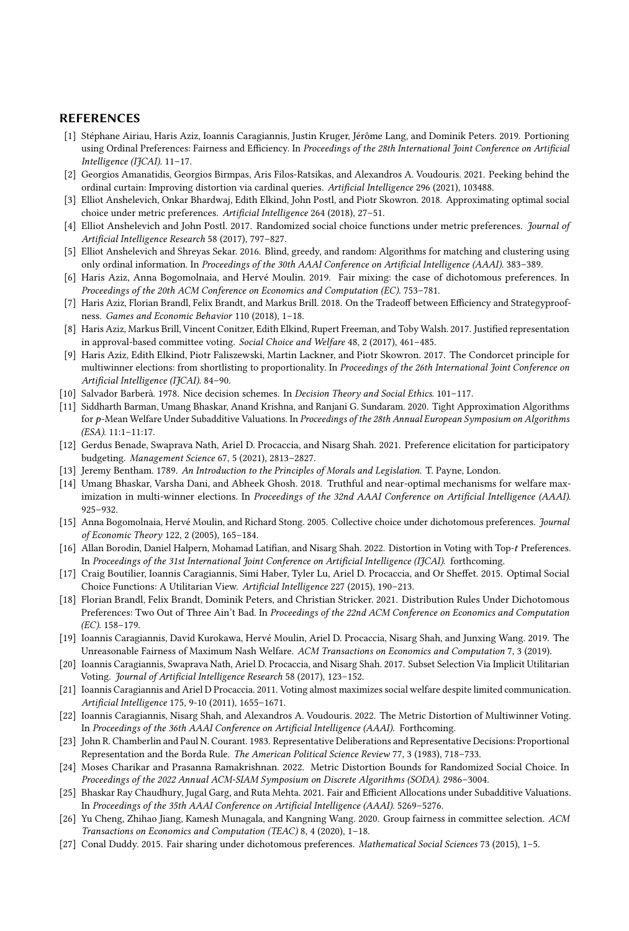## REFERENCES

- <span id="page-19-16"></span>[1] Stéphane Airiau, Haris Aziz, Ioannis Caragiannis, Justin Kruger, Jérôme Lang, and Dominik Peters. 2019. Portioning using Ordinal Preferences: Fairness and Efficiency. In Proceedings of the 28th International Joint Conference on Artificial Intelligence (IJCAI). 11–17.
- <span id="page-19-4"></span>[2] Georgios Amanatidis, Georgios Birmpas, Aris Filos-Ratsikas, and Alexandros A. Voudouris. 2021. Peeking behind the ordinal curtain: Improving distortion via cardinal queries. Artificial Intelligence 296 (2021), 103488.
- <span id="page-19-7"></span>[3] Elliot Anshelevich, Onkar Bhardwaj, Edith Elkind, John Postl, and Piotr Skowron. 2018. Approximating optimal social choice under metric preferences. Artificial Intelligence 264 (2018), 27–51.
- <span id="page-19-8"></span>[4] Elliot Anshelevich and John Postl. 2017. Randomized social choice functions under metric preferences. Journal of Artificial Intelligence Research 58 (2017), 797–827.
- <span id="page-19-9"></span>[5] Elliot Anshelevich and Shreyas Sekar. 2016. Blind, greedy, and random: Algorithms for matching and clustering using only ordinal information. In Proceedings of the 30th AAAI Conference on Artificial Intelligence (AAAI). 383–389.
- <span id="page-19-12"></span>[6] Haris Aziz, Anna Bogomolnaia, and Hervé Moulin. 2019. Fair mixing: the case of dichotomous preferences. In Proceedings of the 20th ACM Conference on Economics and Computation (EC). 753–781.
- <span id="page-19-17"></span>[7] Haris Aziz, Florian Brandl, Felix Brandt, and Markus Brill. 2018. On the Tradeoff between Efficiency and Strategyproofness. Games and Economic Behavior 110 (2018), 1–18.
- <span id="page-19-18"></span>[8] Haris Aziz, Markus Brill, Vincent Conitzer, Edith Elkind, Rupert Freeman, and Toby Walsh. 2017. Justified representation in approval-based committee voting. Social Choice and Welfare 48, 2 (2017), 461–485.
- <span id="page-19-23"></span>[9] Haris Aziz, Edith Elkind, Piotr Faliszewski, Martin Lackner, and Piotr Skowron. 2017. The Condorcet principle for multiwinner elections: from shortlisting to proportionality. In Proceedings of the 26th International Joint Conference on Artificial Intelligence (IJCAI). 84–90.
- <span id="page-19-26"></span>[10] Salvador Barberà. 1978. Nice decision schemes. In Decision Theory and Social Ethics. 101–117.
- <span id="page-19-24"></span>[11] Siddharth Barman, Umang Bhaskar, Anand Krishna, and Ranjani G. Sundaram. 2020. Tight Approximation Algorithms for p-Mean Welfare Under Subadditive Valuations. In Proceedings of the 28th Annual European Symposium on Algorithms (ESA). 11:1–11:17.
- <span id="page-19-6"></span>[12] Gerdus Benade, Swaprava Nath, Ariel D. Procaccia, and Nisarg Shah. 2021. Preference elicitation for participatory budgeting. Management Science 67, 5 (2021), 2813–2827.
- <span id="page-19-20"></span>[13] Jeremy Bentham. 1789. An Introduction to the Principles of Morals and Legislation. T. Payne, London.
- <span id="page-19-1"></span>[14] Umang Bhaskar, Varsha Dani, and Abheek Ghosh. 2018. Truthful and near-optimal mechanisms for welfare maximization in multi-winner elections. In Proceedings of the 32nd AAAI Conference on Artificial Intelligence (AAAI). 925–932.
- <span id="page-19-13"></span>[15] Anna Bogomolnaia, Hervé Moulin, and Richard Stong. 2005. Collective choice under dichotomous preferences. Journal of Economic Theory 122, 2 (2005), 165–184.
- <span id="page-19-5"></span>[16] Allan Borodin, Daniel Halpern, Mohamad Latifian, and Nisarg Shah. 2022. Distortion in Voting with Top-t Preferences. In Proceedings of the 31st International Joint Conference on Artificial Intelligence (IJCAI). forthcoming.
- <span id="page-19-0"></span>[17] Craig Boutilier, Ioannis Caragiannis, Simi Haber, Tyler Lu, Ariel D. Procaccia, and Or Sheffet. 2015. Optimal Social Choice Functions: A Utilitarian View. Artificial Intelligence 227 (2015), 190–213.
- <span id="page-19-14"></span>[18] Florian Brandl, Felix Brandt, Dominik Peters, and Christian Stricker. 2021. Distribution Rules Under Dichotomous Preferences: Two Out of Three Ain't Bad. In Proceedings of the 22nd ACM Conference on Economics and Computation (EC). 158–179.
- <span id="page-19-21"></span>[19] Ioannis Caragiannis, David Kurokawa, Hervé Moulin, Ariel D. Procaccia, Nisarg Shah, and Junxing Wang. 2019. The Unreasonable Fairness of Maximum Nash Welfare. ACM Transactions on Economics and Computation 7, 3 (2019).
- <span id="page-19-2"></span>[20] Ioannis Caragiannis, Swaprava Nath, Ariel D. Procaccia, and Nisarg Shah. 2017. Subset Selection Via Implicit Utilitarian Voting. Journal of Artificial Intelligence Research 58 (2017), 123–152.
- <span id="page-19-3"></span>[21] Ioannis Caragiannis and Ariel D Procaccia. 2011. Voting almost maximizes social welfare despite limited communication. Artificial Intelligence 175, 9-10 (2011), 1655–1671.
- <span id="page-19-10"></span>[22] Ioannis Caragiannis, Nisarg Shah, and Alexandros A. Voudouris. 2022. The Metric Distortion of Multiwinner Voting. In Proceedings of the 36th AAAI Conference on Artificial Intelligence (AAAI). Forthcoming.
- <span id="page-19-22"></span>[23] John R. Chamberlin and Paul N. Courant. 1983. Representative Deliberations and Representative Decisions: Proportional Representation and the Borda Rule. The American Political Science Review 77, 3 (1983), 718–733.
- <span id="page-19-11"></span>[24] Moses Charikar and Prasanna Ramakrishnan. 2022. Metric Distortion Bounds for Randomized Social Choice. In Proceedings of the 2022 Annual ACM-SIAM Symposium on Discrete Algorithms (SODA). 2986–3004.
- <span id="page-19-25"></span>[25] Bhaskar Ray Chaudhury, Jugal Garg, and Ruta Mehta. 2021. Fair and Efficient Allocations under Subadditive Valuations. In Proceedings of the 35th AAAI Conference on Artificial Intelligence (AAAI). 5269–5276.
- <span id="page-19-19"></span>[26] Yu Cheng, Zhihao Jiang, Kamesh Munagala, and Kangning Wang. 2020. Group fairness in committee selection. ACM Transactions on Economics and Computation (TEAC) 8, 4 (2020), 1–18.
- <span id="page-19-15"></span>[27] Conal Duddy. 2015. Fair sharing under dichotomous preferences. Mathematical Social Sciences 73 (2015), 1–5.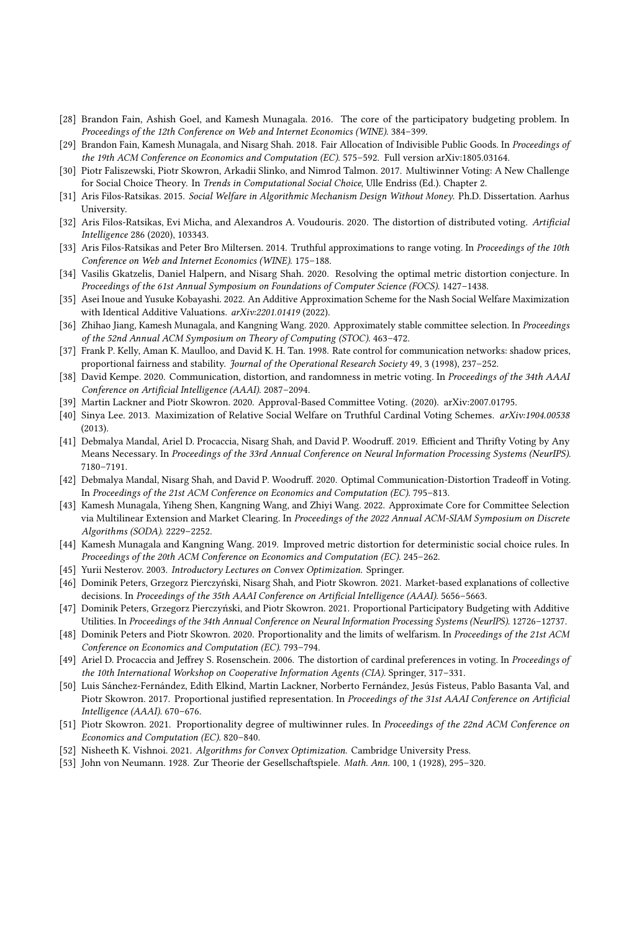- <span id="page-20-7"></span>[28] Brandon Fain, Ashish Goel, and Kamesh Munagala. 2016. The core of the participatory budgeting problem. In Proceedings of the 12th Conference on Web and Internet Economics (WINE). 384–399.
- <span id="page-20-15"></span>[29] Brandon Fain, Kamesh Munagala, and Nisarg Shah. 2018. Fair Allocation of Indivisible Public Goods. In Proceedings of the 19th ACM Conference on Economics and Computation (EC). 575-592. Full version arXiv:1805.03164.
- <span id="page-20-21"></span>[30] Piotr Faliszewski, Piotr Skowron, Arkadii Slinko, and Nimrod Talmon. 2017. Multiwinner Voting: A New Challenge for Social Choice Theory. In Trends in Computational Social Choice, Ulle Endriss (Ed.). Chapter 2.
- <span id="page-20-6"></span>[31] Aris Filos-Ratsikas. 2015. Social Welfare in Algorithmic Mechanism Design Without Money. Ph.D. Dissertation. Aarhus University.
- <span id="page-20-3"></span>[32] Aris Filos-Ratsikas, Evi Micha, and Alexandros A. Voudouris. 2020. The distortion of distributed voting. Artificial Intelligence 286 (2020), 103343.
- <span id="page-20-0"></span>[33] Aris Filos-Ratsikas and Peter Bro Miltersen. 2014. Truthful approximations to range voting. In Proceedings of the 10th Conference on Web and Internet Economics (WINE). 175–188.
- <span id="page-20-9"></span>[34] Vasilis Gkatzelis, Daniel Halpern, and Nisarg Shah. 2020. Resolving the optimal metric distortion conjecture. In Proceedings of the 61st Annual Symposium on Foundations of Computer Science (FOCS). 1427–1438.
- <span id="page-20-20"></span>[35] Asei Inoue and Yusuke Kobayashi. 2022. An Additive Approximation Scheme for the Nash Social Welfare Maximization with Identical Additive Valuations. arXiv:2201.01419 (2022).
- <span id="page-20-14"></span>[36] Zhihao Jiang, Kamesh Munagala, and Kangning Wang. 2020. Approximately stable committee selection. In Proceedings of the 52nd Annual ACM Symposium on Theory of Computing (STOC). 463–472.
- <span id="page-20-18"></span>[37] Frank P. Kelly, Aman K. Maulloo, and David K. H. Tan. 1998. Rate control for communication networks: shadow prices, proportional fairness and stability. Journal of the Operational Research Society 49, 3 (1998), 237–252.
- <span id="page-20-10"></span>[38] David Kempe. 2020. Communication, distortion, and randomness in metric voting. In Proceedings of the 34th AAAI Conference on Artificial Intelligence (AAAI). 2087–2094.
- <span id="page-20-22"></span>[39] Martin Lackner and Piotr Skowron. 2020. Approval-Based Committee Voting. (2020). arXiv:2007.01795.
- <span id="page-20-1"></span>[40] Sinya Lee. 2013. Maximization of Relative Social Welfare on Truthful Cardinal Voting Schemes. arXiv:1904.00538 (2013).
- <span id="page-20-4"></span>[41] Debmalya Mandal, Ariel D. Procaccia, Nisarg Shah, and David P. Woodruff. 2019. Efficient and Thrifty Voting by Any Means Necessary. In Proceedings of the 33rd Annual Conference on Neural Information Processing Systems (NeurIPS). 7180–7191.
- <span id="page-20-5"></span>[42] Debmalya Mandal, Nisarg Shah, and David P. Woodruff. 2020. Optimal Communication-Distortion Tradeoff in Voting. In Proceedings of the 21st ACM Conference on Economics and Computation (EC). 795–813.
- <span id="page-20-16"></span>[43] Kamesh Munagala, Yiheng Shen, Kangning Wang, and Zhiyi Wang. 2022. Approximate Core for Committee Selection via Multilinear Extension and Market Clearing. In Proceedings of the 2022 Annual ACM-SIAM Symposium on Discrete Algorithms (SODA). 2229–2252.
- <span id="page-20-8"></span>[44] Kamesh Munagala and Kangning Wang. 2019. Improved metric distortion for deterministic social choice rules. In Proceedings of the 20th ACM Conference on Economics and Computation (EC). 245–262.
- <span id="page-20-23"></span>[45] Yurii Nesterov. 2003. Introductory Lectures on Convex Optimization. Springer.
- <span id="page-20-25"></span>[46] Dominik Peters, Grzegorz Pierczyński, Nisarg Shah, and Piotr Skowron. 2021. Market-based explanations of collective decisions. In Proceedings of the 35th AAAI Conference on Artificial Intelligence (AAAI). 5656–5663.
- <span id="page-20-12"></span>[47] Dominik Peters, Grzegorz Pierczyński, and Piotr Skowron. 2021. Proportional Participatory Budgeting with Additive Utilities. In Proceedings of the 34th Annual Conference on Neural Information Processing Systems (NeurIPS). 12726–12737.
- <span id="page-20-17"></span>[48] Dominik Peters and Piotr Skowron. 2020. Proportionality and the limits of welfarism. In Proceedings of the 21st ACM Conference on Economics and Computation (EC). 793–794.
- <span id="page-20-2"></span>[49] Ariel D. Procaccia and Jeffrey S. Rosenschein. 2006. The distortion of cardinal preferences in voting. In Proceedings of the 10th International Workshop on Cooperative Information Agents (CIA). Springer, 317–331.
- <span id="page-20-11"></span>[50] Luis Sánchez-Fernández, Edith Elkind, Martin Lackner, Norberto Fernández, Jesús Fisteus, Pablo Basanta Val, and Piotr Skowron. 2017. Proportional justified representation. In Proceedings of the 31st AAAI Conference on Artificial Intelligence (AAAI). 670–676.
- <span id="page-20-13"></span>[51] Piotr Skowron. 2021. Proportionality degree of multiwinner rules. In Proceedings of the 22nd ACM Conference on Economics and Computation (EC). 820–840.
- <span id="page-20-24"></span>[52] Nisheeth K. Vishnoi. 2021. Algorithms for Convex Optimization. Cambridge University Press.
- <span id="page-20-19"></span>[53] John von Neumann. 1928. Zur Theorie der Gesellschaftspiele. Math. Ann. 100, 1 (1928), 295–320.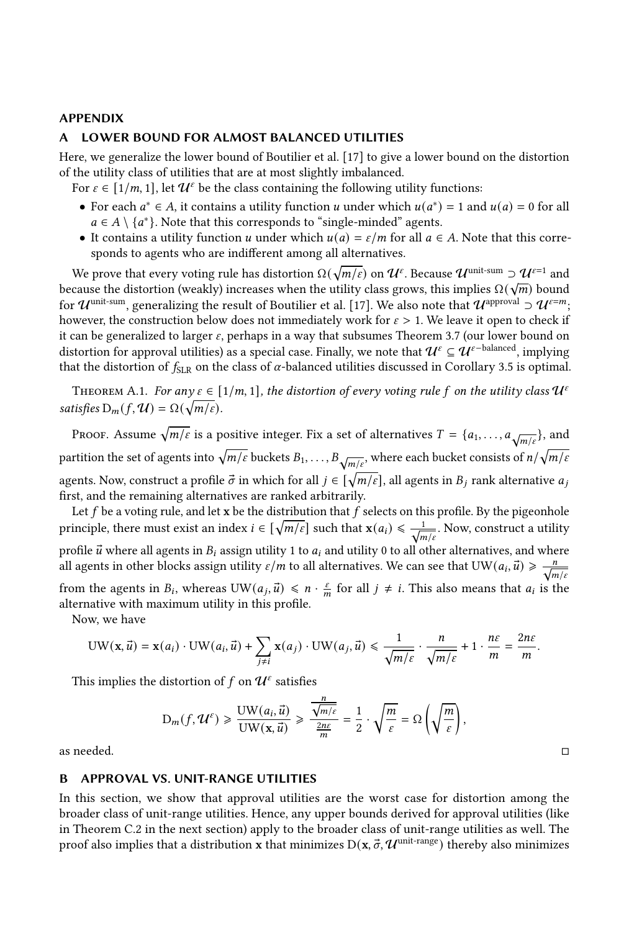# APPENDIX

# <span id="page-21-0"></span>A LOWER BOUND FOR ALMOST BALANCED UTILITIES

Here, we generalize the lower bound of Boutilier et al. [\[17\]](#page-19-0) to give a lower bound on the distortion of the utility class of utilities that are at most slightly imbalanced.

For  $\varepsilon \in [1/m, 1]$ , let  $\mathcal{U}^{\varepsilon}$  be the class containing the following utility functions:

- For each  $a^* \in A$ , it contains a utility function u under which  $u(a^*) = 1$  and  $u(a) = 0$  for all  $a \in A \setminus \{a^*\}$ . Note that this corresponds to "single-minded" agents.
- It contains a utility function u under which  $u(a) = \varepsilon/m$  for all  $a \in A$ . Note that this corresponds to agents who are indifferent among all alternatives.

We prove that every voting rule has distortion  $\Omega(\sqrt{m/\varepsilon})$  on  $\mathcal{U}^{\varepsilon}$ . Because  $\mathcal{U}^{\text{unit-sum}} \supset \mathcal{U}^{\varepsilon=1}$  and because the distortion (weakly) increases when the utility class grows, this implies  $\Omega(\sqrt{m})$  bound for  $\mathcal{U}^{\text{unit-sum}}$ , generalizing the result of Boutilier et al. [\[17\]](#page-19-0). We also note that  $\mathcal{U}^{\text{approxul}} \supset \mathcal{U}^{\varepsilon=m}$ ; however, the construction below does not immediately work for  $\varepsilon > 1$ . We leave it open to check if it can be generalized to larger  $\varepsilon$ , perhaps in a way that subsumes [Theorem 3.7](#page-13-0) (our lower bound on distortion for approval utilities) as a special case. Finally, we note that  $\mathcal{U}^\varepsilon\subseteq \mathcal{U}^{\varepsilon-\mathrm{balanced}}$ , implying that the distortion of  $f_{SLR}$  on the class of  $\alpha$ -balanced utilities discussed in [Corollary 3.5](#page-12-2) is optimal.

THEOREM A.1. For any  $\varepsilon \in [1/m, 1]$ , the distortion of every voting rule f on the utility class  $\mathcal{U}^{\varepsilon}$ satisfies  $D_m(f, \mathcal{U}) = \Omega(\sqrt{m/\varepsilon}).$ 

Proof. Assume  $\sqrt{m/\varepsilon}$  is a positive integer. Fix a set of alternatives  $T = \{a_1, \ldots, a_{\sqrt{m/\varepsilon}}\}$ , and partition the set of agents into  $\sqrt{m/\varepsilon}$  buckets  $B_1,\ldots,B_{\sqrt{m/\varepsilon}},$  where each bucket consists of  $n/\sqrt{m/\varepsilon}$ agents. Now, construct a profile  $\vec{\sigma}$  in which for all  $j \in [\sqrt{m/\varepsilon}]$ , all agents in  $B_j$  rank alternative  $a_j$ first, and the remaining alternatives are ranked arbitrarily.

Let  $f$  be a voting rule, and let x be the distribution that  $f$  selects on this profile. By the pigeonhole principle, there must exist an index  $i \in [\sqrt{m/\varepsilon}]$  such that  $\mathbf{x}(a_i) \leq \frac{1}{\sqrt{m/\varepsilon}}$ . Now, construct a utility profile  $\vec{u}$  where all agents in  $B_i$  assign utility 1 to  $a_i$  and utility 0 to all other alternatives, and where all agents in other blocks assign utility  $\varepsilon/m$  to all alternatives. We can see that UW( $a_i, \vec{u}) \geqslant \frac{n}{\sqrt{m/\varepsilon}}$ from the agents in  $B_i$ , whereas  $UW(a_j, \vec{u}) \leq n \cdot \frac{\varepsilon}{m}$  for all  $j \neq i$ . This also means that  $a_i$  is the alternative with maximum utility in this profile.

Now, we have

$$
UW(\mathbf{x},\vec{u}) = \mathbf{x}(a_i) \cdot UW(a_i,\vec{u}) + \sum_{j \neq i} \mathbf{x}(a_j) \cdot UW(a_j,\vec{u}) \leq \frac{1}{\sqrt{m/\varepsilon}} \cdot \frac{n}{\sqrt{m/\varepsilon}} + 1 \cdot \frac{n\varepsilon}{m} = \frac{2n\varepsilon}{m}.
$$

This implies the distortion of  $f$  on  $\mathcal{U}^\varepsilon$  satisfies

$$
D_m(f, \mathcal{U}^{\varepsilon}) \ge \frac{U W(a_i, \vec{u})}{U W(\mathbf{x}, \vec{u})} \ge \frac{\frac{n}{\sqrt{m/\varepsilon}}}{\frac{2n\varepsilon}{m}} = \frac{1}{2} \cdot \sqrt{\frac{m}{\varepsilon}} = \Omega \left( \sqrt{\frac{m}{\varepsilon}} \right),
$$

as needed. □

## B APPROVAL VS. UNIT-RANGE UTILITIES

In this section, we show that approval utilities are the worst case for distortion among the broader class of unit-range utilities. Hence, any upper bounds derived for approval utilities (like in [Theorem C.2](#page-24-0) in the next section) apply to the broader class of unit-range utilities as well. The proof also implies that a distribution x that minimizes  $D(x, \vec{\sigma}, \mathcal{U}^{\text{unit-range}})$  thereby also minimizes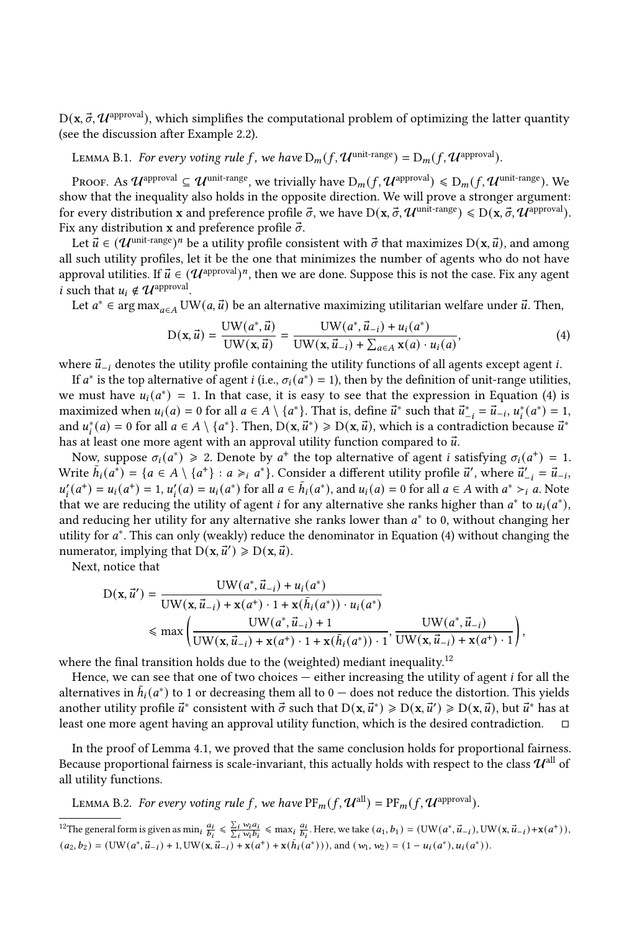$D(x, \vec{\sigma}, \mathcal{U}^{\text{approx}})$ , which simplifies the computational problem of optimizing the latter quantity (see the discussion after [Example 2.2\)](#page-6-1).

<span id="page-22-0"></span>LEMMA B.1. For every voting rule f, we have  $D_m(f, \mathcal{U}^{\text{unit-range}}) = D_m(f, \mathcal{U}^{\text{approx}})$ .

PROOF. As  $\mathcal{U}^{\text{approxal}} \subseteq \mathcal{U}^{\text{unit-range}}$ , we trivially have  $D_m(f, \mathcal{U}^{\text{approxal}}) \leq D_m(f, \mathcal{U}^{\text{unit-range}})$ . We show that the inequality also holds in the opposite direction. We will prove a stronger argument: for every distribution x and preference profile  $\vec{\sigma}$ , we have  $D(x, \vec{\sigma}, \mathcal{U}^{\text{unit-range}}) \le D(x, \vec{\sigma}, \mathcal{U}^{\text{approxul}})$ . Fix any distribution x and preference profile  $\vec{\sigma}$ .

Let  $\vec{u} \in (\mathcal{U}^{\text{unit-range}})^n$  be a utility profile consistent with  $\vec{\sigma}$  that maximizes D(x,  $\vec{u}$ ), and among all such utility profiles, let it be the one that minimizes the number of agents who do not have approval utilities. If  $\vec{u} \in (\mathcal{U}^{\text{approxul}})^n$ , then we are done. Suppose this is not the case. Fix any agent *i* such that  $u_i \notin \mathcal{U}^{\text{approx}}$ .

Let  $a^* \in \arg \max_{a \in A} \text{UW}(a, \vec{u})$  be an alternative maximizing utilitarian welfare under  $\vec{u}$ . Then,

<span id="page-22-1"></span>
$$
D(\mathbf{x}, \vec{u}) = \frac{U W(a^*, \vec{u})}{U W(\mathbf{x}, \vec{u})} = \frac{U W(a^*, \vec{u}_{-i}) + u_i(a^*)}{U W(\mathbf{x}, \vec{u}_{-i}) + \sum_{a \in A} \mathbf{x}(a) \cdot u_i(a)},
$$
(4)

where  $\vec{u}_{-i}$  denotes the utility profile containing the utility functions of all agents except agent *i*.

If  $a^*$  is the top alternative of agent *i* (i.e.,  $\sigma_i(a^*) = 1$ ), then by the definition of unit-range utilities, we must have  $u_i(a^*) = 1$ . In that case, it is easy to see that the expression in [Equation \(4\)](#page-22-1) is maximized when  $u_i(a) = 0$  for all  $a \in A \setminus \{a^*\}$ . That is, define  $\vec{u}^*$  such that  $\vec{u}^*_{-i} = \vec{u}^*_{-i}$ ,  $u_i^*(a^*) = 1$ , and  $u_i^*(a) = 0$  for all  $a \in A \setminus \{a^*\}$ . Then,  $D(x, \vec{u}^*) \ge D(x, \vec{u})$ , which is a contradiction because  $\vec{u}^*$ has at least one more agent with an approval utility function compared to  $\vec{u}$ .

Now, suppose  $\sigma_i(a^*) \ge 2$ . Denote by  $a^+$  the top alternative of agent *i* satisfying  $\sigma_i(a^+) = 1$ . Write  $\bar{h}_i(a^*) = \{a \in A \setminus \{a^+\} : a \geq_i a^*\}$ . Consider a different utility profile  $\vec{u}'$ , where  $\vec{u}'_{-i} = \vec{u}_{-i}$ ,  $u'_{i}(a^{+}) = u_{i}(a^{+}) = 1, u'_{i}(a) = u_{i}(a^{*})$  for all  $a \in \bar{h}_{i}(a^{*})$ , and  $u_{i}(a) = 0$  for all  $a \in A$  with  $a^{*} >_{i} a$ . Note that we are reducing the utility of agent *i* for any alternative she ranks higher than  $a^*$  to  $u_i(a^*)$ , and reducing her utility for any alternative she ranks lower than  $a^*$  to 0, without changing her utility for  $a^*$ . This can only (weakly) reduce the denominator in [Equation \(4\)](#page-22-1) without changing the numerator, implying that  $D(\mathbf{x}, \vec{u}') \ge D(\mathbf{x}, \vec{u})$ .

Next, notice that

$$
D(\mathbf{x}, \vec{u}') = \frac{UW(a^*, \vec{u}_{-i}) + u_i(a^*)}{UW(\mathbf{x}, \vec{u}_{-i}) + \mathbf{x}(a^+) \cdot 1 + \mathbf{x}(\bar{h}_i(a^*)) \cdot u_i(a^*)} \le \max \left( \frac{UW(a^*, \vec{u}_{-i}) + 1}{UW(\mathbf{x}, \vec{u}_{-i}) + \mathbf{x}(a^+) \cdot 1 + \mathbf{x}(\bar{h}_i(a^*)) \cdot 1}, \frac{UW(a^*, \vec{u}_{-i})}{UW(\mathbf{x}, \vec{u}_{-i}) + \mathbf{x}(a^+) \cdot 1} \right),
$$

where the final transition holds due to the (weighted) mediant inequality.<sup>[12](#page-22-2)</sup>

Hence, we can see that one of two choices  $-$  either increasing the utility of agent  $i$  for all the alternatives in  $\bar{h}_i(a^*)$  to 1 or decreasing them all to 0 — does not reduce the distortion. This yields another utility profile  $\vec{u}^*$  consistent with  $\vec{\sigma}$  such that  $D(x, \vec{u}^*) \geqslant D(x, \vec{u}') \geqslant D(x, \vec{u})$ , but  $\vec{u}^*$  has at least one more agent having an approval utility function, which is the desired contradiction.  $\Box$ 

In the proof of [Lemma 4.1,](#page-14-0) we proved that the same conclusion holds for proportional fairness. Because proportional fairness is scale-invariant, this actually holds with respect to the class  $\mathcal{U}^{\text{all}}$  of all utility functions.

LEMMA B.2. For every voting rule f, we have  $PF_m(f, \mathcal{U}^{\text{all}}) = PF_m(f, \mathcal{U}^{\text{approx}})$ .

<span id="page-22-2"></span><sup>&</sup>lt;sup>12</sup>The general form is given as min<sub>i</sub>  $\frac{a_i}{b_i} \leq \frac{\sum_i w_i a_i}{\sum_i w_i b_i} \leq$  max<sub>i</sub>  $\frac{a_i}{b_i}$ . Here, we take  $(a_1, b_1) = (U W(a^*, \vec{u}_{-i}), U W(\mathbf{x}, \vec{u}_{-i}) + \mathbf{x}(a^+)),$  $(a_2, b_2) = (U W(a^*, \vec{u}_{-i}) + 1, U W(\mathbf{x}, \vec{u}_{-i}) + \mathbf{x}(a^+) + \mathbf{x}(\vec{h}_i(a^*))),$  and  $(w_1, w_2) = (1 - u_i(a^*), u_i(a^*)).$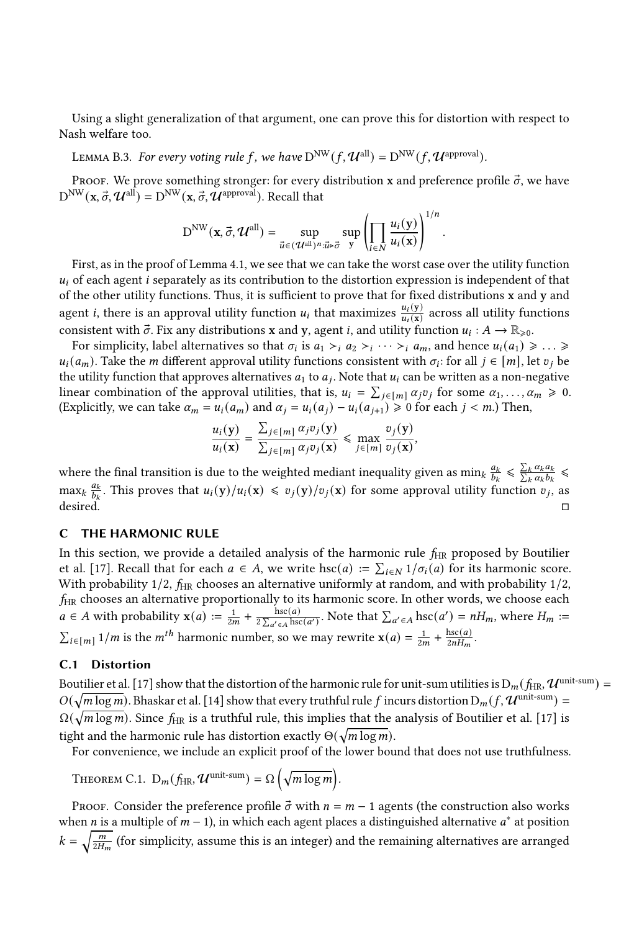Using a slight generalization of that argument, one can prove this for distortion with respect to Nash welfare too.

<span id="page-23-1"></span>LEMMA B.3. For every voting rule f, we have  $D^{NW}(f, \mathcal{U}^{all}) = D^{NW}(f, \mathcal{U}^{appoval}).$ 

Proof. We prove something stronger: for every distribution x and preference profile  $\vec{\sigma}$ , we have  $D^{NW}(\mathbf{x}, \vec{\sigma}, \mathcal{U}^{all}) = D^{NW}(\mathbf{x}, \vec{\sigma}, \vec{\mathcal{U}}^{approwal})$ . Recall that

$$
\mathrm{D}^{\mathrm{NW}}(\mathbf{x},\vec{\sigma},\mathcal{U}^{\mathrm{all}})=\sup_{\vec{u}\in(\mathcal{U}^{\mathrm{all}})^n:\vec{u}\triangleright\vec{\sigma}}\sup_{\mathbf{y}}\left(\prod_{i\in N}\frac{u_i(\mathbf{y})}{u_i(\mathbf{x})}\right)^{1/n}.
$$

First, as in the proof of [Lemma 4.1,](#page-14-0) we see that we can take the worst case over the utility function  $u_i$  of each agent *i* separately as its contribution to the distortion expression is independent of that of the other utility functions. Thus, it is sufficient to prove that for fixed distributions x and y and agent *i*, there is an approval utility function  $u_i$  that maximizes  $\frac{u_i(y)}{u_i(x)}$  across all utility functions consistent with  $\vec{\sigma}$ . Fix any distributions **x** and **y**, agent *i*, and utility function  $u_i : A \to \mathbb{R}_{\geq 0}$ .

For simplicity, label alternatives so that  $\sigma_i$  is  $a_1 >_i a_2 >_i \cdots >_i a_m$ , and hence  $u_i(a_1) \geq \ldots \geq i$  $u_i(a_m)$ . Take the *m* different approval utility functions consistent with  $\sigma_i$ : for all  $j \in [m]$ , let  $v_j$  be the utility function that approves alternatives  $a_1$  to  $a_j$ . Note that  $u_i$  can be written as a non-negative linear combination of the approval utilities, that is,  $u_i = \sum_{j \in [m]} \alpha_j v_j$  for some  $\alpha_1, \ldots, \alpha_m \ge 0$ . (Explicitly, we can take  $\alpha_m = u_i(a_m)$  and  $\alpha_j = u_i(a_j) - u_i(a_{j+1}) \ge 0$  for each  $j < m$ .) Then,

$$
\frac{u_i(\mathbf{y})}{u_i(\mathbf{x})} = \frac{\sum_{j \in [m]} \alpha_j v_j(\mathbf{y})}{\sum_{j \in [m]} \alpha_j v_j(\mathbf{x})} \le \max_{j \in [m]} \frac{v_j(\mathbf{y})}{v_j(\mathbf{x})},
$$

where the final transition is due to the weighted mediant inequality given as  $\min_k \frac{a_k}{b_k}$  $\frac{a_k}{b_k} \leq \frac{\sum_k \alpha_k a_k}{\sum_k \alpha_k b_k} \leq$  $\max_k \frac{a_k}{b_k}$  $\frac{a_k}{b_k}$ . This proves that  $u_i(y)/u_i(x) \le v_j(y)/v_j(x)$  for some approval utility function  $v_j$ , as desired. □

# C THE HARMONIC RULE

In this section, we provide a detailed analysis of the harmonic rule  $f_{HR}$  proposed by Boutilier et al. [\[17\]](#page-19-0). Recall that for each  $a \in A$ , we write hsc $(a) := \sum_{i \in N} 1/\sigma_i(a)$  for its harmonic score. With probability  $1/2$ ,  $f_{HR}$  chooses an alternative uniformly at random, and with probability  $1/2$ ,  $f_{\rm HR}$  chooses an alternative proportionally to its harmonic score. In other words, we choose each  $a \in A$  with probability  $\mathbf{x}(a) := \frac{1}{2m} + \frac{\operatorname{hsc}(a)}{2\sum_{a' \in A} \operatorname{hsc}(a')}$ . Note that  $\sum_{a' \in A} \operatorname{hsc}(a') = nH_m$ , where  $H_m :=$  $\sum_{i \in [m]} 1/m$  is the m<sup>th</sup> harmonic number, so we may rewrite  $\mathbf{x}(a) = \frac{1}{2m} + \frac{\text{hsc}(a)}{2nH_m}$  $\frac{\text{hsc}(a)}{2nH_m}$ .

# <span id="page-23-0"></span>C.1 Distortion

Boutilier et al. [\[17\]](#page-19-0) show that the distortion of the harmonic rule for unit-sum utilities is  $D_m(f_{HR}, \mathcal{U}^{unit-sum}) =$  $O(\sqrt{m \log m})$ . Bhaskar et al. [\[14\]](#page-19-1) show that every truthful rule f incurs distortion  $D_m(f, \mathcal{U}^{\text{unit-sum}})$  =  $\Omega(\sqrt{m\log m})$ . Since  $f_{\rm HR}$  is a truthful rule, this implies that the analysis of Boutilier et al. [\[17\]](#page-19-0) is tight and the harmonic rule has distortion exactly  $\Theta(\sqrt{m\log m}).$ 

For convenience, we include an explicit proof of the lower bound that does not use truthfulness.

THEOREM C.1.  $D_m(f_{HR}, \mathcal{U}^{\text{unit-sum}}) = \Omega\left(\sqrt{m \log m}\right)$ .

Proof. Consider the preference profile  $\vec{\sigma}$  with  $n = m - 1$  agents (the construction also works when *n* is a multiple of  $\overline{m} - 1$ ), in which each agent places a distinguished alternative  $a^*$  at position  $k = \sqrt{\frac{m}{2H_m}}$  (for simplicity, assume this is an integer) and the remaining alternatives are arranged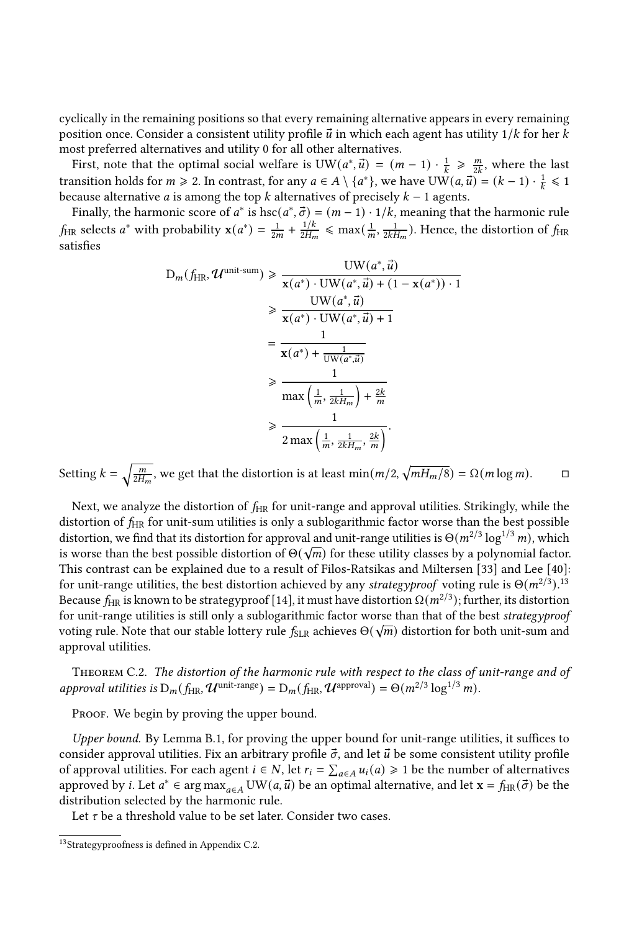cyclically in the remaining positions so that every remaining alternative appears in every remaining position once. Consider a consistent utility profile  $\vec{u}$  in which each agent has utility 1/k for her k most preferred alternatives and utility 0 for all other alternatives.

First, note that the optimal social welfare is  $UW(a^*, \vec{u}) = (m-1) \cdot \frac{1}{k} \geq \frac{m}{2k}$ , where the last transition holds for  $m \ge 2$ . In contrast, for any  $a \in A \setminus \{a^*\}$ , we have  $U \hat{W}(a, \vec{u}) = (k-1) \cdot \frac{1}{k} \le 1$ because alternative *a* is among the top *k* alternatives of precisely  $k - 1$  agents.

Finally, the harmonic score of  $a^*$  is hsc $(a^*, \vec{\sigma}) = (m-1) \cdot 1/k$ , meaning that the harmonic rule  $f_{\text{HR}}$  selects  $a^*$  with probability  $\mathbf{x}(a^*) = \frac{1}{2m} + \frac{1/k}{2H_n}$  $\frac{1/k}{2H_m} \le \max(\frac{1}{m}, \frac{1}{2kH_m})$ . Hence, the distortion of  $f_{HR}$ satisfies

$$
D_m(f_{HR}, \mathcal{U}^{\text{unit-sum}}) \geq \frac{UW(a^*, \vec{u})}{x(a^*) \cdot UW(a^*, \vec{u}) + (1 - x(a^*)) \cdot 1}
$$

$$
\geq \frac{UW(a^*, \vec{u})}{x(a^*) \cdot UW(a^*, \vec{u}) + 1}
$$

$$
= \frac{1}{x(a^*) + \frac{1}{UW(a^*, \vec{u})}}
$$

$$
\geq \frac{1}{\max\left(\frac{1}{m}, \frac{1}{2kH_m}\right) + \frac{2k}{m}}
$$

$$
\geq \frac{1}{2 \max\left(\frac{1}{m}, \frac{1}{2kH_m}, \frac{2k}{m}\right)}.
$$

Setting  $k = \sqrt{\frac{m}{2H_m}}$ , we get that the distortion is at least min(*m*/2,  $\sqrt{mH_m/8}$ ) = Ω(*m* log *m*). □

Next, we analyze the distortion of  $f_{HR}$  for unit-range and approval utilities. Strikingly, while the distortion of  $f_{HR}$  for unit-sum utilities is only a sublogarithmic factor worse than the best possible distortion, we find that its distortion for approval and unit-range utilities is  $\Theta(m^{2/3} \log^{1/3} m)$ , which is worse than the best possible distortion of  $\Theta(\sqrt{m})$  for these utility classes by a polynomial factor. This contrast can be explained due to a result of Filos-Ratsikas and Miltersen [\[33\]](#page-20-0) and Lee [\[40\]](#page-20-1): for unit-range utilities, the best distortion achieved by any strategyproof voting rule is  $\Theta(m^{2/3})$ .<sup>[13](#page-24-1)</sup> Because  $f_{\rm HR}$  is known to be strategyproof [\[14\]](#page-19-1), it must have distortion  $\Omega(m^{2/3})$ ; further, its distortion for unit-range utilities is still only a sublogarithmic factor worse than that of the best strategyproof √ voting rule. Note that our stable lottery rule  $f_{\rm SLR}$  achieves  $\Theta(\sqrt{m})$  distortion for both unit-sum and approval utilities.

<span id="page-24-0"></span>THEOREM C.2. The distortion of the harmonic rule with respect to the class of unit-range and of approval utilities is  $D_m(f_{HR}, \mathcal{U}^{\text{unit-range}}) = D_m(f_{HR}, \mathcal{U}^{\text{approxul}}) = \Theta(m^{2/3} \log^{1/3} m)$ .

PROOF. We begin by proving the upper bound.

Upper bound. By [Lemma B.1,](#page-22-0) for proving the upper bound for unit-range utilities, it suffices to consider approval utilities. Fix an arbitrary profile  $\vec{\sigma}$ , and let  $\vec{u}$  be some consistent utility profile of approval utilities. For each agent  $i \in N$ , let  $r_i = \sum_{a \in A} u_i(a) \geq 1$  be the number of alternatives approved by *i*. Let  $a^* \in \argmax_{a \in A} \text{UW}(a, \vec{u})$  be an optimal alternative, and let  $\mathbf{x} = f_{HR}(\vec{\sigma})$  be the distribution selected by the harmonic rule.

Let  $\tau$  be a threshold value to be set later. Consider two cases.

<span id="page-24-1"></span><sup>13</sup>Strategyproofness is defined in [Appendix C.2.](#page-26-0)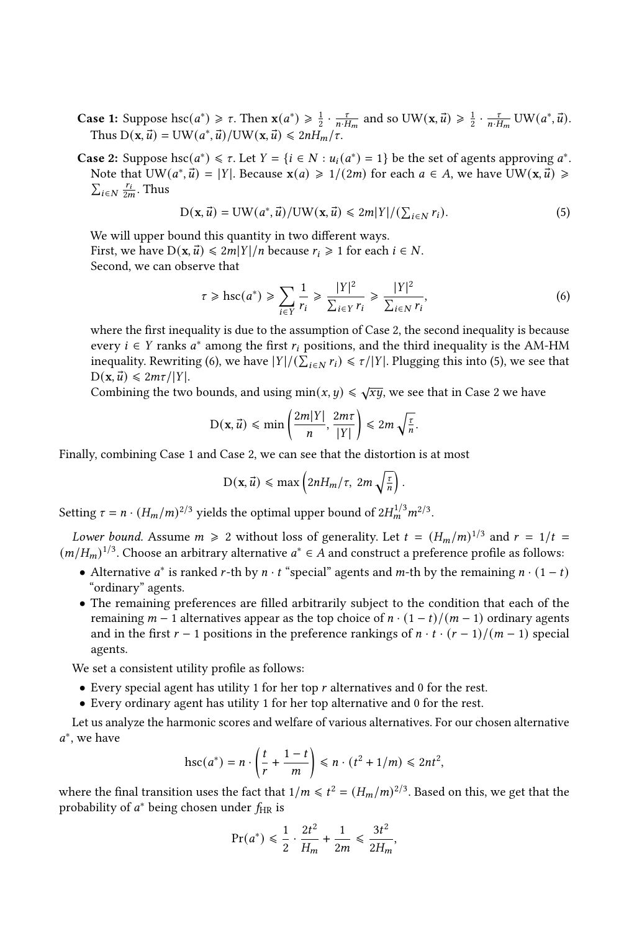- **Case 1:** Suppose hsc $(a^*) \ge \tau$ . Then  $\mathbf{x}(a^*) \ge \frac{1}{2} \cdot \frac{\tau}{n \cdot H_m}$  and so  $UW(\mathbf{x}, \vec{u}) \ge \frac{1}{2} \cdot \frac{\tau}{n \cdot H_m}$   $UW(a^*, \vec{u})$ . Thus  $D(\mathbf{x}, \vec{u}) = UW(a^*, \vec{u})/UW(\mathbf{x}, \vec{u}) \leq 2nH_m/\tau$ .
- **Case 2:** Suppose hsc( $a^*$ )  $\le \tau$ . Let  $Y = \{i \in N : u_i(a^*) = 1\}$  be the set of agents approving  $a^*$ . Note that  $UW(a^*, \vec{u}) = |Y|$ . Because  $\mathbf{x}(a) \geq 1/(2m)$  for each  $a \in A$ , we have  $UW(\mathbf{x}, \vec{u}) \geq 1/(2m)$  $\sum_{i \in N} \frac{r_i}{2m}$ . Thus

<span id="page-25-1"></span>
$$
D(\mathbf{x}, \vec{u}) = UW(a^*, \vec{u})/UW(\mathbf{x}, \vec{u}) \le 2m|Y|/(\sum_{i \in N} r_i).
$$
 (5)

We will upper bound this quantity in two different ways. First, we have  $D(\mathbf{x}, \vec{u}) \leq 2m|Y|/n$  because  $r_i \geq 1$  for each  $i \in N$ . Second, we can observe that

<span id="page-25-0"></span>
$$
\tau \ge \operatorname{hsc}(a^*) \ge \sum_{i \in Y} \frac{1}{r_i} \ge \frac{|Y|^2}{\sum_{i \in Y} r_i} \ge \frac{|Y|^2}{\sum_{i \in N} r_i},\tag{6}
$$

where the first inequality is due to the assumption of Case 2, the second inequality is because every  $i \in Y$  ranks  $a^*$  among the first  $r_i$  positions, and the third inequality is the AM-HM inequality. Rewriting [\(6\)](#page-25-0), we have  $|Y|/(\sum_{i\in N} r_i) \leq \tau/|Y|$ . Plugging this into [\(5\)](#page-25-1), we see that  $D(\mathbf{x}, \vec{u}) \leq 2m\tau/|Y|.$ 

 $\sum_{i=1}^{\infty}$   $\sum_{i=1}^{\infty}$  and  $\sum_{i=1}^{\infty}$  and  $\sum_{i=1}^{\infty}$  min $(x, y) \leq \sqrt{xy}$ , we see that in Case 2 we have

$$
\mathrm{D}(\mathbf{x},\vec{u}) \leq \min\left(\frac{2m|Y|}{n},\frac{2m\tau}{|Y|}\right) \leq 2m\sqrt{\frac{\tau}{n}}.
$$

Finally, combining Case 1 and Case 2, we can see that the distortion is at most

$$
D(\mathbf{x}, \vec{u}) \leq \max\left(2nH_m/\tau, 2m\sqrt{\frac{\tau}{n}}\right).
$$

Setting  $\tau = n \cdot (H_m/m)^{2/3}$  yields the optimal upper bound of  $2H_m^{1/3}m^{2/3}$ .

Lower bound. Assume  $m \ge 2$  without loss of generality. Let  $t = (H_m/m)^{1/3}$  and  $r = 1/t =$  $(m/H_m)^{1/3}$ . Choose an arbitrary alternative  $a^* \in A$  and construct a preference profile as follows:

- Alternative  $a^*$  is ranked r-th by  $n \cdot t$  "special" agents and m-th by the remaining  $n \cdot (1 t)$ "ordinary" agents.
- The remaining preferences are filled arbitrarily subject to the condition that each of the remaining  $m - 1$  alternatives appear as the top choice of  $n \cdot (1 - t)/(m - 1)$  ordinary agents and in the first  $r - 1$  positions in the preference rankings of  $n \cdot t \cdot (r - 1)/(m - 1)$  special agents.

We set a consistent utility profile as follows:

- Every special agent has utility 1 for her top  $r$  alternatives and 0 for the rest.
- Every ordinary agent has utility 1 for her top alternative and 0 for the rest.

Let us analyze the harmonic scores and welfare of various alternatives. For our chosen alternative ∗ , we have

$$
\operatorname{hsc}(a^*) = n \cdot \left(\frac{t}{r} + \frac{1-t}{m}\right) \leq n \cdot (t^2 + 1/m) \leq 2nt^2,
$$

where the final transition uses the fact that  $1/m \le t^2 = (H_m/m)^{2/3}$ . Based on this, we get that the probability of  $a^*$  being chosen under  $f_{HR}$  is

$$
\Pr(a^*) \leq \frac{1}{2} \cdot \frac{2t^2}{H_m} + \frac{1}{2m} \leq \frac{3t^2}{2H_m},
$$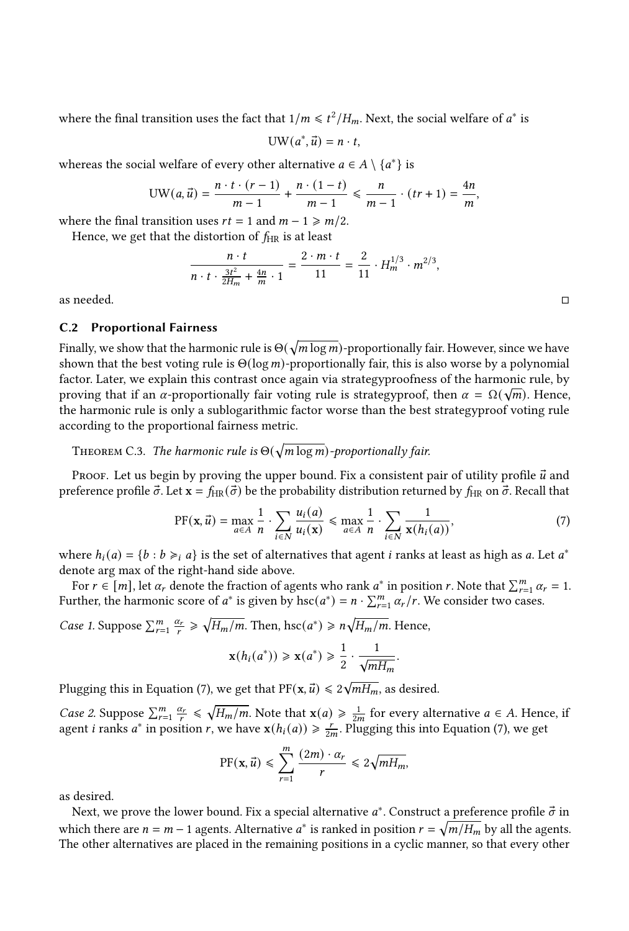where the final transition uses the fact that  $1/m \leq t^2/H_m$ . Next, the social welfare of  $a^*$  is

$$
UW(a^*, \vec{u}) = n \cdot t,
$$

whereas the social welfare of every other alternative  $a \in A \setminus \{a^*\}$  is

$$
UW(a, \vec{u}) = \frac{n \cdot t \cdot (r-1)}{m-1} + \frac{n \cdot (1-t)}{m-1} \le \frac{n}{m-1} \cdot (tr+1) = \frac{4n}{m},
$$

where the final transition uses  $rt = 1$  and  $m - 1 \ge m/2$ .

Hence, we get that the distortion of  $f_{HR}$  is at least

$$
\frac{n \cdot t}{n \cdot t \cdot \frac{3t^2}{2H_m} + \frac{4n}{m} \cdot 1} = \frac{2 \cdot m \cdot t}{11} = \frac{2}{11} \cdot H_m^{1/3} \cdot m^{2/3},
$$

as needed. □

#### <span id="page-26-0"></span>C.2 Proportional Fairness

Finally, we show that the harmonic rule is  $\Theta(\sqrt{m\log m})$ -proportionally fair. However, since we have shown that the best voting rule is  $\Theta(\log m)$ -proportionally fair, this is also worse by a polynomial factor. Later, we explain this contrast once again via strategyproofness of the harmonic rule, by √ proving that if an  $\alpha$ -proportionally fair voting rule is strategyproof, then  $\alpha = \Omega(\sqrt{m})$ . Hence, the harmonic rule is only a sublogarithmic factor worse than the best strategyproof voting rule according to the proportional fairness metric.

THEOREM C.3. The harmonic rule is  $\Theta(\sqrt{m\log m})$ -proportionally fair.

Proof. Let us begin by proving the upper bound. Fix a consistent pair of utility profile  $\vec{u}$  and preference profile  $\vec{\sigma}$ . Let  $\mathbf{x} = f_{HR}(\vec{\sigma})$  be the probability distribution returned by  $f_{HR}$  on  $\vec{\sigma}$ . Recall that

<span id="page-26-1"></span>
$$
PF(\mathbf{x}, \vec{u}) = \max_{a \in A} \frac{1}{n} \cdot \sum_{i \in N} \frac{u_i(a)}{u_i(\mathbf{x})} \le \max_{a \in A} \frac{1}{n} \cdot \sum_{i \in N} \frac{1}{\mathbf{x}(h_i(a))},\tag{7}
$$

where  $h_i(a) = \{b : b \geq i \}$  is the set of alternatives that agent *i* ranks at least as high as *a*. Let  $a^*$ denote arg max of the right-hand side above.

For  $r \in [m]$ , let  $\alpha_r$  denote the fraction of agents who rank  $a^*$  in position r. Note that  $\sum_{r=1}^{m} \alpha_r = 1$ . Further, the harmonic score of  $a^*$  is given by hsc( $a^*$ ) =  $n \cdot \sum_{r=1}^{m} \frac{a_r}{\alpha_r}/r$ . We consider two cases.

*Case 1.* Suppose  $\sum_{r=1}^{m} \frac{\alpha_r}{r} \ge \sqrt{H_m/m}$ . Then, hsc $(a^*) \ge n\sqrt{H_m/m}$ . Hence,

$$
\mathbf{x}(h_i(a^*)) \geq \mathbf{x}(a^*) \geq \frac{1}{2} \cdot \frac{1}{\sqrt{mH_m}}.
$$

Plugging this in [Equation \(7\),](#page-26-1) we get that PF( $\mathbf{x},\vec{u}) \leqslant 2\sqrt{mH_m}$ , as desired.

*Case 2.* Suppose  $\sum_{r=1}^{m} \frac{\alpha_r}{r} \leq \sqrt{H_m/m}$ . Note that  $\mathbf{x}(a) \geq \frac{1}{2m}$  for every alternative  $a \in A$ . Hence, if agent *i* ranks  $a^*$  in position r, we have  $\mathbf{x}(h_i(a)) \ge \frac{r}{2m}$ . Plugging this into [Equation \(7\),](#page-26-1) we get

$$
\mathrm{PF}(\mathbf{x}, \vec{u}) \leq \sum_{r=1}^{m} \frac{(2m) \cdot \alpha_r}{r} \leq 2\sqrt{mH_m},
$$

as desired.

Next, we prove the lower bound. Fix a special alternative  $a^*$ . Construct a preference profile  $\vec{\sigma}$  in which there are  $n = m - 1$  agents. Alternative  $a^*$  is ranked in position  $r = \sqrt{m/H_m}$  by all the agents. The other alternatives are placed in the remaining positions in a cyclic manner, so that every other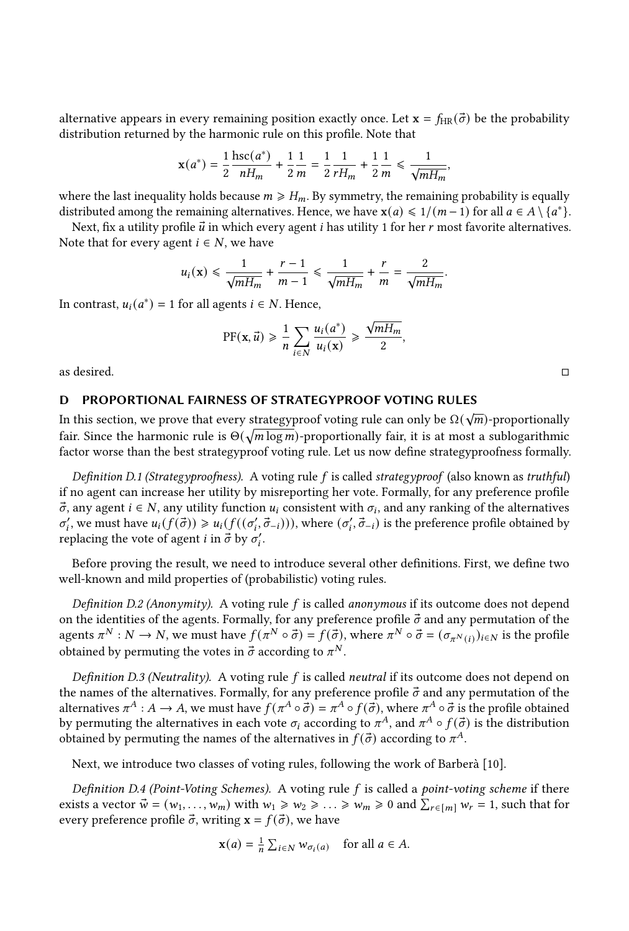alternative appears in every remaining position exactly once. Let  $\mathbf{x} = f_{HR}(\vec{\sigma})$  be the probability distribution returned by the harmonic rule on this profile. Note that

$$
\mathbf{x}(a^*) = \frac{1}{2} \frac{\text{hsc}(a^*)}{nH_m} + \frac{1}{2} \frac{1}{m} = \frac{1}{2} \frac{1}{rH_m} + \frac{1}{2} \frac{1}{m} \le \frac{1}{\sqrt{mH_m}},
$$

where the last inequality holds because  $m \geq H_m$ . By symmetry, the remaining probability is equally distributed among the remaining alternatives. Hence, we have  $\mathbf{x}(a) \leq 1/(m-1)$  for all  $a \in A \setminus \{a^*\}$ .

Next, fix a utility profile  $\vec{u}$  in which every agent *i* has utility 1 for her *r* most favorite alternatives. Note that for every agent  $i \in N$ , we have

$$
u_i(\mathbf{x}) \leq \frac{1}{\sqrt{mH_m}} + \frac{r-1}{m-1} \leq \frac{1}{\sqrt{mH_m}} + \frac{r}{m} = \frac{2}{\sqrt{mH_m}}.
$$

In contrast,  $u_i(a^*) = 1$  for all agents  $i \in N$ . Hence,

$$
PF(\mathbf{x}, \vec{u}) \geq \frac{1}{n} \sum_{i \in N} \frac{u_i(a^*)}{u_i(\mathbf{x})} \geq \frac{\sqrt{mH_m}}{2},
$$

as desired. □

#### <span id="page-27-0"></span>D PROPORTIONAL FAIRNESS OF STRATEGYPROOF VOTING RULES

In this section, we prove that every strategyproof voting rule can only be  $\Omega(\sqrt{m})$ -proportionally fair. Since the harmonic rule is  $\Theta(\sqrt{m\log m})$ -proportionally fair, it is at most a sublogarithmic factor worse than the best strategyproof voting rule. Let us now define strategyproofness formally.

Definition D.1 (Strategyproofness). A voting rule  $f$  is called strategyproof (also known as truthful) if no agent can increase her utility by misreporting her vote. Formally, for any preference profile  $\vec{\sigma}$ , any agent  $i \in N$ , any utility function  $u_i$  consistent with  $\sigma_i$ , and any ranking of the alternatives  $\sigma'_i$ , we must have  $u_i(f(\vec{\sigma})) \geq u_i(f((\sigma'_i, \vec{\sigma}_{-i}))),$  where  $(\sigma'_i, \vec{\sigma}_{-i})$  is the preference profile obtained by replacing the vote of agent *i* in  $\vec{\sigma}$  by  $\sigma'_i$ .

Before proving the result, we need to introduce several other definitions. First, we define two well-known and mild properties of (probabilistic) voting rules.

Definition D.2 (Anonymity). A voting rule  $f$  is called anonymous if its outcome does not depend on the identities of the agents. Formally, for any preference profile  $\vec{\sigma}$  and any permutation of the agents  $\pi^N : N \to N$ , we must have  $f(\pi^N \circ \vec{\sigma}) = f(\vec{\sigma})$ , where  $\pi^N \circ \vec{\sigma} = (\sigma_{\pi^N(i)})_{i \in N}$  is the profile obtained by permuting the votes in  $\vec{\sigma}$  according to  $\pi^N$ .

Definition D.3 (Neutrality). A voting rule  $f$  is called neutral if its outcome does not depend on the names of the alternatives. Formally, for any preference profile  $\vec{\sigma}$  and any permutation of the alternatives  $\pi^A : A \to A$ , we must have  $f(\pi^A \circ \vec{\sigma}) = \pi^A \circ f(\vec{\sigma})$ , where  $\pi^A \circ \vec{\sigma}$  is the profile obtained by permuting the alternatives in each vote  $\sigma_i$  according to  $\pi^A$ , and  $\pi^A \circ f(\vec{\sigma})$  is the distribution obtained by permuting the names of the alternatives in  $f(\vec{\sigma})$  according to  $\pi^{A}$ .

Next, we introduce two classes of voting rules, following the work of Barberà [\[10\]](#page-19-26).

Definition D.4 (Point-Voting Schemes). A voting rule  $f$  is called a point-voting scheme if there exists a vector  $\vec{w} = (w_1, \dots, w_m)$  with  $w_1 \geq w_2 \geq \dots \geq w_m \geq 0$  and  $\sum_{r \in [m]} w_r = 1$ , such that for every preference profile  $\vec{\sigma}$ , writing  $\mathbf{x} = f(\vec{\sigma})$ , we have

$$
\mathbf{x}(a) = \frac{1}{n} \sum_{i \in N} w_{\sigma_i(a)} \quad \text{for all } a \in A.
$$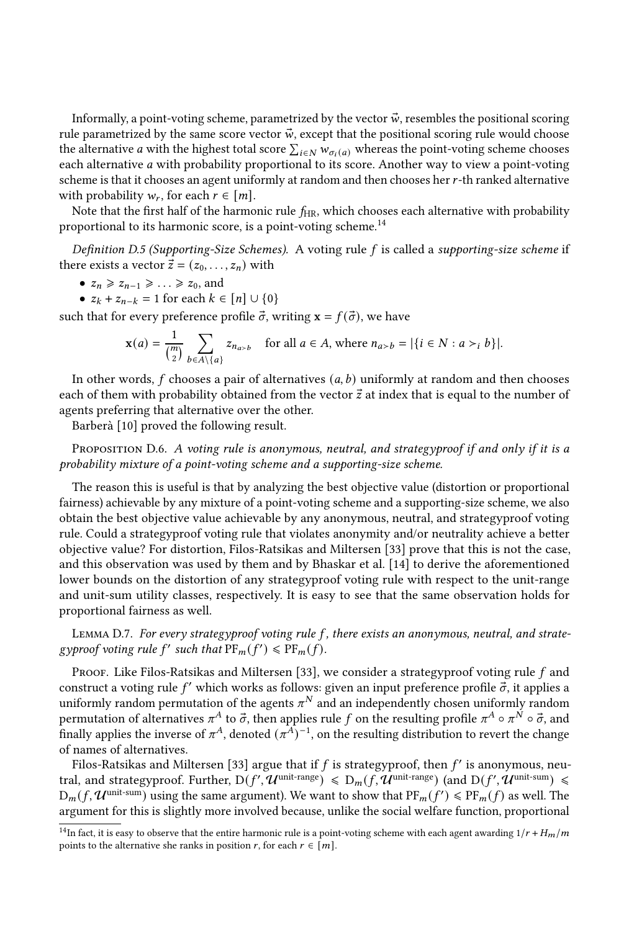Informally, a point-voting scheme, parametrized by the vector  $\vec{w}$ , resembles the positional scoring rule parametrized by the same score vector  $\vec{w}$ , except that the positional scoring rule would choose the alternative *a* with the highest total score  $\sum_{i \in N} w_{\sigma_i(a)}$  whereas the point-voting scheme chooses each alternative *a* with probability proportional to its score. Another way to view a point-voting scheme is that it chooses an agent uniformly at random and then chooses her r-th ranked alternative with probability  $w_r$ , for each  $r \in [m]$ .

Note that the first half of the harmonic rule  $f_{HR}$ , which chooses each alternative with probability proportional to its harmonic score, is a point-voting scheme.<sup>[14](#page-28-0)</sup>

Definition D.5 (Supporting-Size Schemes). A voting rule f is called a supporting-size scheme if there exists a vector  $\vec{z} = (z_0, \ldots, z_n)$  with

- $z_n \ge z_{n-1} \ge \ldots \ge z_0$ , and
- $z_k + z_{n-k} = 1$  for each  $k \in [n] \cup \{0\}$

such that for every preference profile  $\vec{\sigma}$ , writing  $\mathbf{x} = f(\vec{\sigma})$ , we have

$$
\mathbf{x}(a) = \frac{1}{\binom{m}{2}} \sum_{b \in A \setminus \{a\}} z_{n_{a>b}} \quad \text{for all } a \in A \text{, where } n_{a>b} = |\{i \in N : a >_i b\}|.
$$

In other words,  $f$  chooses a pair of alternatives  $(a, b)$  uniformly at random and then chooses each of them with probability obtained from the vector  $\vec{z}$  at index that is equal to the number of agents preferring that alternative over the other.

Barberà [\[10\]](#page-19-26) proved the following result.

<span id="page-28-2"></span>PROPOSITION D.6. A voting rule is anonymous, neutral, and strategyproof if and only if it is a probability mixture of a point-voting scheme and a supporting-size scheme.

The reason this is useful is that by analyzing the best objective value (distortion or proportional fairness) achievable by any mixture of a point-voting scheme and a supporting-size scheme, we also obtain the best objective value achievable by any anonymous, neutral, and strategyproof voting rule. Could a strategyproof voting rule that violates anonymity and/or neutrality achieve a better objective value? For distortion, Filos-Ratsikas and Miltersen [\[33\]](#page-20-0) prove that this is not the case, and this observation was used by them and by Bhaskar et al. [\[14\]](#page-19-1) to derive the aforementioned lower bounds on the distortion of any strategyproof voting rule with respect to the unit-range and unit-sum utility classes, respectively. It is easy to see that the same observation holds for proportional fairness as well.

<span id="page-28-1"></span>LEMMA D.7. For every strategyproof voting rule  $f$ , there exists an anonymous, neutral, and strategyproof voting rule  $f'$  such that  $PF_m(f') \leq PF_m(f)$ .

Proof. Like Filos-Ratsikas and Miltersen [\[33\]](#page-20-0), we consider a strategyproof voting rule  $f$  and construct a voting rule f' which works as follows: given an input preference profile  $\vec{\sigma}$ , it applies a uniformly random permutation of the agents  $\pi^N$  and an independently chosen uniformly random permutation of alternatives  $\pi^A$  to  $\vec{\sigma}$ , then applies rule f on the resulting profile  $\pi^A \circ \pi^N \circ \vec{\sigma}$ , and finally applies the inverse of  $\pi^A$ , denoted  $(\pi^A)^{-1}$ , on the resulting distribution to revert the change of names of alternatives.

Filos-Ratsikas and Miltersen [\[33\]](#page-20-0) argue that if f is strategyproof, then  $f'$  is anonymous, neutral, and strategyproof. Further,  $D(f', \mathcal{U}^{\text{unit-range}}) \le D_m(f, \mathcal{U}^{\text{unit-range}})$  (and  $D(f', \mathcal{U}^{\text{unit-sum}}) \le D_m(f, \mathcal{U}^{\text{unit-range}})$  $D_m(f, \mathcal{U}^{\text{unit-sum}})$  using the same argument). We want to show that  $PF_m(f') \leq PF_m(f)$  as well. The argument for this is slightly more involved because, unlike the social welfare function, proportional

<span id="page-28-0"></span><sup>&</sup>lt;sup>14</sup>In fact, it is easy to observe that the entire harmonic rule is a point-voting scheme with each agent awarding  $1/r + H_m/m$ points to the alternative she ranks in position r, for each  $r \in [m]$ .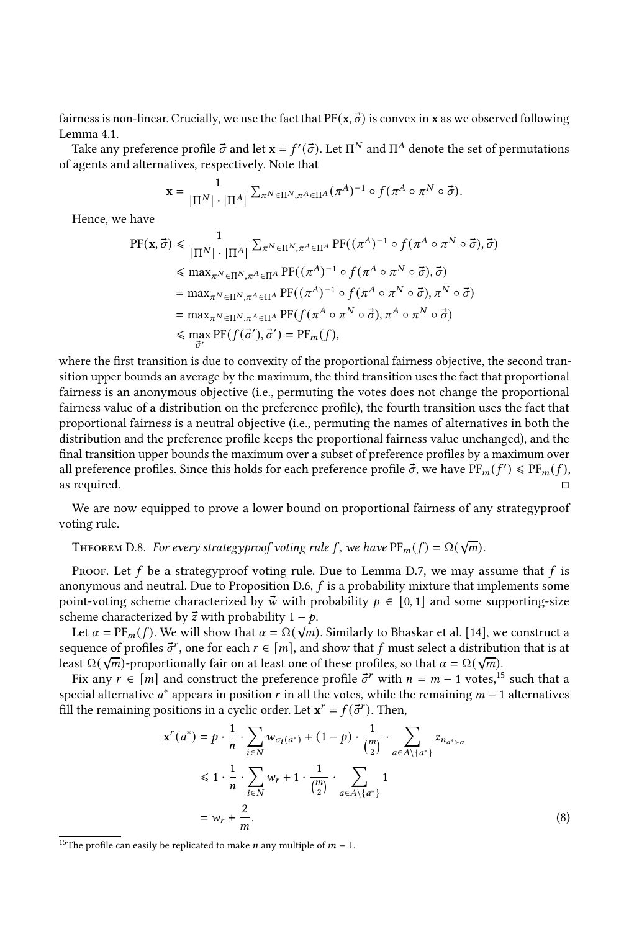fairness is non-linear. Crucially, we use the fact that  $PF(x, \vec{\sigma})$  is convex in x as we observed following [Lemma 4.1.](#page-14-0)

Take any preference profile  $\vec{\sigma}$  and let  $\mathbf{x} = f'(\vec{\sigma})$ . Let  $\Pi^N$  and  $\Pi^A$  denote the set of permutations of agents and alternatives, respectively. Note that

$$
\mathbf{x} = \frac{1}{|\Pi^N| \cdot |\Pi^A|} \sum_{\pi^N \in \Pi^N, \pi^A \in \Pi^A} (\pi^A)^{-1} \circ f(\pi^A \circ \pi^N \circ \vec{\sigma}).
$$

Hence, we have

$$
\begin{split} \text{PF}(\mathbf{x},\vec{\sigma}) &\leq \frac{1}{|\Pi^N| \cdot |\Pi^A|} \sum_{\pi^N \in \Pi^N, \pi^A \in \Pi^A} \text{PF}((\pi^A)^{-1} \circ f(\pi^A \circ \pi^N \circ \vec{\sigma}), \vec{\sigma}) \\ &\leq \max_{\pi^N \in \Pi^N, \pi^A \in \Pi^A} \text{PF}((\pi^A)^{-1} \circ f(\pi^A \circ \pi^N \circ \vec{\sigma}), \vec{\sigma}) \\ &= \max_{\pi^N \in \Pi^N, \pi^A \in \Pi^A} \text{PF}((\pi^A)^{-1} \circ f(\pi^A \circ \pi^N \circ \vec{\sigma}), \pi^N \circ \vec{\sigma}) \\ &= \max_{\pi^N \in \Pi^N, \pi^A \in \Pi^A} \text{PF}(f(\pi^A \circ \pi^N \circ \vec{\sigma}), \pi^A \circ \pi^N \circ \vec{\sigma}) \\ &\leq \max_{\pi^M} \text{PF}(f(\vec{\sigma}'), \vec{\sigma}') = \text{PF}_m(f), \end{split}
$$

where the first transition is due to convexity of the proportional fairness objective, the second transition upper bounds an average by the maximum, the third transition uses the fact that proportional fairness is an anonymous objective (i.e., permuting the votes does not change the proportional fairness value of a distribution on the preference profile), the fourth transition uses the fact that proportional fairness is a neutral objective (i.e., permuting the names of alternatives in both the distribution and the preference profile keeps the proportional fairness value unchanged), and the final transition upper bounds the maximum over a subset of preference profiles by a maximum over all preference profiles. Since this holds for each preference profile  $\vec{\sigma}$ , we have  $PF_m(f') \leq PF_m(f)$ , as required.  $\Box$ 

We are now equipped to prove a lower bound on proportional fairness of any strategyproof voting rule.

THEOREM D.8. For every strategyproof voting rule f , we have  ${\rm PF}_m(f) = \Omega(\sqrt{m}).$ 

Proof. Let f be a strategyproof voting rule. Due to [Lemma D.7,](#page-28-1) we may assume that f is anonymous and neutral. Due to [Proposition D.6,](#page-28-2)  $f$  is a probability mixture that implements some point-voting scheme characterized by  $\vec{w}$  with probability  $p \in [0, 1]$  and some supporting-size scheme characterized by  $\vec{z}$  with probability  $1 - \vec{p}$ .

Let  $\alpha = \text{PF}_m(f)$ . We will show that  $\alpha = \Omega(\sqrt{m})$ . Similarly to Bhaskar et al. [\[14\]](#page-19-1), we construct a sequence of profiles  $\vec{\sigma}^r$ , one for each  $r \in [m]$ , and show that f must select a distribution that is at least Ω( $\sqrt{m}$ )-proportionally fair on at least one of these profiles, so that  $\alpha = \Omega(\sqrt{m})$ .

Fix any  $r \in [m]$  and construct the preference profile  $\vec{\sigma}^r$  with  $n = m - 1$  votes, <sup>[15](#page-29-0)</sup> such that a special alternative  $a^*$  appears in position r in all the votes, while the remaining  $m-1$  alternatives fill the remaining positions in a cyclic order. Let  $\mathbf{x}^r = f(\vec{\sigma}^r)$ . Then,

<span id="page-29-1"></span>
$$
\mathbf{x}^{r}(a^{*}) = p \cdot \frac{1}{n} \cdot \sum_{i \in N} w_{\sigma_{i}(a^{*})} + (1-p) \cdot \frac{1}{\binom{m}{2}} \cdot \sum_{a \in A \setminus \{a^{*}\}} z_{n_{a^{*} > a}}
$$
  
\$\leq 1 \cdot \frac{1}{n} \cdot \sum\_{i \in N} w\_{r} + 1 \cdot \frac{1}{\binom{m}{2}} \cdot \sum\_{a \in A \setminus \{a^{\*}\}} 1\$  
=  $w_{r} + \frac{2}{m}$ . (8)

<span id="page-29-0"></span><sup>15</sup>The profile can easily be replicated to make *n* any multiple of  $m - 1$ .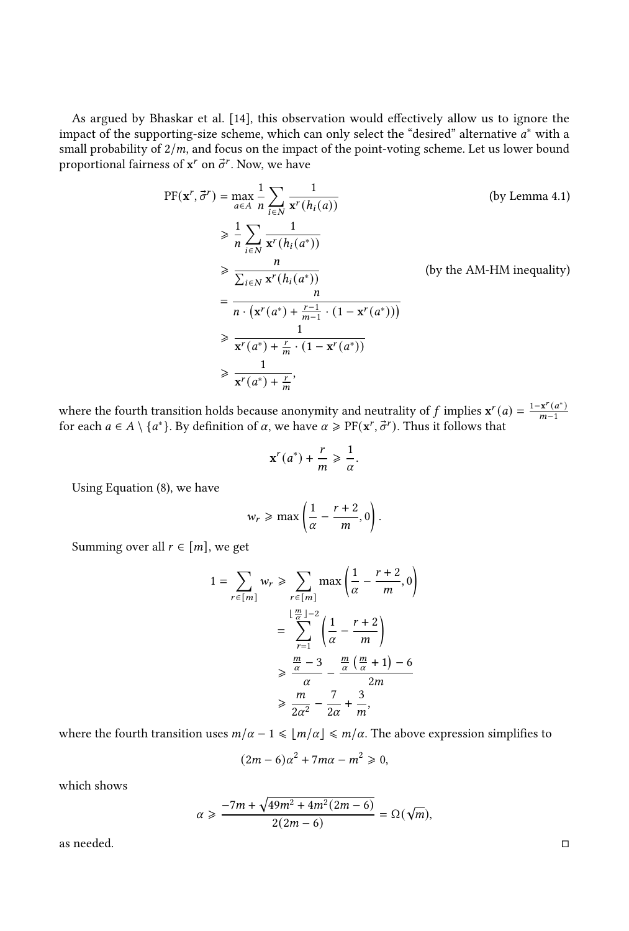As argued by Bhaskar et al. [\[14\]](#page-19-1), this observation would effectively allow us to ignore the impact of the supporting-size scheme, which can only select the "desired" alternative  $a^*$  with a small probability of  $2/m$ , and focus on the impact of the point-voting scheme. Let us lower bound proportional fairness of  $x^r$  on  $\vec{\sigma}^r$ . Now, we have

$$
PF(\mathbf{x}^r, \vec{\sigma}^r) = \max_{a \in A} \frac{1}{n} \sum_{i \in N} \frac{1}{\mathbf{x}^r(h_i(a))}
$$
 (by Lemma 4.1)  
\n
$$
\geq \frac{1}{n} \sum_{i \in N} \frac{1}{\mathbf{x}^r(h_i(a^*))}
$$
 (by the AM-HM inequality)  
\n
$$
= \frac{n}{n \cdot (\mathbf{x}^r(a^*) + \frac{r-1}{m-1} \cdot (1 - \mathbf{x}^r(a^*))}
$$
  
\n
$$
\geq \frac{1}{\mathbf{x}^r(a^*) + \frac{r}{m} \cdot (1 - \mathbf{x}^r(a^*))}
$$
  
\n
$$
\geq \frac{1}{\mathbf{x}^r(a^*) + \frac{r}{m}},
$$

where the fourth transition holds because anonymity and neutrality of f implies  $x^r(a) = \frac{1-x^r(a^*)}{m-1}$ for each  $a \in A \setminus \{a^*\}$ . By definition of  $\alpha$ , we have  $\alpha \geqslant PF(x^r, \vec{\sigma}^r)$ . Thus it follows that

$$
\mathbf{x}^r(a^*) + \frac{r}{m} \geqslant \frac{1}{\alpha}.
$$

Using [Equation \(8\),](#page-29-1) we have

$$
w_r \geqslant \max\left(\frac{1}{\alpha} - \frac{r+2}{m}, 0\right).
$$

Summing over all  $r \in [m]$ , we get

$$
1 = \sum_{r \in [m]} w_r \ge \sum_{r \in [m]} \max\left(\frac{1}{\alpha} - \frac{r+2}{m}, 0\right)
$$
  
= 
$$
\sum_{r=1}^{\lfloor \frac{m}{\alpha} \rfloor - 2} \left(\frac{1}{\alpha} - \frac{r+2}{m}\right)
$$
  

$$
\ge \frac{\frac{m}{\alpha} - 3}{\frac{m}{\alpha} - \frac{m}{\alpha} \left(\frac{m}{\alpha} + 1\right) - 6}{2m}
$$
  

$$
\ge \frac{m}{2\alpha^2} - \frac{7}{2\alpha} + \frac{3}{m},
$$

where the fourth transition uses  $m/\alpha - 1 \leqslant |m/\alpha| \leqslant m/\alpha$ . The above expression simplifies to

$$
(2m-6)\alpha^2 + 7m\alpha - m^2 \geq 0,
$$

which shows

$$
\alpha \geq \frac{-7m + \sqrt{49m^2 + 4m^2(2m - 6)}}{2(2m - 6)} = \Omega(\sqrt{m}),
$$

as needed. □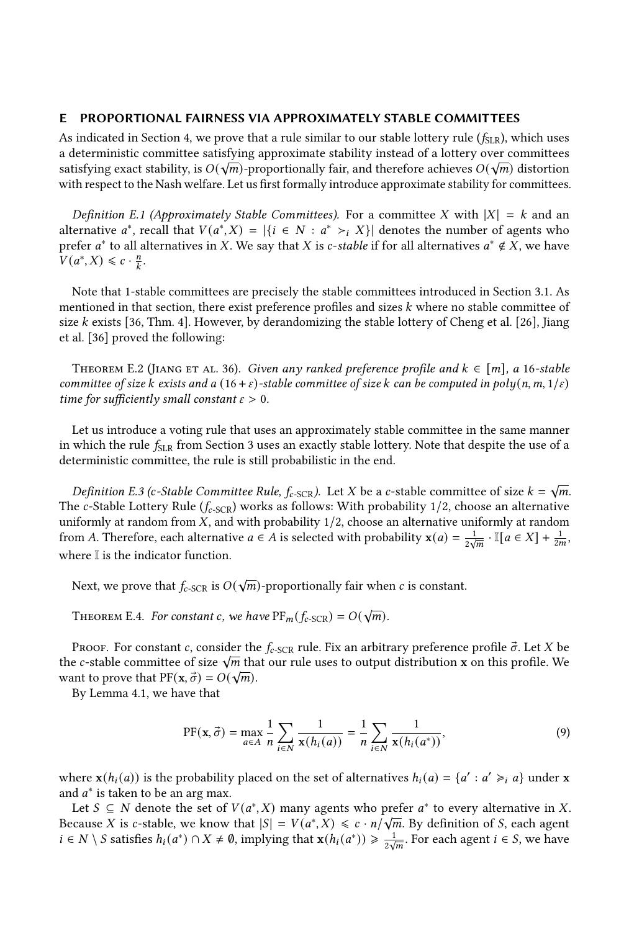## <span id="page-31-0"></span>E PROPORTIONAL FAIRNESS VIA APPROXIMATELY STABLE COMMITTEES

As indicated in [Section 4,](#page-14-1) we prove that a rule similar to our stable lottery rule  $(f_{\text{SLR}})$ , which uses a deterministic committee satisfying approximate stability instead of a lottery over committees satisfying exact stability, is  $O(\sqrt{m})$ -proportionally fair, and therefore achieves  $O(\sqrt{m})$  distortion with respect to the Nash welfare. Let us first formally introduce approximate stability for committees.

Definition E.1 (Approximately Stable Committees). For a committee X with  $|X| = k$  and an alternative  $a^*$ , recall that  $V(a^*, X) = |\{i \in N : a^* > i X\}|$  denotes the number of agents who prefer  $a^*$  to all alternatives in  $X.$  We say that  $X$  is  $c$ -stable if for all alternatives  $a^* \notin X,$  we have  $V(a^*, X) \leqslant c \cdot \frac{n}{k}.$ 

Note that 1-stable committees are precisely the stable committees introduced in [Section 3.1.](#page-10-0) As mentioned in that section, there exist preference profiles and sizes  $k$  where no stable committee of size  $k$  exists [\[36,](#page-20-14) Thm. 4]. However, by derandomizing the stable lottery of Cheng et al. [\[26\]](#page-19-19), Jiang et al. [\[36\]](#page-20-14) proved the following:

THEOREM E.2 (JIANG ET AL. [36\)](#page-20-14). Given any ranked preference profile and  $k \in [m]$ , a 16-stable committee of size k exists and a  $(16 + \varepsilon)$ -stable committee of size k can be computed in poly $(n, m, 1/\varepsilon)$ time for sufficiently small constant  $\varepsilon > 0$ .

Let us introduce a voting rule that uses an approximately stable committee in the same manner in which the rule  $f_{SLR}$  from [Section 3](#page-10-1) uses an exactly stable lottery. Note that despite the use of a deterministic committee, the rule is still probabilistic in the end.

Definition E.3 (c-Stable Committee Rule,  $f_{\rm c\text{-}SCR}$ ). Let  $X$  be a c-stable committee of size  $k=\sqrt{m}.$ The c-Stable Lottery Rule ( $f_{c-SCR}$ ) works as follows: With probability 1/2, choose an alternative uniformly at random from  $X$ , and with probability  $1/2$ , choose an alternative uniformly at random from A. Therefore, each alternative  $a \in A$  is selected with probability  $\mathbf{x}(a) = \frac{1}{2}$  $\frac{1}{2\sqrt{m}} \cdot \mathbb{I}[a \in X] + \frac{1}{2m},$ where I is the indicator function.

Next, we prove that  $f_{c\text{-SCR}}$  is  $O(\sqrt{m})$ -proportionally fair when c is constant.

THEOREM E.4. For constant c, we have  $PF_m(f_c\textrm{-sCR}) = O(\sqrt{m}).$ 

Proof. For constant c, consider the  $f_c$ -SCR rule. Fix an arbitrary preference profile  $\vec{\sigma}$ . Let X be PROOF. For constant c, consider the  $f_c$ -SCR rule. Fix an arbitrary preference profile  $\sigma$ . Let  $\lambda$  be the c-stable committee of size  $\sqrt{m}$  that our rule uses to output distribution **x** on this profile. We want to prove that  $PF(\mathbf{x}, \vec{\sigma}) = O(\sqrt{m}).$ 

By [Lemma 4.1,](#page-14-0) we have that

<span id="page-31-1"></span>
$$
PF(\mathbf{x}, \vec{\sigma}) = \max_{a \in A} \frac{1}{n} \sum_{i \in N} \frac{1}{\mathbf{x}(h_i(a))} = \frac{1}{n} \sum_{i \in N} \frac{1}{\mathbf{x}(h_i(a^*))},
$$
(9)

where  $\mathbf{x}(h_i(a))$  is the probability placed on the set of alternatives  $h_i(a) = \{a' : a' \geq a\}$  under x and  $a^*$  is taken to be an arg max.

Let  $S \subseteq N$  denote the set of  $V(a^*, X)$  many agents who prefer  $a^*$  to every alternative in X. Because X is c-stable, we know that  $|S| = V(a^*, X) \leq c \cdot n / \sqrt{m}$ . By definition of S, each agent  $i \in N \setminus S$  satisfies  $h_i(a^*) \cap X \neq \emptyset$ , implying that  $\mathbf{x}(h_i(a^*)) \geq \frac{1}{2\epsilon}$  $\frac{1}{2\sqrt{m}}$ . For each agent  $i \in S$ , we have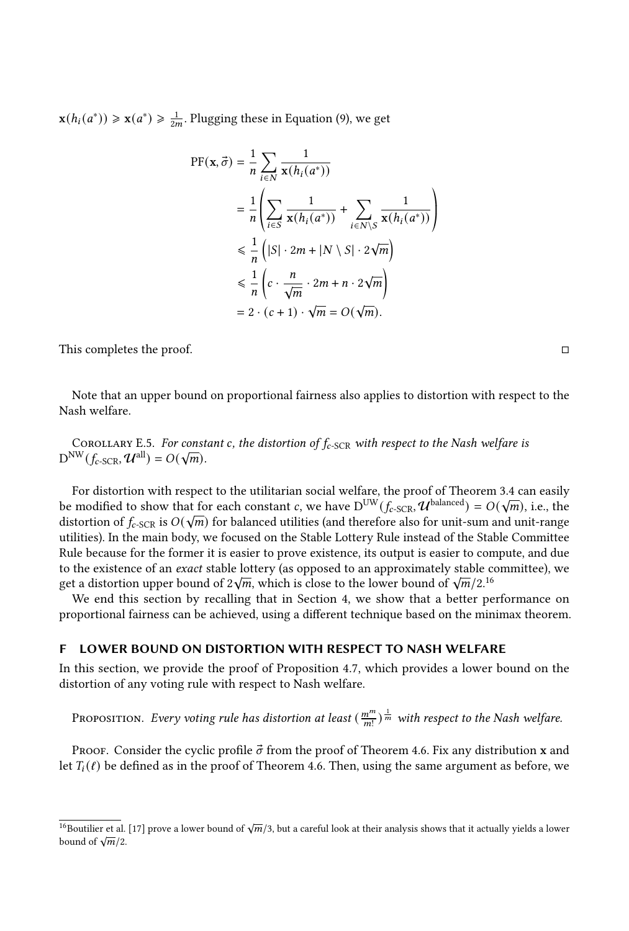$\mathbf{x}(h_i(a^*)) \ge \mathbf{x}(a^*) \ge \frac{1}{2m}$ . Plugging these in [Equation \(9\),](#page-31-1) we get

$$
PF(\mathbf{x}, \vec{\sigma}) = \frac{1}{n} \sum_{i \in N} \frac{1}{\mathbf{x}(h_i(a^*))}
$$
  
=  $\frac{1}{n} \left( \sum_{i \in S} \frac{1}{\mathbf{x}(h_i(a^*))} + \sum_{i \in N \setminus S} \frac{1}{\mathbf{x}(h_i(a^*))} \right)$   
 $\leq \frac{1}{n} \left( |S| \cdot 2m + |N \setminus S| \cdot 2\sqrt{m} \right)$   
 $\leq \frac{1}{n} \left( c \cdot \frac{n}{\sqrt{m}} \cdot 2m + n \cdot 2\sqrt{m} \right)$   
=  $2 \cdot (c + 1) \cdot \sqrt{m} = O(\sqrt{m}).$ 

This completes the proof. □

Note that an upper bound on proportional fairness also applies to distortion with respect to the Nash welfare.

COROLLARY E.5. For constant c, the distortion of  $f_{c-SCR}$  with respect to the Nash welfare is COROLLARY E.S. For const<br> $D^{NW}(f_c$ -SCR,  $\mathcal{U}^{all}$ ) =  $O(\sqrt{m})$ .

For distortion with respect to the utilitarian social welfare, the proof of [Theorem 3.4](#page-12-0) can easily For distortion with respect to the utilitarian social weifare, the proof of Theorem 5.4 can easily<br>be modified to show that for each constant c, we have  $D^{UW}(f_c$ -SCR,  $\mathcal{U}^{\text{balanced}} = O(\sqrt{m})$ , i.e., the distortion of  $f_{c\text{-SCR}}$  is  $O(\sqrt{m})$  for balanced utilities (and therefore also for unit-sum and unit-range utilities). In the main body, we focused on the Stable Lottery Rule instead of the Stable Committee Rule because for the former it is easier to prove existence, its output is easier to compute, and due to the existence of an *exact* stable lottery (as opposed to an approximately stable committee), we to the existence of an exact stable fottery (as opposed to an approximately stable c<br>get a distortion upper bound of  $2\sqrt{m}$ , which is close to the lower bound of  $\sqrt{m}/2$ .<sup>[16](#page-32-1)</sup>

We end this section by recalling that in [Section 4,](#page-14-1) we show that a better performance on proportional fairness can be achieved, using a different technique based on the minimax theorem.

## <span id="page-32-0"></span>F LOWER BOUND ON DISTORTION WITH RESPECT TO NASH WELFARE

In this section, we provide the proof of [Proposition 4.7,](#page-16-1) which provides a lower bound on the distortion of any voting rule with respect to Nash welfare.

Proposition. Every voting rule has distortion at least  $(\frac{m^m}{m!})^{\frac{1}{m}}$  with respect to the Nash welfare.

Proof. Consider the cyclic profile  $\vec{\sigma}$  from the proof of [Theorem 4.6.](#page-16-0) Fix any distribution x and let  $T_i(\ell)$  be defined as in the proof of [Theorem 4.6.](#page-16-0) Then, using the same argument as before, we

<span id="page-32-1"></span> $\overline{16}$ Boutilier et al. [\[17\]](#page-19-0) prove a lower bound of  $\sqrt{m}/3$ , but a careful look at their analysis shows that it actually yields a lower bound of  $\sqrt{m}/2$ .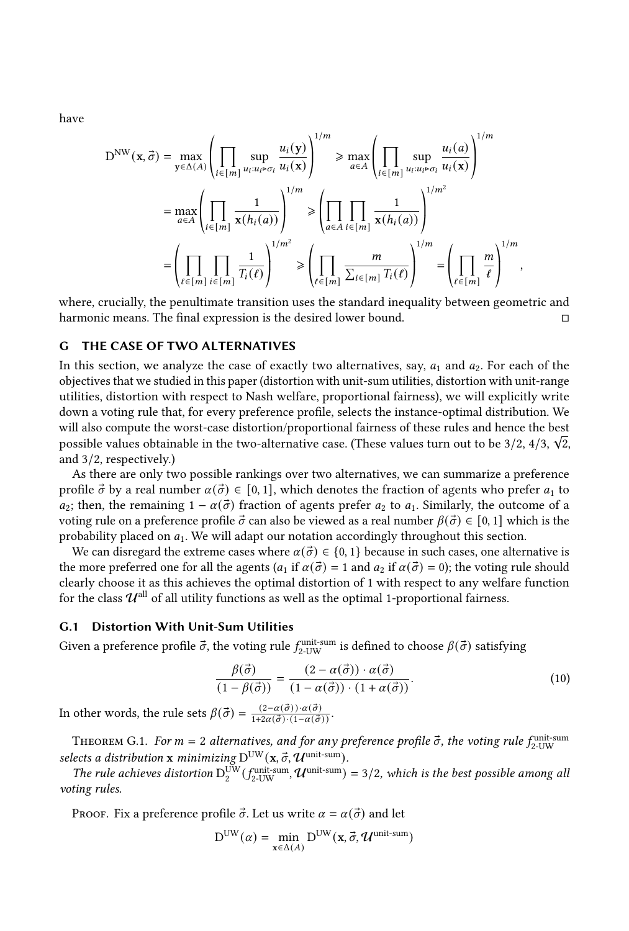have

$$
D^{NW}(\mathbf{x}, \vec{\sigma}) = \max_{\mathbf{y} \in \Delta(A)} \left( \prod_{i \in [m]} \sup_{u_i : u_i \mapsto \sigma_i} \frac{u_i(\mathbf{y})}{u_i(\mathbf{x})} \right)^{1/m} \ge \max_{a \in A} \left( \prod_{i \in [m]} \sup_{u_i : u_i \mapsto \sigma_i} \frac{u_i(a)}{u_i(\mathbf{x})} \right)^{1/m}
$$

$$
= \max_{a \in A} \left( \prod_{i \in [m]} \frac{1}{\mathbf{x}(h_i(a))} \right)^{1/m} \ge \left( \prod_{a \in A} \prod_{i \in [m]} \frac{1}{\mathbf{x}(h_i(a))} \right)^{1/m^2}
$$

$$
= \left( \prod_{\ell \in [m]} \prod_{i \in [m]} \frac{1}{T_i(\ell)} \right)^{1/m^2} \ge \left( \prod_{\ell \in [m]} \frac{m}{\sum_{i \in [m]} T_i(\ell)} \right)^{1/m} = \left( \prod_{\ell \in [m]} \frac{m}{\ell} \right)^{1/m}
$$

where, crucially, the penultimate transition uses the standard inequality between geometric and harmonic means. The final expression is the desired lower bound. □

# <span id="page-33-0"></span>G THE CASE OF TWO ALTERNATIVES

In this section, we analyze the case of exactly two alternatives, say,  $a_1$  and  $a_2$ . For each of the objectives that we studied in this paper (distortion with unit-sum utilities, distortion with unit-range utilities, distortion with respect to Nash welfare, proportional fairness), we will explicitly write down a voting rule that, for every preference profile, selects the instance-optimal distribution. We will also compute the worst-case distortion/proportional fairness of these rules and hence the best possible values obtainable in the two-alternative case. (These values turn out to be 3/2, 4/3,  $\sqrt{2}$ , and 3/2, respectively.)

As there are only two possible rankings over two alternatives, we can summarize a preference profile  $\vec{\sigma}$  by a real number  $\alpha(\vec{\sigma}) \in [0, 1]$ , which denotes the fraction of agents who prefer  $a_1$  to  $a_2$ ; then, the remaining  $1 - \alpha(\vec{\sigma})$  fraction of agents prefer  $a_2$  to  $a_1$ . Similarly, the outcome of a voting rule on a preference profile  $\vec{\sigma}$  can also be viewed as a real number  $\beta(\vec{\sigma}) \in [0,1]$  which is the probability placed on  $a_1$ . We will adapt our notation accordingly throughout this section.

We can disregard the extreme cases where  $\alpha(\vec{\sigma}) \in \{0,1\}$  because in such cases, one alternative is the more preferred one for all the agents  $(a_1$  if  $\alpha(\vec{\sigma}) = 1$  and  $a_2$  if  $\alpha(\vec{\sigma}) = 0$ ); the voting rule should clearly choose it as this achieves the optimal distortion of 1 with respect to any welfare function for the class  $\mathcal{U}^{\text{all}}$  of all utility functions as well as the optimal 1-proportional fairness.

## G.1 Distortion With Unit-Sum Utilities

Given a preference profile  $\vec{\sigma}$ , the voting rule  $f_{2\text{-UW}}^{\text{unit-sum}}$  is defined to choose  $\beta(\vec{\sigma})$  satisfying

<span id="page-33-1"></span>
$$
\frac{\beta(\vec{\sigma})}{(1-\beta(\vec{\sigma}))} = \frac{(2-\alpha(\vec{\sigma})) \cdot \alpha(\vec{\sigma})}{(1-\alpha(\vec{\sigma})) \cdot (1+\alpha(\vec{\sigma}))}.
$$
\n(10)

,

In other words, the rule sets  $\beta(\vec{\sigma}) = \frac{(2-\alpha(\vec{\sigma})) \cdot \alpha(\vec{\sigma})}{1+2\alpha(\vec{\sigma}) \cdot (1-\alpha(\vec{\sigma}))}$ .

<span id="page-33-2"></span>THEOREM G.1. For  $m = 2$  alternatives, and for any preference profile  $\vec{\sigma}$ , the voting rule  $f_{2\text{-UW}}^{\text{unit-sum}}$ selects a distribution **x** minimizing  $D^{\text{UW}}(x, \vec{\sigma}, \mathcal{U}^{\text{unit-sum}})$ .

The rule achieves distortion  $D_2^{\text{DW}}(f_{2\text{-UV}}^{\text{unit-sum}}, \mathcal{U}^{\text{unit-sum}}) = 3/2$ , which is the best possible among all voting rules.

Proof. Fix a preference profile  $\vec{\sigma}$ . Let us write  $\alpha = \alpha(\vec{\sigma})$  and let

$$
D^{UW}(\alpha) = \min_{\mathbf{x} \in \Delta(A)} D^{UW}(\mathbf{x}, \vec{\sigma}, \mathcal{U}^{\text{unit-sum}})
$$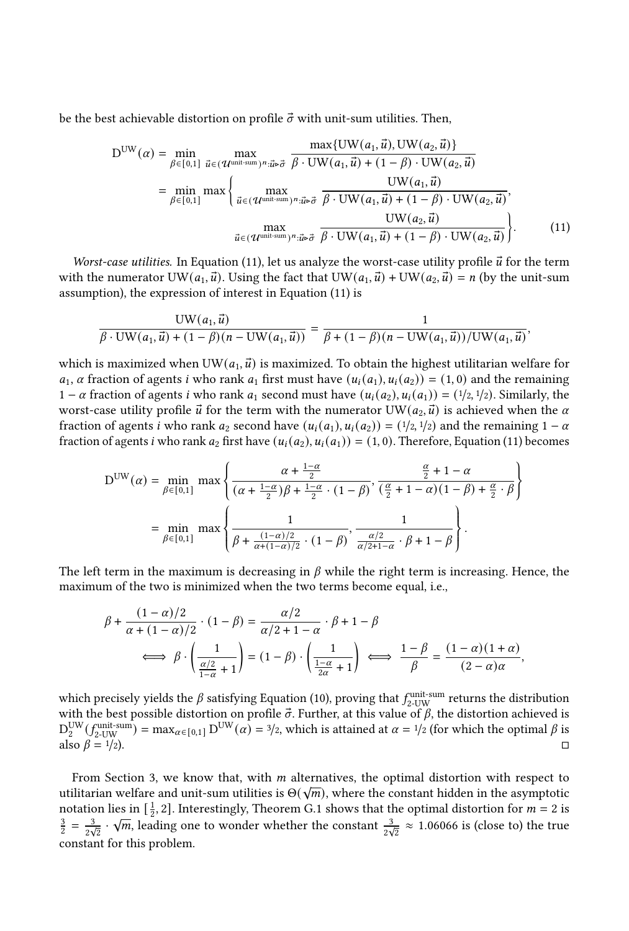be the best achievable distortion on profile  $\vec{\sigma}$  with unit-sum utilities. Then,

<span id="page-34-0"></span>
$$
D^{UW}(\alpha) = \min_{\beta \in [0,1]} \max_{\vec{u} \in (\mathcal{U}^{\text{unit-sum}})^n : \vec{u} \mapsto \vec{\sigma}} \frac{\max\{UW(a_1, \vec{u}), UW(a_2, \vec{u})\}}{\beta \cdot UW(a_1, \vec{u}) + (1 - \beta) \cdot UW(a_2, \vec{u})}
$$
  
\n
$$
= \min_{\beta \in [0,1]} \max \left\{ \max_{\vec{u} \in (\mathcal{U}^{\text{unit-sum}})^n : \vec{u} \mapsto \vec{\sigma}} \frac{UW(a_1, \vec{u}) + (1 - \beta) \cdot UW(a_2, \vec{u})}{\beta \cdot UW(a_1, \vec{u}) + (1 - \beta) \cdot UW(a_2, \vec{u})}, \frac{UW(a_2, \vec{u})}{\beta \cdot UW(a_1, \vec{u}) + (1 - \beta) \cdot UW(a_2, \vec{u})} \right\}.
$$
 (11)

Worst-case utilities. In [Equation \(11\),](#page-34-0) let us analyze the worst-case utility profile  $\vec{u}$  for the term with the numerator  $UW(a_1, \vec{u})$ . Using the fact that  $UW(a_1, \vec{u}) + UW(a_2, \vec{u}) = n$  (by the unit-sum assumption), the expression of interest in [Equation \(11\)](#page-34-0) is

$$
\frac{\text{UW}(a_1, \vec{u})}{\beta \cdot \text{UW}(a_1, \vec{u}) + (1 - \beta)(n - \text{UW}(a_1, \vec{u}))} = \frac{1}{\beta + (1 - \beta)(n - \text{UW}(a_1, \vec{u})) / \text{UW}(a_1, \vec{u})},
$$

which is maximized when UW( $a_1, \vec{u}$ ) is maximized. To obtain the highest utilitarian welfare for  $a_1$ ,  $\alpha$  fraction of agents *i* who rank  $a_1$  first must have  $(u_i(a_1), u_i(a_2)) = (1, 0)$  and the remaining  $1 - \alpha$  fraction of agents *i* who rank  $a_1$  second must have  $(u_i(a_2), u_i(a_1)) = (1/2, 1/2)$ . Similarly, the worst-case utility profile  $\vec{u}$  for the term with the numerator UW( $a_2, \vec{u}$ ) is achieved when the  $\alpha$ fraction of agents *i* who rank  $a_2$  second have  $(u_i(a_1), u_i(a_2)) = (1/2, 1/2)$  and the remaining  $1 - \alpha$ fraction of agents i who rank  $a_2$  first have  $(u_i(a_2), u_i(a_1)) = (1, 0)$ . Therefore, [Equation \(11\)](#page-34-0) becomes

$$
D^{UW}(\alpha) = \min_{\beta \in [0,1]} \max \left\{ \frac{\alpha + \frac{1-\alpha}{2}}{(\alpha + \frac{1-\alpha}{2})\beta + \frac{1-\alpha}{2} \cdot (1-\beta)}, \frac{\frac{\alpha}{2} + 1 - \alpha}{(\frac{\alpha}{2} + 1 - \alpha)(1-\beta) + \frac{\alpha}{2} \cdot \beta} \right\}
$$

$$
= \min_{\beta \in [0,1]} \max \left\{ \frac{1}{\beta + \frac{(1-\alpha)/2}{\alpha + (1-\alpha)/2} \cdot (1-\beta)}, \frac{1}{\frac{\alpha/2}{\alpha/2 + 1 - \alpha} \cdot \beta + 1 - \beta} \right\}.
$$

The left term in the maximum is decreasing in  $\beta$  while the right term is increasing. Hence, the maximum of the two is minimized when the two terms become equal, i.e.,

$$
\beta + \frac{(1-\alpha)/2}{\alpha + (1-\alpha)/2} \cdot (1-\beta) = \frac{\alpha/2}{\alpha/2 + 1 - \alpha} \cdot \beta + 1 - \beta
$$
  

$$
\iff \beta \cdot \left(\frac{1}{\frac{\alpha/2}{1-\alpha} + 1}\right) = (1-\beta) \cdot \left(\frac{1}{\frac{1-\alpha}{2\alpha} + 1}\right) \iff \frac{1-\beta}{\beta} = \frac{(1-\alpha)(1+\alpha)}{(2-\alpha)\alpha},
$$

which precisely yields the  $\beta$  satisfying [Equation \(10\),](#page-33-1) proving that  $f_{\text{2-UW}}^{\text{unit-sum}}$  returns the distribution with the best possible distortion on profile  $\vec{\sigma}$ . Further, at this value of  $\beta$ , the distortion achieved is  $D_2^{\text{UW}}(f_{2\text{-UW}}^{\text{unit-sum}}) = \max_{\alpha \in [0,1]} D^{\text{UW}}(\alpha) = 3/2$ , which is attained at  $\alpha = 1/2$  (for which the optimal  $\beta$  is also  $\beta = \frac{1}{2}$ .

From [Section 3,](#page-10-1) we know that, with *m* alternatives, the optimal distortion with respect to utilitarian welfare and unit-sum utilities is  $\Theta(\sqrt{m})$ , where the constant hidden in the asymptotic notation lies in  $\left[\frac{1}{2}, 2\right]$ . Interestingly, [Theorem G.1](#page-33-2) shows that the optimal distortion for  $m = 2$  is  $rac{3}{2} = \frac{3}{2}$  $\frac{3}{2\sqrt{2}}$  ·  $\sqrt{m}$ , leading one to wonder whether the constant  $\frac{3}{2\sqrt{2}} \approx 1.06066$  is (close to) the true constant for this problem.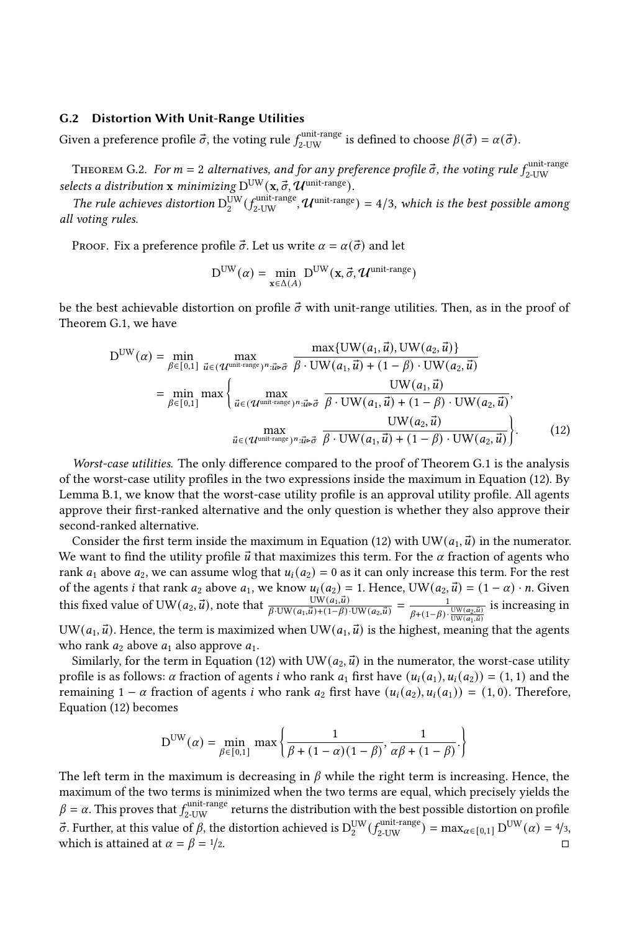## G.2 Distortion With Unit-Range Utilities

Given a preference profile  $\vec{\sigma}$ , the voting rule  $f_{2\text{-UW}}^{\text{unit-range}}$  is defined to choose  $\beta(\vec{\sigma}) = \alpha(\vec{\sigma})$ .

THEOREM G.2. For  $m = 2$  alternatives, and for any preference profile  $\vec{\sigma}$ , the voting rule  $f_{2\text{-IIW}}^{\text{unit-range}}$ 2-UW selects a distribution **x** minimizing  $D^{UW}$  (**x**,  $\vec{\sigma}$ ,  $\mathcal{U}^{\text{unit-range}}$ ).

The rule achieves distortion  $D_2^{\text{UW}}(f_{2\text{-UW}}^{\text{unit-range}}, \mathcal{U}^{\text{unit-range}}) = 4/3$ , which is the best possible among all voting rules.

PROOF. Fix a preference profile  $\vec{\sigma}$ . Let us write  $\alpha = \alpha(\vec{\sigma})$  and let

<span id="page-35-0"></span>
$$
D^{UW}(\alpha) = \min_{\mathbf{x} \in \Delta(A)} D^{UW}(\mathbf{x}, \vec{\sigma}, \mathcal{U}^{\text{unit-range}})
$$

be the best achievable distortion on profile  $\vec{\sigma}$  with unit-range utilities. Then, as in the proof of [Theorem G.1,](#page-33-2) we have

$$
D^{UW}(\alpha) = \min_{\beta \in [0,1]} \max_{\vec{u} \in (\mathcal{U}^{\text{unit-range}})^n : \vec{u} \mapsto \vec{\sigma}} \frac{\max\{UW(a_1, \vec{u}), UW(a_2, \vec{u})\}}{\beta \cdot UW(a_1, \vec{u}) + (1 - \beta) \cdot UW(a_2, \vec{u})}
$$
  
\n
$$
= \min_{\beta \in [0,1]} \max \left\{ \max_{\vec{u} \in (\mathcal{U}^{\text{unit-range}})^n : \vec{u} \mapsto \vec{\sigma}} \frac{UW(a_1, \vec{u}) + (1 - \beta) \cdot UW(a_2, \vec{u})}{\beta \cdot UW(a_1, \vec{u}) + (1 - \beta) \cdot UW(a_2, \vec{u})}, \frac{UW(a_2, \vec{u})}{\beta \cdot UW(a_1, \vec{u}) + (1 - \beta) \cdot UW(a_2, \vec{u})} \right\}. \tag{12}
$$

Worst-case utilities. The only difference compared to the proof of [Theorem G.1](#page-33-2) is the analysis of the worst-case utility profiles in the two expressions inside the maximum in [Equation \(12\).](#page-35-0) By [Lemma B.1,](#page-22-0) we know that the worst-case utility profile is an approval utility profile. All agents approve their first-ranked alternative and the only question is whether they also approve their second-ranked alternative.

Consider the first term inside the maximum in [Equation \(12\)](#page-35-0) with UW( $a_1, \vec{u}$ ) in the numerator. We want to find the utility profile  $\vec{u}$  that maximizes this term. For the  $\alpha$  fraction of agents who rank  $a_1$  above  $a_2$ , we can assume wlog that  $u_i(a_2) = 0$  as it can only increase this term. For the rest of the agents *i* that rank  $a_2$  above  $a_1$ , we know  $u_i(a_2) = 1$ . Hence, UW $(a_2, \vec{u}) = (1 - \alpha) \cdot n$ . Given this fixed value of UW( $(a_2, \vec{u})$ , note that  $\frac{UW(a_1, \vec{u})}{\beta \cdot UW(a_1, \vec{u}) + (1-\beta) \cdot UW(a_2, \vec{u})} = \frac{1}{\beta \cdot (1-\beta)}$  $\overline{\beta + (1-\beta) \cdot \frac{\text{UW}(a_2, \vec{u})}{\text{UW}(a_1, \vec{u})}}$ is increasing in

UW( $a_1$ ,  $\vec{u}$ ). Hence, the term is maximized when UW( $a_1$ ,  $\vec{u}$ ) is the highest, meaning that the agents who rank  $a_2$  above  $a_1$  also approve  $a_1$ .

Similarly, for the term in [Equation \(12\)](#page-35-0) with UW( $(a_2, \vec{u})$  in the numerator, the worst-case utility profile is as follows:  $\alpha$  fraction of agents *i* who rank  $a_1$  first have  $(u_i(a_1), u_i(a_2)) = (1, 1)$  and the remaining 1 –  $\alpha$  fraction of agents *i* who rank  $a_2$  first have  $(u_i(a_2), u_i(a_1)) = (1, 0)$ . Therefore, [Equation \(12\)](#page-35-0) becomes

$$
D^{UW}(\alpha) = \min_{\beta \in [0,1]} \max \left\{ \frac{1}{\beta + (1-\alpha)(1-\beta)}, \frac{1}{\alpha\beta + (1-\beta)} \right\}
$$

The left term in the maximum is decreasing in  $\beta$  while the right term is increasing. Hence, the maximum of the two terms is minimized when the two terms are equal, which precisely yields the  $\beta = \alpha$ . This proves that  $f_{2\text{-UW}}^{\text{unit-range}}$  returns the distribution with the best possible distortion on profile  $\vec{\sigma}$ . Further, at this value of  $\beta$ , the distortion achieved is  $D_2^{\text{UW}}(f_{2\text{-UW}}^{\text{unit-range}}) = \max_{\alpha \in [0,1]} D^{\text{UW}}(\alpha) = 4/3$ , which is attained at  $\alpha = \beta = 1/2$ .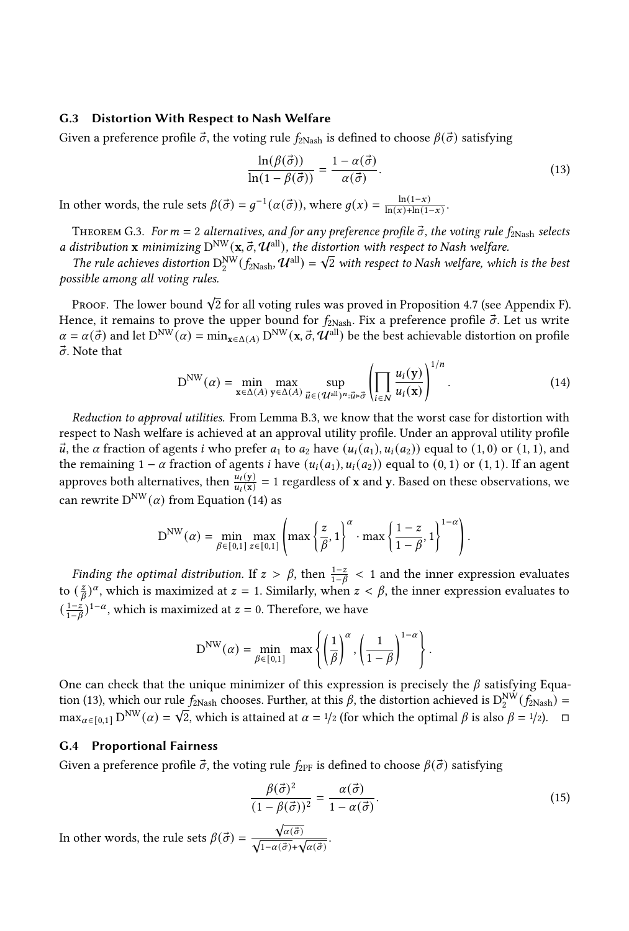## G.3 Distortion With Respect to Nash Welfare

Given a preference profile  $\vec{\sigma}$ , the voting rule  $f_{2Nash}$  is defined to choose  $\beta(\vec{\sigma})$  satisfying

<span id="page-36-1"></span>
$$
\frac{\ln(\beta(\vec{\sigma}))}{\ln(1-\beta(\vec{\sigma}))} = \frac{1-\alpha(\vec{\sigma})}{\alpha(\vec{\sigma})}.
$$
\n(13)

In other words, the rule sets  $\beta(\vec{\sigma}) = g^{-1}(\alpha(\vec{\sigma}))$ , where  $g(x) = \frac{\ln(1-x)}{\ln(x)\ln(1-x)}$  $\frac{\ln(1-x)}{\ln(x)+\ln(1-x)}$ .

THEOREM G.3. For  $m = 2$  alternatives, and for any preference profile  $\vec{\sigma}$ , the voting rule  $f_{2Nash}$  selects a distribution x minimizing  $D^{NW}(\mathbf{x}, \vec{\sigma}, \mathcal{U}^{\text{all}})$ , the distortion with respect to Nash welfare.

The rule achieves distortion  $D_2^{\text{NW}}(f_{2\text{Nash}}, \mathcal{U}^{\text{all}}) = \sqrt{2}$  with respect to Nash welfare, which is the best possible among all voting rules.

Proof. The lower bound  $\sqrt{2}$  for all voting rules was proved in [Proposition 4.7](#page-16-1) (see [Appendix F\)](#page-32-0). Hence, it remains to prove the upper bound for  $f_{\text{2Nash}}$ . Fix a preference profile  $\vec{\sigma}$ . Let us write  $\alpha = \alpha(\vec{\sigma})$  and let  $D^{NW}(\alpha) = min_{\mathbf{x} \in \Delta(A)} D^{NW}(\mathbf{x}, \vec{\sigma}, \vec{\mathcal{U}}^{all})$  be the best achievable distortion on profile  $\vec{\sigma}$ . Note that

<span id="page-36-0"></span>
$$
D^{NW}(\alpha) = \min_{\mathbf{x} \in \Delta(A)} \max_{\mathbf{y} \in \Delta(A)} \sup_{\vec{u} \in (U^{\text{all}})^n : \vec{u} \mapsto \vec{\sigma}} \left( \prod_{i \in N} \frac{u_i(\mathbf{y})}{u_i(\mathbf{x})} \right)^{1/n}.
$$
 (14)

Reduction to approval utilities. From [Lemma B.3,](#page-23-1) we know that the worst case for distortion with respect to Nash welfare is achieved at an approval utility profile. Under an approval utility profile  $\vec{u}$ , the  $\alpha$  fraction of agents *i* who prefer  $a_1$  to  $a_2$  have  $(u_i(a_1), u_i(a_2))$  equal to (1, 0) or (1, 1), and the remaining 1 –  $\alpha$  fraction of agents *i* have  $(u_i(a_1), u_i(a_2))$  equal to (0, 1) or (1, 1). If an agent approves both alternatives, then  $\frac{u_i(y)}{u_i(x)} = 1$  regardless of x and y. Based on these observations, we can rewrite  $D^{NW}(\alpha)$  from [Equation \(14\)](#page-36-0) as

$$
D^{NW}(\alpha) = \min_{\beta \in [0,1]} \max_{z \in [0,1]} \left( \max \left\{ \frac{z}{\beta}, 1 \right\}^{\alpha} \cdot \max \left\{ \frac{1-z}{1-\beta}, 1 \right\}^{1-\alpha} \right).
$$

Finding the optimal distribution. If  $z > \beta$ , then  $\frac{1-z}{1-\beta} < 1$  and the inner expression evaluates to  $(\frac{z}{\beta})^{\alpha}$ , which is maximized at  $z = 1$ . Similarly, when  $z < \beta$ , the inner expression evaluates to  $(\frac{1-z}{1-\beta})^{1-\alpha}$ , which is maximized at  $z=0$ . Therefore, we have

$$
D^{NW}(\alpha) = \min_{\beta \in [0,1]} \max \left\{ \left( \frac{1}{\beta} \right)^{\alpha}, \left( \frac{1}{1-\beta} \right)^{1-\alpha} \right\}.
$$

One can check that the unique minimizer of this expression is precisely the  $\beta$  satisfying [Equa](#page-36-1)[tion \(13\),](#page-36-1) which our rule  $f_{2Nash}$  chooses. Further, at this  $\beta$ , the distortion achieved is  $D_2^{NW}(f_{2Nash}) =$ max<sub> $\alpha \in [0,1]$ </sub> D<sup>NW</sup>( $\alpha$ ) =  $\sqrt{2}$ , which is attained at  $\alpha = 1/2$  (for which the optimal  $\beta$  is also  $\beta = 1/2$ ). □

#### G.4 Proportional Fairness

Given a preference profile  $\vec{\sigma}$ , the voting rule  $f_{2PF}$  is defined to choose  $\beta(\vec{\sigma})$  satisfying

<span id="page-36-2"></span>
$$
\frac{\beta(\vec{\sigma})^2}{(1-\beta(\vec{\sigma}))^2} = \frac{\alpha(\vec{\sigma})}{1-\alpha(\vec{\sigma})}.
$$
\n(15)

In other words, the rule sets  $\beta(\vec{\sigma}) =$  $\frac{\sqrt{\alpha(\vec{\sigma})}}{\sqrt{1-\alpha(\vec{\sigma})}+\sqrt{\alpha(\vec{\sigma})}}.$